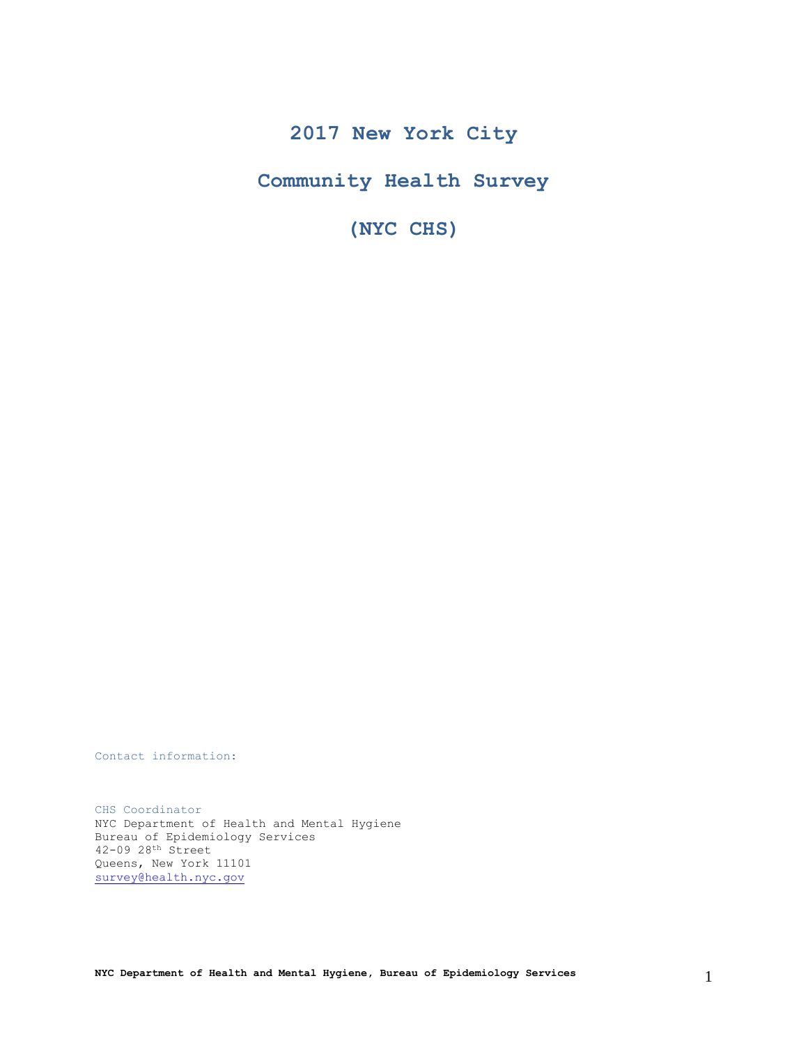# **2017 New York City**

**Community Health Survey**

**(NYC CHS)**

Contact information:

CHS Coordinator NYC Department of Health and Mental Hygiene Bureau of Epidemiology Services 42-09 28th Street Queens, New York 11101 [survey@health.nyc.gov](mailto:survey@health.nyc.gov)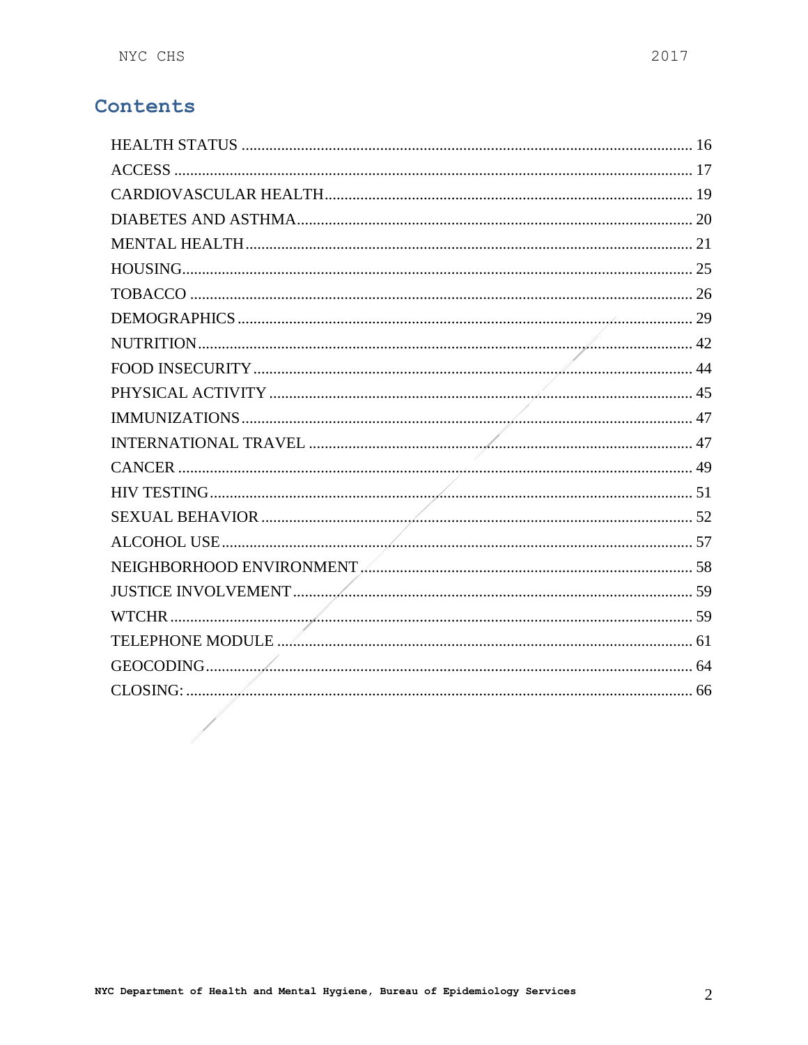# Contents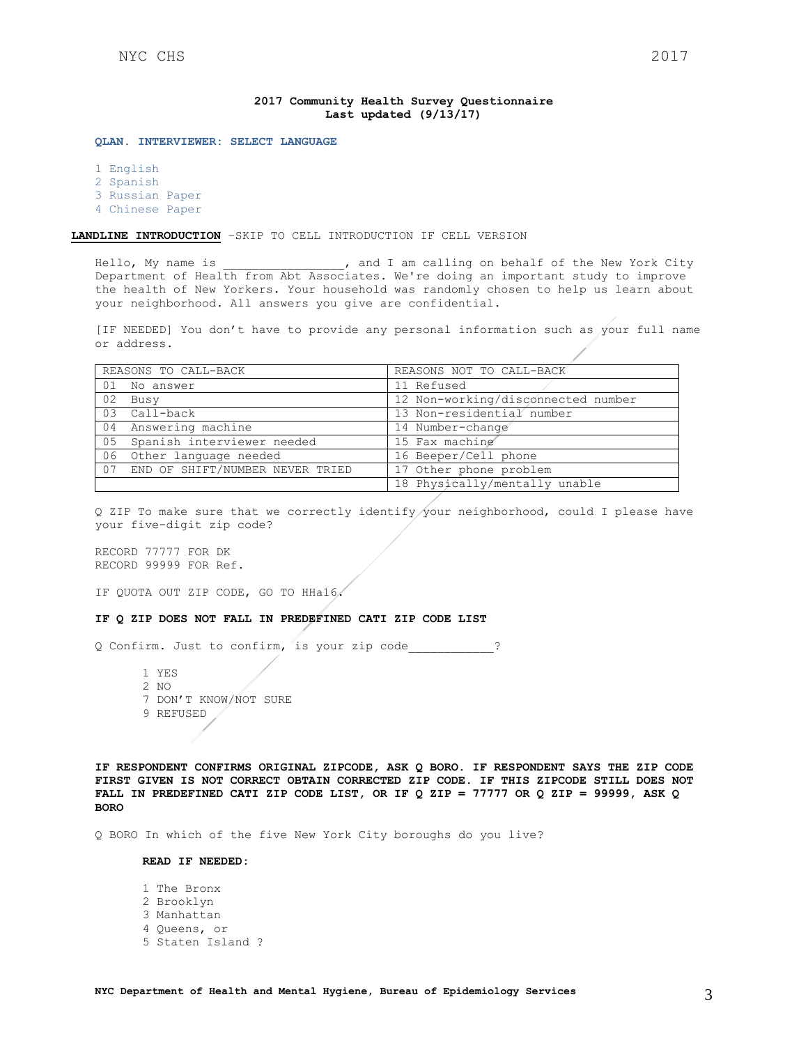### **2017 Community Health Survey Questionnaire Last updated (9/13/17)**

**QLAN. INTERVIEWER: SELECT LANGUAGE**

1 English 2 Spanish

3 Russian Paper

4 Chinese Paper

## **LANDLINE INTRODUCTION** –SKIP TO CELL INTRODUCTION IF CELL VERSION

Hello, My name is  $\qquad \qquad$ , and I am calling on behalf of the New York City Department of Health from Abt Associates. We're doing an important study to improve the health of New Yorkers. Your household was randomly chosen to help us learn about your neighborhood. All answers you give are confidential.

[IF NEEDED] You don't have to provide any personal information such as your full name or address.

|    | REASONS TO CALL-BACK            | REASONS NOT TO CALL-BACK           |  |  |  |  |
|----|---------------------------------|------------------------------------|--|--|--|--|
|    | 01 No answer                    | 11 Refused                         |  |  |  |  |
| 02 | Busy                            | 12 Non-working/disconnected number |  |  |  |  |
| 03 | Call-back                       | 13 Non-residential number          |  |  |  |  |
| 04 | Answering machine               | 14 Number-change                   |  |  |  |  |
| 05 | Spanish interviewer needed      | 15 Fax machine                     |  |  |  |  |
| 06 | Other language needed           | 16 Beeper/Cell phone               |  |  |  |  |
| 07 | END OF SHIFT/NUMBER NEVER TRIED | 17 Other phone problem             |  |  |  |  |
|    |                                 | 18 Physically/mentally unable      |  |  |  |  |

Q ZIP To make sure that we correctly identify your neighborhood, could I please have your five-digit zip code?

RECORD 77777 FOR DK RECORD 99999 FOR Ref.

IF QUOTA OUT ZIP CODE, GO TO HHa16.

#### **IF Q ZIP DOES NOT FALL IN PREDEFINED CATI ZIP CODE LIST**

Q Confirm. Just to confirm, is your zip code\_\_\_\_\_\_\_\_\_\_\_\_?

1 YES 2 NO 7 DON'T KNOW/NOT SURE 9 REFUSED

**IF RESPONDENT CONFIRMS ORIGINAL ZIPCODE, ASK Q BORO. IF RESPONDENT SAYS THE ZIP CODE FIRST GIVEN IS NOT CORRECT OBTAIN CORRECTED ZIP CODE. IF THIS ZIPCODE STILL DOES NOT FALL IN PREDEFINED CATI ZIP CODE LIST, OR IF Q ZIP = 77777 OR Q ZIP = 99999, ASK Q BORO**

Q BORO In which of the five New York City boroughs do you live?

### **READ IF NEEDED:**

1 The Bronx 2 Brooklyn 3 Manhattan 4 Queens, or 5 Staten Island ?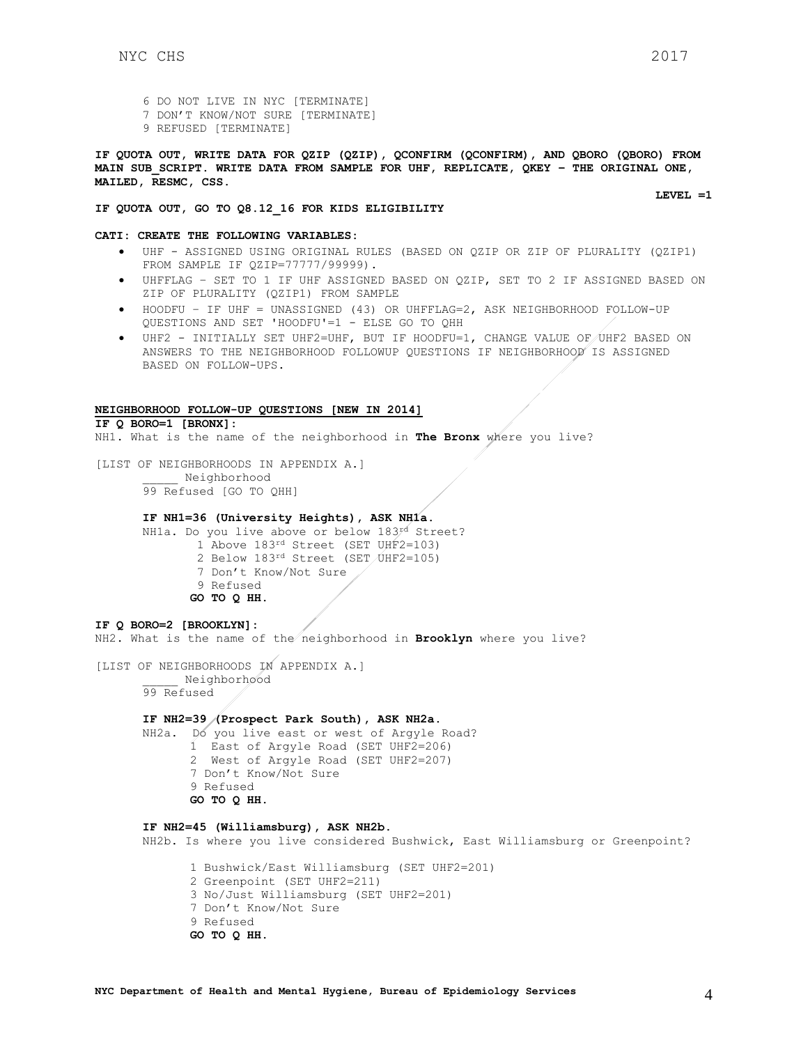- 6 DO NOT LIVE IN NYC [TERMINATE]
- 7 DON'T KNOW/NOT SURE [TERMINATE]
- 9 REFUSED [TERMINATE]

**IF QUOTA OUT, WRITE DATA FOR QZIP (QZIP), QCONFIRM (QCONFIRM), AND QBORO (QBORO) FROM MAIN SUB\_SCRIPT. WRITE DATA FROM SAMPLE FOR UHF, REPLICATE, QKEY – THE ORIGINAL ONE, MAILED, RESMC, CSS.**

**LEVEL =1**

### **IF QUOTA OUT, GO TO Q8.12\_16 FOR KIDS ELIGIBILITY**

#### **CATI: CREATE THE FOLLOWING VARIABLES:**

- UHF ASSIGNED USING ORIGINAL RULES (BASED ON QZIP OR ZIP OF PLURALITY (QZIP1) FROM SAMPLE IF QZIP=77777/99999).
- UHFFLAG SET TO 1 IF UHF ASSIGNED BASED ON QZIP, SET TO 2 IF ASSIGNED BASED ON ZIP OF PLURALITY (QZIP1) FROM SAMPLE
- HOODFU IF UHF = UNASSIGNED (43) OR UHFFLAG=2, ASK NEIGHBORHOOD FOLLOW-UP QUESTIONS AND SET 'HOODFU'=1 - ELSE GO TO QHH
- UHF2 INITIALLY SET UHF2=UHF, BUT IF HOODFU=1, CHANGE VALUE OF UHF2 BASED ON ANSWERS TO THE NEIGHBORHOOD FOLLOWUP QUESTIONS IF NEIGHBORHOOD IS ASSIGNED BASED ON FOLLOW-UPS.

## **NEIGHBORHOOD FOLLOW-UP QUESTIONS [NEW IN 2014]**

**IF Q BORO=1 [BRONX]:**

NH1. What is the name of the neighborhood in **The Bronx** where you live?

[LIST OF NEIGHBORHOODS IN APPENDIX A.] \_\_\_\_\_ Neighborhood 99 Refused [GO TO QHH]

#### **IF NH1=36 (University Heights), ASK NH1a.**

NH1a. Do you live above or below 183rd Street?

- 1 Above 183rd Street (SET UHF2=103)
- 2 Below 183rd Street (SET UHF2=105)
- 7 Don't Know/Not Sure
- 9 Refused
- **GO TO Q HH.**

## **IF Q BORO=2 [BROOKLYN]:**

NH2. What is the name of the neighborhood in **Brooklyn** where you live?

[LIST OF NEIGHBORHOODS IN APPENDIX A.]

\_\_\_\_\_ Neighborhood 99 Refused

#### **IF NH2=39 (Prospect Park South), ASK NH2a.**

NH2a. Do you live east or west of Argyle Road? 1 East of Argyle Road (SET UHF2=206) 2 West of Argyle Road (SET UHF2=207) 7 Don't Know/Not Sure 9 Refused **GO TO Q HH.** 

## **IF NH2=45 (Williamsburg), ASK NH2b.**

NH2b. Is where you live considered Bushwick, East Williamsburg or Greenpoint?

1 Bushwick/East Williamsburg (SET UHF2=201) 2 Greenpoint (SET UHF2=211) 3 No/Just Williamsburg (SET UHF2=201) 7 Don't Know/Not Sure 9 Refused **GO TO Q HH.**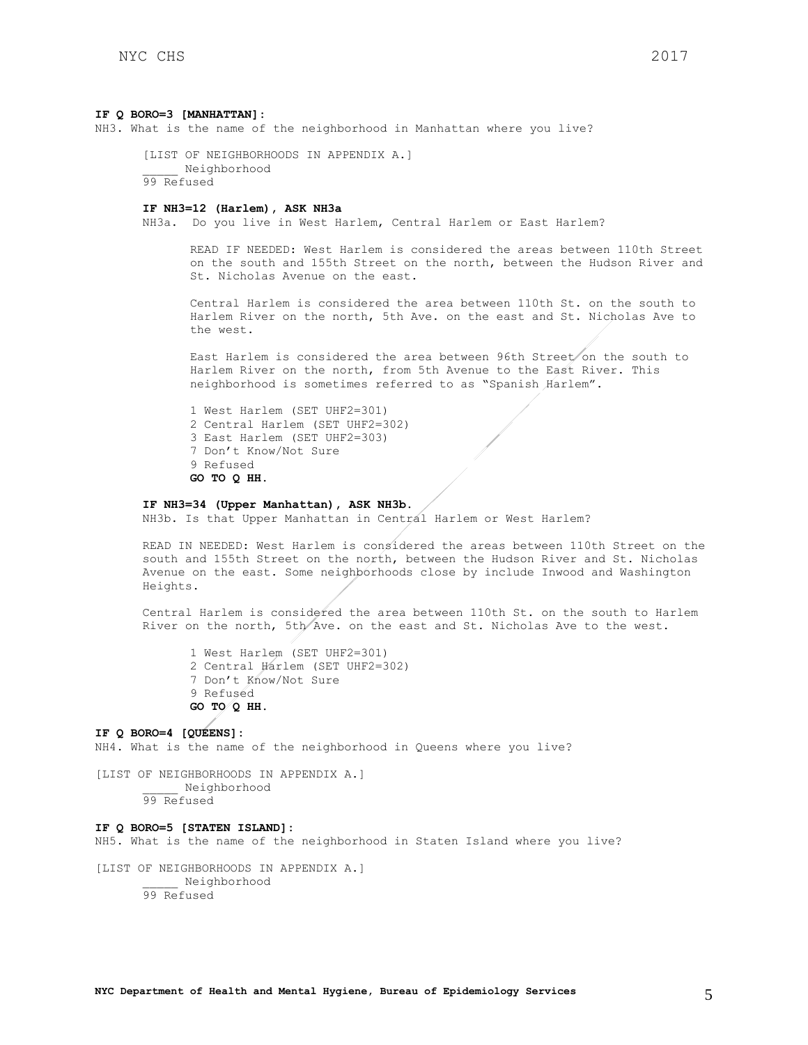#### **IF Q BORO=3 [MANHATTAN]:**

NH3. What is the name of the neighborhood in Manhattan where you live?

[LIST OF NEIGHBORHOODS IN APPENDIX A.] \_\_\_\_\_ Neighborhood 99 Refused

### **IF NH3=12 (Harlem), ASK NH3a**

NH3a. Do you live in West Harlem, Central Harlem or East Harlem?

READ IF NEEDED: West Harlem is considered the areas between 110th Street on the south and 155th Street on the north, between the Hudson River and St. Nicholas Avenue on the east.

Central Harlem is considered the area between 110th St. on the south to Harlem River on the north, 5th Ave. on the east and St. Nicholas Ave to the west.

East Harlem is considered the area between 96th Street on the south to Harlem River on the north, from 5th Avenue to the East River. This neighborhood is sometimes referred to as "Spanish Harlem".

1 West Harlem (SET UHF2=301) 2 Central Harlem (SET UHF2=302) 3 East Harlem (SET UHF2=303) 7 Don't Know/Not Sure 9 Refused **GO TO Q HH.** 

### **IF NH3=34 (Upper Manhattan), ASK NH3b.**

NH3b. Is that Upper Manhattan in Central Harlem or West Harlem?

READ IN NEEDED: West Harlem is considered the areas between 110th Street on the south and 155th Street on the north, between the Hudson River and St. Nicholas Avenue on the east. Some neighborhoods close by include Inwood and Washington Heights.

Central Harlem is considered the area between 110th St. on the south to Harlem River on the north, 5th Ave. on the east and St. Nicholas Ave to the west.

1 West Harlem (SET UHF2=301) 2 Central Harlem (SET UHF2=302) 7 Don't Know/Not Sure 9 Refused **GO TO Q HH.** 

**IF Q BORO=4 [QUEENS]:** NH4. What is the name of the neighborhood in Queens where you live?

[LIST OF NEIGHBORHOODS IN APPENDIX A.] \_\_\_\_\_ Neighborhood 99 Refused

### **IF Q BORO=5 [STATEN ISLAND]:**

NH5. What is the name of the neighborhood in Staten Island where you live?

[LIST OF NEIGHBORHOODS IN APPENDIX A.] \_\_\_\_\_ Neighborhood 99 Refused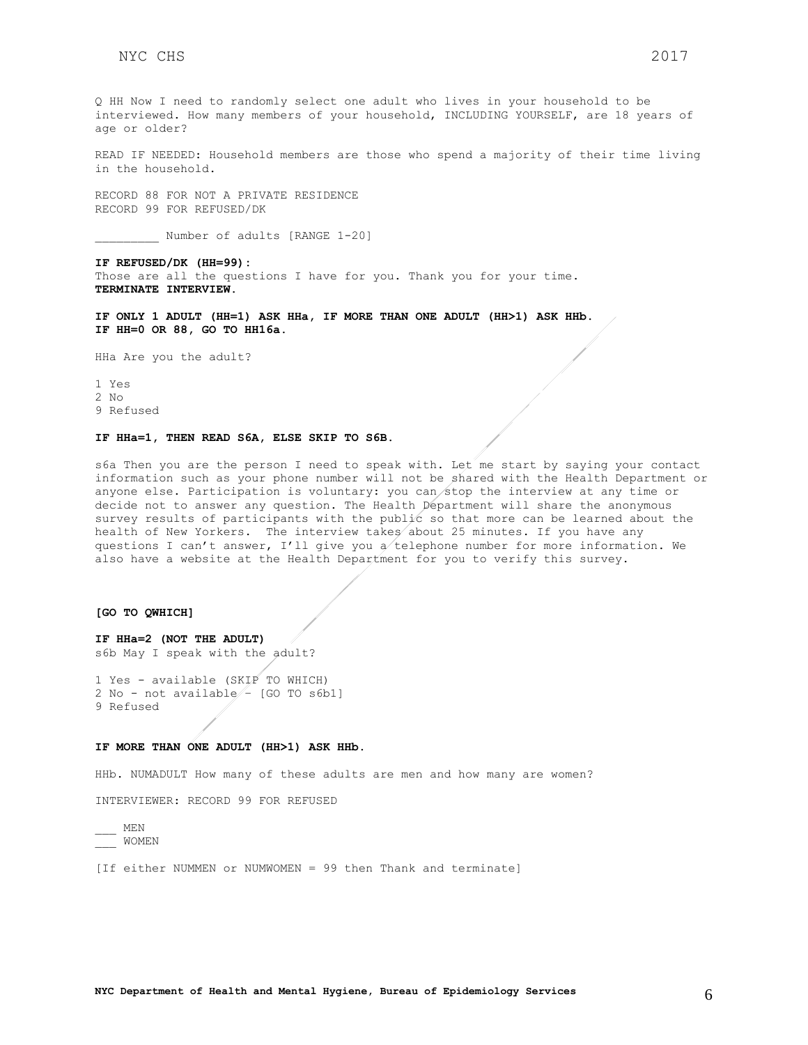Q HH Now I need to randomly select one adult who lives in your household to be interviewed. How many members of your household, INCLUDING YOURSELF, are 18 years of age or older?

READ IF NEEDED: Household members are those who spend a majority of their time living in the household.

RECORD 88 FOR NOT A PRIVATE RESIDENCE RECORD 99 FOR REFUSED/DK

Number of adults [RANGE 1-20]

**IF REFUSED/DK (HH=99):** Those are all the questions I have for you. Thank you for your time. **TERMINATE INTERVIEW.**

**IF ONLY 1 ADULT (HH=1) ASK HHa, IF MORE THAN ONE ADULT (HH>1) ASK HHb. IF HH=0 OR 88, GO TO HH16a.**

HHa Are you the adult?

1 Yes 2 No 9 Refused

#### **IF HHa=1, THEN READ S6A, ELSE SKIP TO S6B.**

s6a Then you are the person I need to speak with. Let me start by saying your contact information such as your phone number will not be shared with the Health Department or anyone else. Participation is voluntary: you can stop the interview at any time or decide not to answer any question. The Health Department will share the anonymous survey results of participants with the public so that more can be learned about the health of New Yorkers. The interview takes about 25 minutes. If you have any questions I can't answer, I'll give you a telephone number for more information. We also have a website at the Health Department for you to verify this survey.

#### **[GO TO QWHICH]**

**IF HHa=2 (NOT THE ADULT)** s6b May I speak with the adult?

1 Yes - available (SKIP TO WHICH) 2 No - not available - [GO TO s6b1] 9 Refused

#### **IF MORE THAN ONE ADULT (HH>1) ASK HHb.**

HHb. NUMADULT How many of these adults are men and how many are women?

INTERVIEWER: RECORD 99 FOR REFUSED

\_\_\_ MEN \_\_\_ WOMEN

[If either NUMMEN or NUMWOMEN = 99 then Thank and terminate]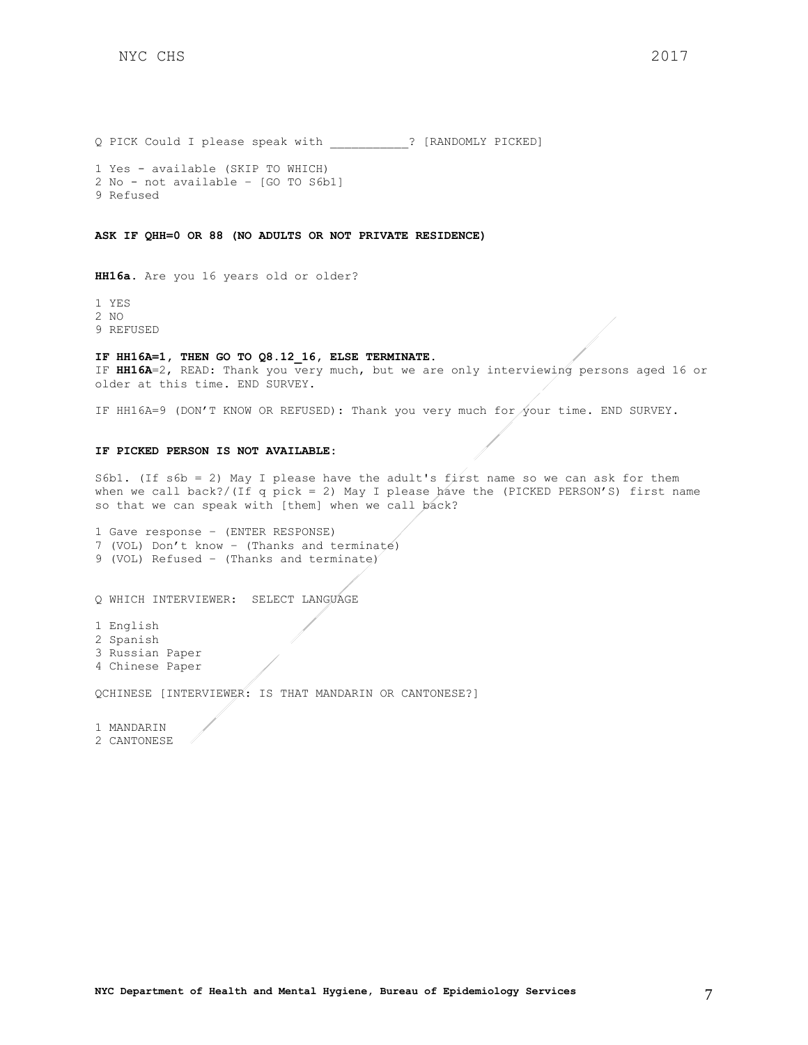Q PICK Could I please speak with \_\_\_\_\_\_\_\_\_\_\_? [RANDOMLY PICKED]

1 Yes - available (SKIP TO WHICH) 2 No - not available – [GO TO S6b1] 9 Refused

**ASK IF QHH=0 OR 88 (NO ADULTS OR NOT PRIVATE RESIDENCE)**

**HH16a.** Are you 16 years old or older?

1 YES

2 NO

9 REFUSED

### **IF HH16A=1, THEN GO TO Q8.12\_16, ELSE TERMINATE.**

IF **HH16A**=2, READ: Thank you very much, but we are only interviewing persons aged 16 or older at this time. END SURVEY.

IF HH16A=9 (DON'T KNOW OR REFUSED): Thank you very much for your time. END SURVEY.

### **IF PICKED PERSON IS NOT AVAILABLE:**

S6b1. (If s6b = 2) May I please have the adult's first name so we can ask for them when we call back?/(If q pick = 2) May I please have the (PICKED PERSON'S) first name so that we can speak with [them] when we call back?

1 Gave response – (ENTER RESPONSE) 7 (VOL) Don't know – (Thanks and terminate) 9 (VOL) Refused – (Thanks and terminate)

Q WHICH INTERVIEWER: SELECT LANGUAGE

1 English 2 Spanish 3 Russian Paper 4 Chinese Paper

QCHINESE [INTERVIEWER: IS THAT MANDARIN OR CANTONESE?]

1 MANDARIN

2 CANTONESE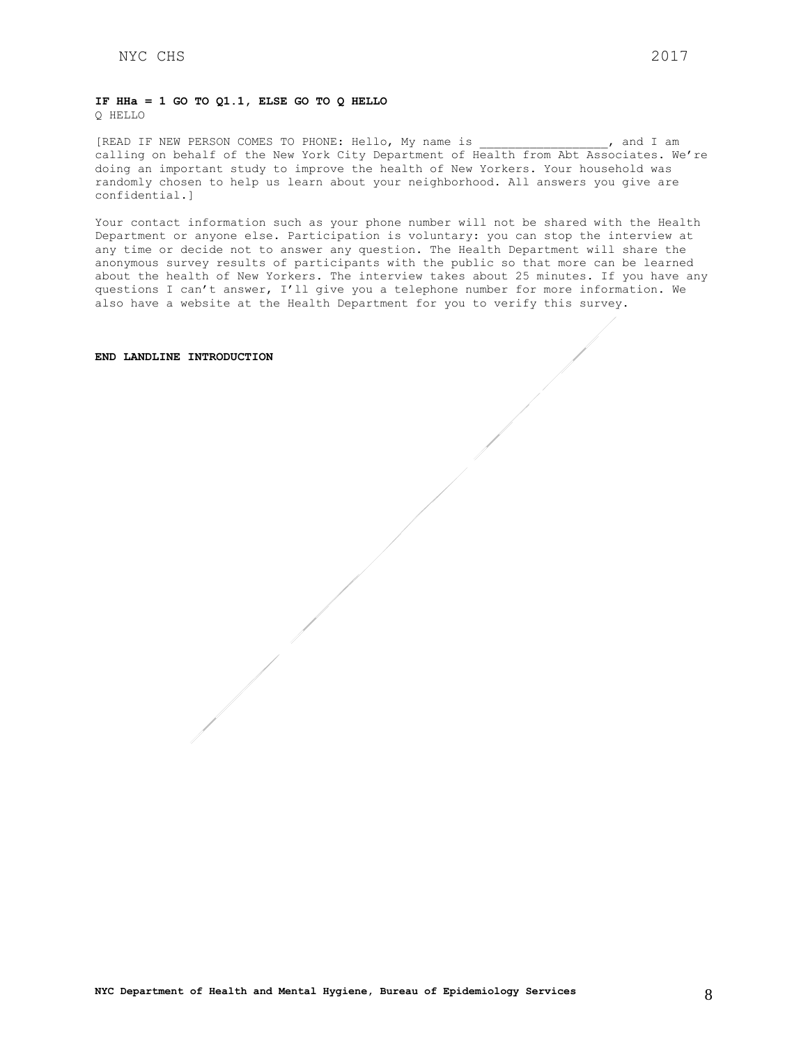### **IF HHa = 1 GO TO Q1.1, ELSE GO TO Q HELLO** Q HELLO

[READ IF NEW PERSON COMES TO PHONE: Hello, My name is  $\qquad \qquad$ , and I am calling on behalf of the New York City Department of Health from Abt Associates. We're doing an important study to improve the health of New Yorkers. Your household was randomly chosen to help us learn about your neighborhood. All answers you give are confidential.]

Your contact information such as your phone number will not be shared with the Health Department or anyone else. Participation is voluntary: you can stop the interview at any time or decide not to answer any question. The Health Department will share the anonymous survey results of participants with the public so that more can be learned about the health of New Yorkers. The interview takes about 25 minutes. If you have any questions I can't answer, I'll give you a telephone number for more information. We also have a website at the Health Department for you to verify this survey.

## **END LANDLINE INTRODUCTION**

**NYC Department of Health and Mental Hygiene, Bureau of Epidemiology Services** 8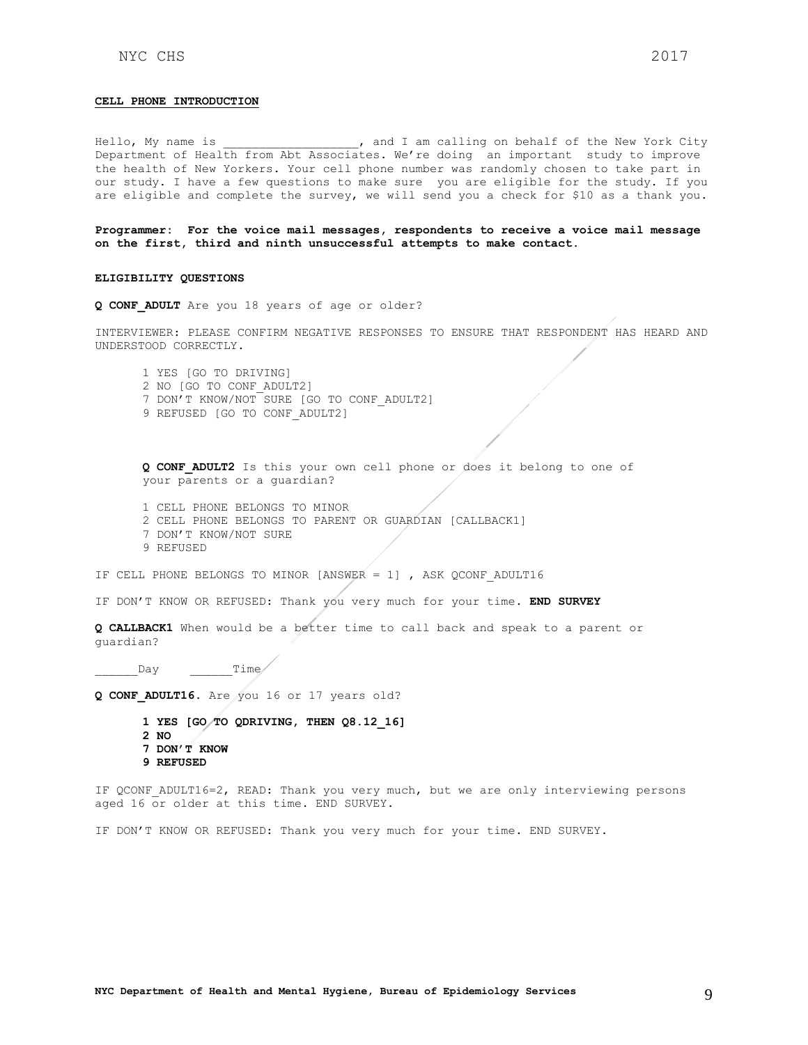#### **CELL PHONE INTRODUCTION**

Hello, My name is  $\qquad \qquad$ , and I am calling on behalf of the New York City Department of Health from Abt Associates. We're doing an important study to improve the health of New Yorkers. Your cell phone number was randomly chosen to take part in our study. I have a few questions to make sure you are eligible for the study. If you are eligible and complete the survey, we will send you a check for \$10 as a thank you.

**Programmer: For the voice mail messages, respondents to receive a voice mail message on the first, third and ninth unsuccessful attempts to make contact.** 

#### **ELIGIBILITY QUESTIONS**

**Q CONF\_ADULT** Are you 18 years of age or older?

INTERVIEWER: PLEASE CONFIRM NEGATIVE RESPONSES TO ENSURE THAT RESPONDENT HAS HEARD AND UNDERSTOOD CORRECTLY.

1 YES [GO TO DRIVING] 2 NO [GO TO CONF\_ADULT2] 7 DON'T KNOW/NOT SURE [GO TO CONF\_ADULT2] 9 REFUSED [GO TO CONF\_ADULT2]

**Q CONF\_ADULT2** Is this your own cell phone or does it belong to one of your parents or a guardian?

- 1 CELL PHONE BELONGS TO MINOR
- 2 CELL PHONE BELONGS TO PARENT OR GUARDIAN [CALLBACK1]
- 7 DON'T KNOW/NOT SURE 9 REFUSED

IF CELL PHONE BELONGS TO MINOR [ANSWER = 1] , ASK QCONF ADULT16

IF DON'T KNOW OR REFUSED: Thank you very much for your time. **END SURVEY**

**Q CALLBACK1** When would be a better time to call back and speak to a parent or guardian?

 $Day$   $Time/$ 

**Q CONF\_ADULT16.** Are you 16 or 17 years old?

**1 YES [GO TO QDRIVING, THEN Q8.12\_16] 2 NO 7 DON'T KNOW 9 REFUSED**

IF QCONF\_ADULT16=2, READ: Thank you very much, but we are only interviewing persons aged 16 or older at this time. END SURVEY.

IF DON'T KNOW OR REFUSED: Thank you very much for your time. END SURVEY.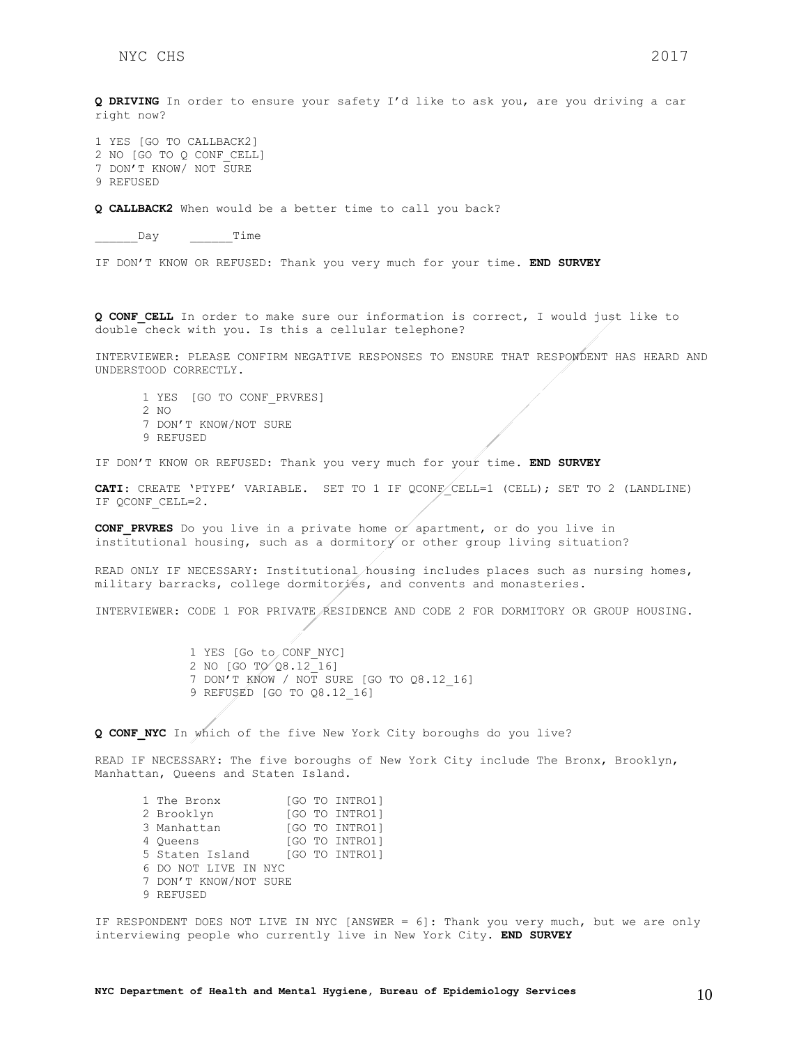**Q DRIVING** In order to ensure your safety I'd like to ask you, are you driving a car right now?

1 YES [GO TO CALLBACK2] 2 NO [GO TO Q CONF\_CELL] 7 DON'T KNOW/ NOT SURE 9 REFUSED

**Q CALLBACK2** When would be a better time to call you back?

Day Time

IF DON'T KNOW OR REFUSED: Thank you very much for your time. **END SURVEY**

**Q CONF\_CELL** In order to make sure our information is correct, I would just like to double check with you. Is this a cellular telephone?

INTERVIEWER: PLEASE CONFIRM NEGATIVE RESPONSES TO ENSURE THAT RESPONDENT HAS HEARD AND UNDERSTOOD CORRECTLY.

1 YES [GO TO CONF\_PRVRES] 2 NO 7 DON'T KNOW/NOT SURE 9 REFUSED

IF DON'T KNOW OR REFUSED: Thank you very much for your time. **END SURVEY**

CATI: CREATE 'PTYPE' VARIABLE. SET TO 1 IF QCONF CELL=1 (CELL); SET TO 2 (LANDLINE) IF QCONF\_CELL=2.

**CONF\_PRVRES** Do you live in a private home or apartment, or do you live in institutional housing, such as a dormitory or other group living situation?

READ ONLY IF NECESSARY: Institutional housing includes places such as nursing homes, military barracks, college dormitories, and convents and monasteries.

INTERVIEWER: CODE 1 FOR PRIVATE RESIDENCE AND CODE 2 FOR DORMITORY OR GROUP HOUSING.

1 YES [Go to CONF NYC] 2 NO [GO TO 28.12 16] 7 DON'T KNOW / NOT SURE [GO TO Q8.12\_16] 9 REFUSED [GO TO Q8.12\_16]

**Q CONF\_NYC** In which of the five New York City boroughs do you live?

READ IF NECESSARY: The five boroughs of New York City include The Bronx, Brooklyn, Manhattan, Queens and Staten Island.

1 The Bronx [GO TO INTRO1] 2 Brooklyn [GO TO INTRO1] 3 Manhattan [GO TO INTRO1] 4 Queens [GO TO INTRO1] 5 Staten Island [GO TO INTRO1] 6 DO NOT LIVE IN NYC 7 DON'T KNOW/NOT SURE 9 REFUSED

IF RESPONDENT DOES NOT LIVE IN NYC [ANSWER = 6]: Thank you very much, but we are only interviewing people who currently live in New York City. **END SURVEY**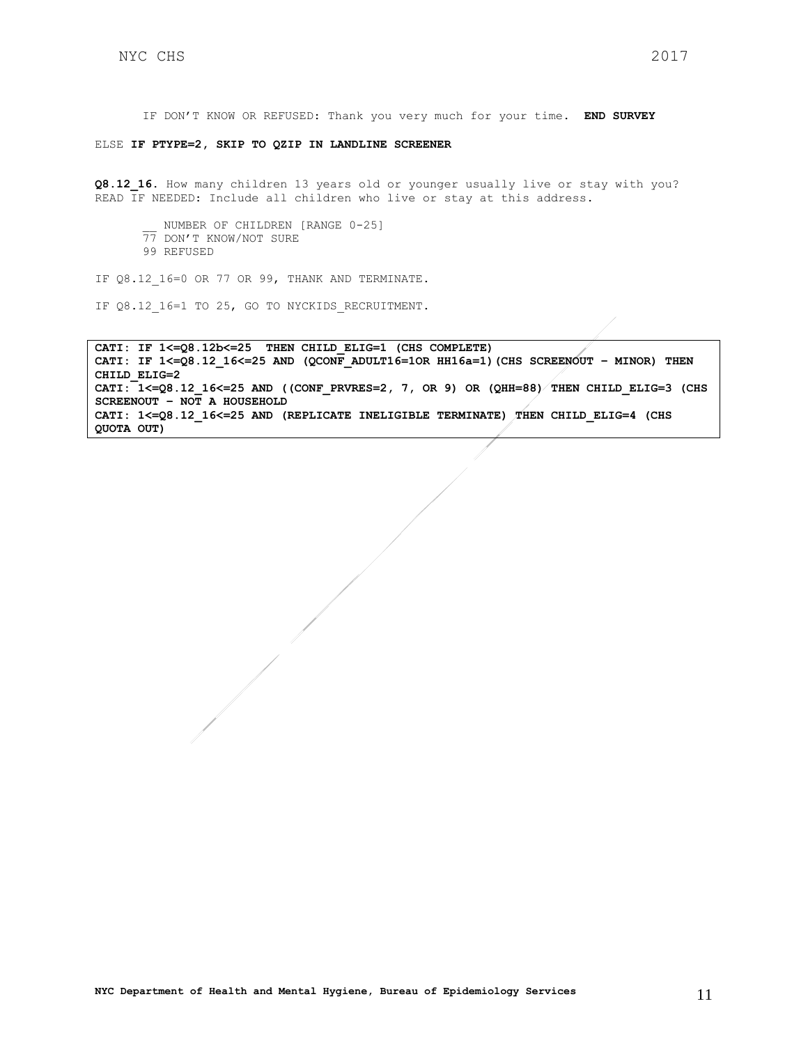ELSE **IF PTYPE=2, SKIP TO QZIP IN LANDLINE SCREENER**

**Q8.12\_16.** How many children 13 years old or younger usually live or stay with you? READ IF NEEDED: Include all children who live or stay at this address.

\_\_ NUMBER OF CHILDREN [RANGE 0-25] 77 DON'T KNOW/NOT SURE 99 REFUSED

IF Q8.12 16=0 OR 77 OR 99, THANK AND TERMINATE.

IF Q8.12 16=1 TO 25, GO TO NYCKIDS RECRUITMENT.

**CATI: IF 1<=Q8.12b<=25 THEN CHILD\_ELIG=1 (CHS COMPLETE) CATI: IF 1<=Q8.12\_16<=25 AND (QCONF\_ADULT16=1OR HH16a=1)(CHS SCREENOUT – MINOR) THEN CHILD\_ELIG=2 CATI: 1<=Q8.12\_16<=25 AND ((CONF\_PRVRES=2, 7, OR 9) OR (QHH=88) THEN CHILD\_ELIG=3 (CHS SCREENOUT – NOT A HOUSEHOLD CATI: 1<=Q8.12\_16<=25 AND (REPLICATE INELIGIBLE TERMINATE) THEN CHILD\_ELIG=4 (CHS QUOTA OUT)**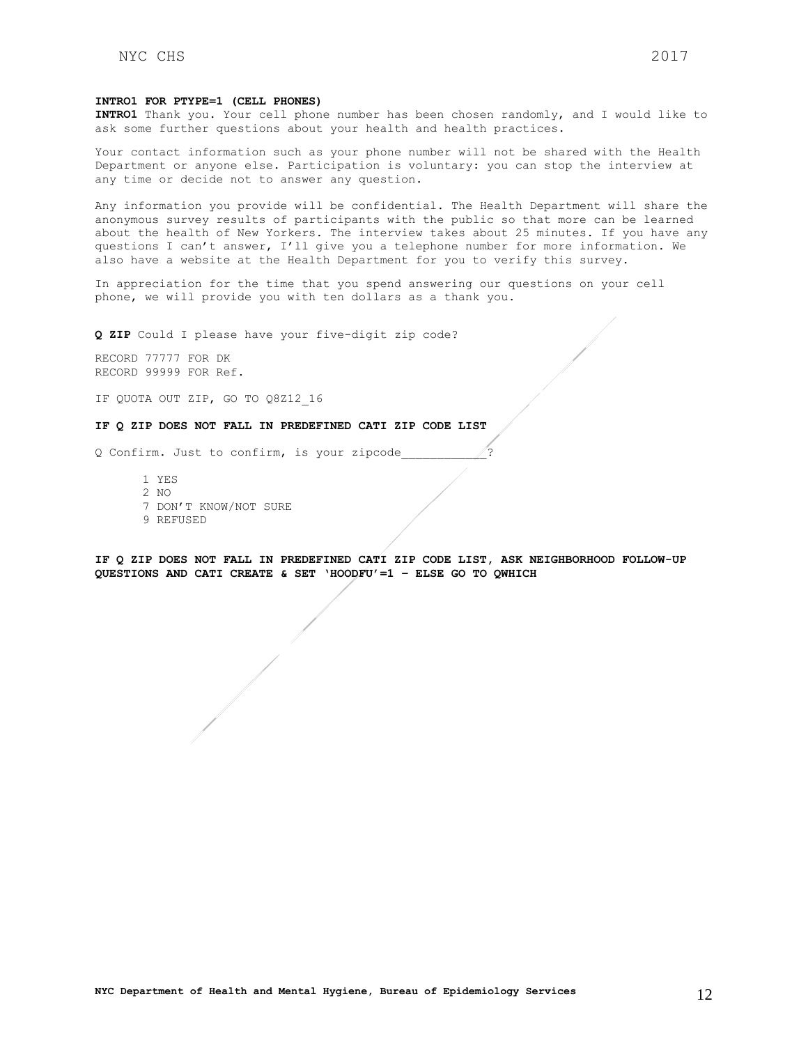#### **INTRO1 FOR PTYPE=1 (CELL PHONES)**

**INTRO1** Thank you. Your cell phone number has been chosen randomly, and I would like to ask some further questions about your health and health practices.

Your contact information such as your phone number will not be shared with the Health Department or anyone else. Participation is voluntary: you can stop the interview at any time or decide not to answer any question.

Any information you provide will be confidential. The Health Department will share the anonymous survey results of participants with the public so that more can be learned about the health of New Yorkers. The interview takes about 25 minutes. If you have any questions I can't answer, I'll give you a telephone number for more information. We also have a website at the Health Department for you to verify this survey.

In appreciation for the time that you spend answering our questions on your cell phone, we will provide you with ten dollars as a thank you.

**Q ZIP** Could I please have your five-digit zip code?

RECORD 77777 FOR DK RECORD 99999 FOR Ref.

IF QUOTA OUT ZIP, GO TO Q8Z12\_16

### **IF Q ZIP DOES NOT FALL IN PREDEFINED CATI ZIP CODE LIST**

Q Confirm. Just to confirm, is your zipcode

- 1 YES
- 2 NO
- 7 DON'T KNOW/NOT SURE
- 9 REFUSED

**IF Q ZIP DOES NOT FALL IN PREDEFINED CATI ZIP CODE LIST, ASK NEIGHBORHOOD FOLLOW-UP QUESTIONS AND CATI CREATE & SET 'HOODFU'=1 – ELSE GO TO QWHICH**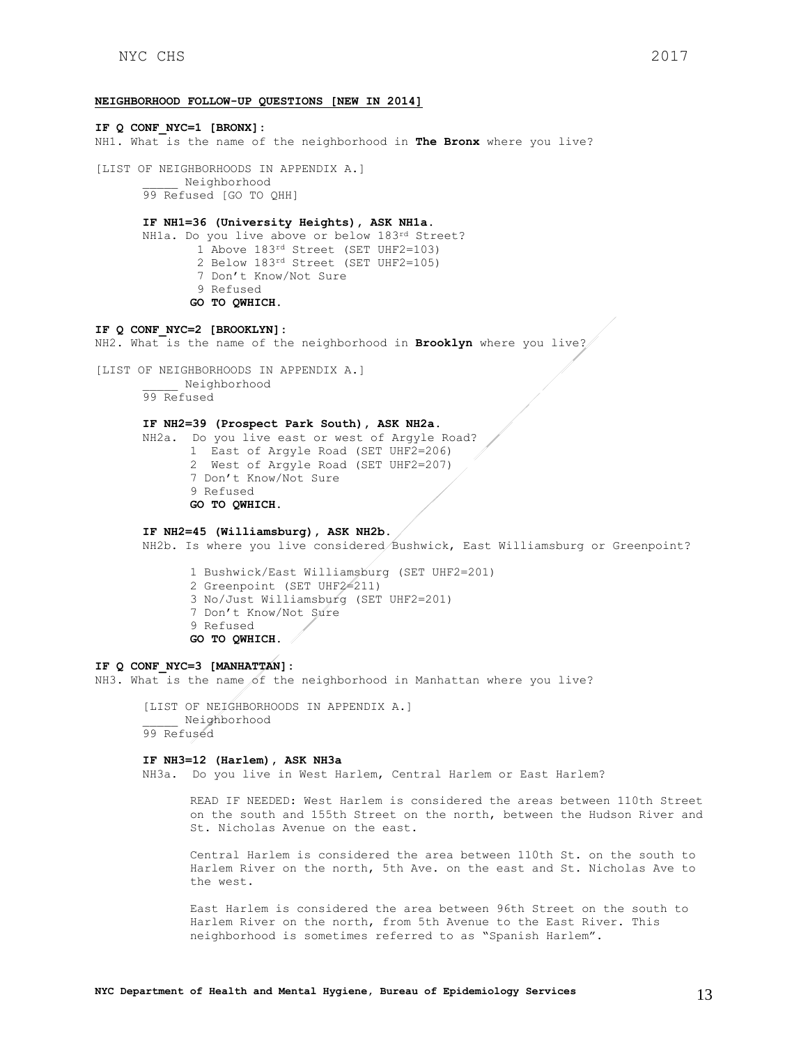### **NEIGHBORHOOD FOLLOW-UP QUESTIONS [NEW IN 2014]**

**IF Q CONF\_NYC=1 [BRONX]:** NH1. What is the name of the neighborhood in **The Bronx** where you live? [LIST OF NEIGHBORHOODS IN APPENDIX A.] \_\_\_\_\_ Neighborhood 99 Refused [GO TO QHH] **IF NH1=36 (University Heights), ASK NH1a.** NH1a. Do you live above or below 183rd Street? 1 Above 183<sup>rd</sup> Street (SET UHF2=103) 2 Below 183rd Street (SET UHF2=105) 7 Don't Know/Not Sure 9 Refused **GO TO QWHICH. IF Q CONF\_NYC=2 [BROOKLYN]:** NH2. What is the name of the neighborhood in **Brooklyn** where you live? [LIST OF NEIGHBORHOODS IN APPENDIX A.] \_\_\_\_\_ Neighborhood 99 Refused **IF NH2=39 (Prospect Park South), ASK NH2a.** NH2a. Do you live east or west of Argyle Road? 1 East of Argyle Road (SET UHF2=206) 2 West of Argyle Road (SET UHF2=207) 7 Don't Know/Not Sure 9 Refused **GO TO QWHICH. IF NH2=45 (Williamsburg), ASK NH2b.** NH2b. Is where you live considered Bushwick, East Williamsburg or Greenpoint? 1 Bushwick/East Williamsburg (SET UHF2=201)

2 Greenpoint (SET UHF2=211)

- 3 No/Just Williamsburg (SET UHF2=201)
- 7 Don't Know/Not Sure
- 9 Refused
- **GO TO QWHICH.**

### **IF Q CONF\_NYC=3 [MANHATTAN]:**

NH3. What is the name of the neighborhood in Manhattan where you live?

[LIST OF NEIGHBORHOODS IN APPENDIX A.] \_\_\_\_\_ Neighborhood 99 Refused

#### **IF NH3=12 (Harlem), ASK NH3a**

NH3a. Do you live in West Harlem, Central Harlem or East Harlem?

READ IF NEEDED: West Harlem is considered the areas between 110th Street on the south and 155th Street on the north, between the Hudson River and St. Nicholas Avenue on the east.

Central Harlem is considered the area between 110th St. on the south to Harlem River on the north, 5th Ave. on the east and St. Nicholas Ave to the west.

East Harlem is considered the area between 96th Street on the south to Harlem River on the north, from 5th Avenue to the East River. This neighborhood is sometimes referred to as "Spanish Harlem".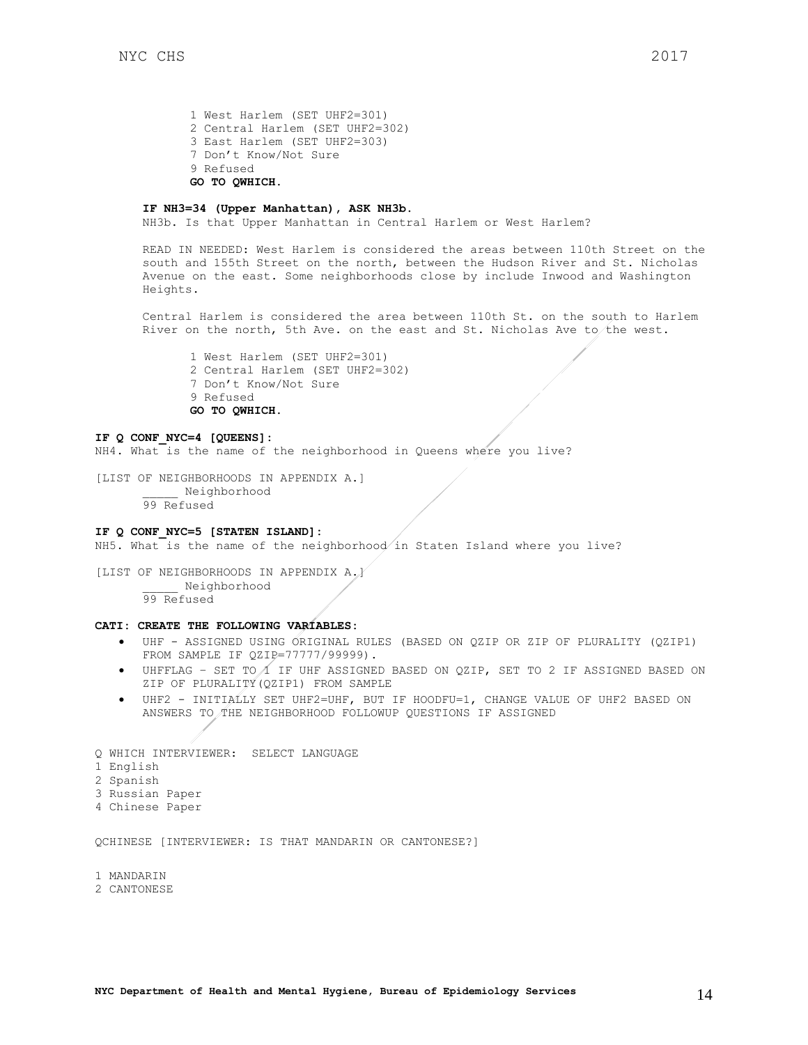1 West Harlem (SET UHF2=301) 2 Central Harlem (SET UHF2=302) 3 East Harlem (SET UHF2=303) 7 Don't Know/Not Sure 9 Refused **GO TO QWHICH.**

### **IF NH3=34 (Upper Manhattan), ASK NH3b.**

NH3b. Is that Upper Manhattan in Central Harlem or West Harlem?

READ IN NEEDED: West Harlem is considered the areas between 110th Street on the south and 155th Street on the north, between the Hudson River and St. Nicholas Avenue on the east. Some neighborhoods close by include Inwood and Washington Heights.

Central Harlem is considered the area between 110th St. on the south to Harlem River on the north, 5th Ave. on the east and St. Nicholas Ave to the west.

1 West Harlem (SET UHF2=301) 2 Central Harlem (SET UHF2=302) 7 Don't Know/Not Sure 9 Refused **GO TO QWHICH.** 

#### **IF Q CONF\_NYC=4 [QUEENS]:**

NH4. What is the name of the neighborhood in Queens where you live?

[LIST OF NEIGHBORHOODS IN APPENDIX A.] \_\_\_\_\_ Neighborhood 99 Refused

### **IF Q CONF\_NYC=5 [STATEN ISLAND]:**

NH5. What is the name of the neighborhood in Staten Island where you live?

[LIST OF NEIGHBORHOODS IN APPENDIX A.] \_\_\_\_\_ Neighborhood 99 Refused

## **CATI: CREATE THE FOLLOWING VARIABLES:**

- UHF ASSIGNED USING ORIGINAL RULES (BASED ON QZIP OR ZIP OF PLURALITY (QZIP1) FROM SAMPLE IF QZIP=77777/99999).
- $\bullet$  UHFFLAG SET TO  $\Lambda$  IF UHF ASSIGNED BASED ON QZIP, SET TO 2 IF ASSIGNED BASED ON ZIP OF PLURALITY(QZIP1) FROM SAMPLE
- UHF2 INITIALLY SET UHF2=UHF, BUT IF HOODFU=1, CHANGE VALUE OF UHF2 BASED ON ANSWERS TO THE NEIGHBORHOOD FOLLOWUP QUESTIONS IF ASSIGNED

Q WHICH INTERVIEWER: SELECT LANGUAGE 1 English 2 Spanish 3 Russian Paper 4 Chinese Paper

QCHINESE [INTERVIEWER: IS THAT MANDARIN OR CANTONESE?]

1 MANDARIN

#### 2 CANTONESE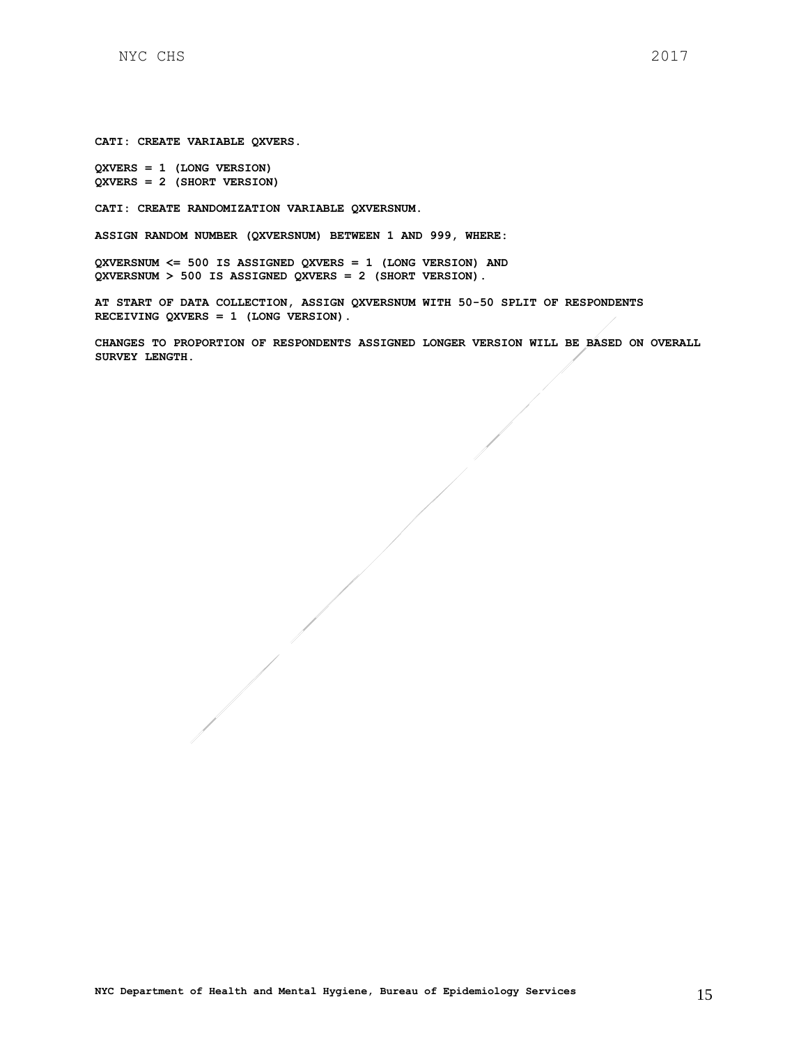**CATI: CREATE VARIABLE QXVERS.** 

**QXVERS = 1 (LONG VERSION) QXVERS = 2 (SHORT VERSION)**

**CATI: CREATE RANDOMIZATION VARIABLE QXVERSNUM.**

**ASSIGN RANDOM NUMBER (QXVERSNUM) BETWEEN 1 AND 999, WHERE:**

**QXVERSNUM <= 500 IS ASSIGNED QXVERS = 1 (LONG VERSION) AND QXVERSNUM > 500 IS ASSIGNED QXVERS = 2 (SHORT VERSION).**

**AT START OF DATA COLLECTION, ASSIGN QXVERSNUM WITH 50-50 SPLIT OF RESPONDENTS RECEIVING QXVERS = 1 (LONG VERSION).**

**CHANGES TO PROPORTION OF RESPONDENTS ASSIGNED LONGER VERSION WILL BE BASED ON OVERALL SURVEY LENGTH.**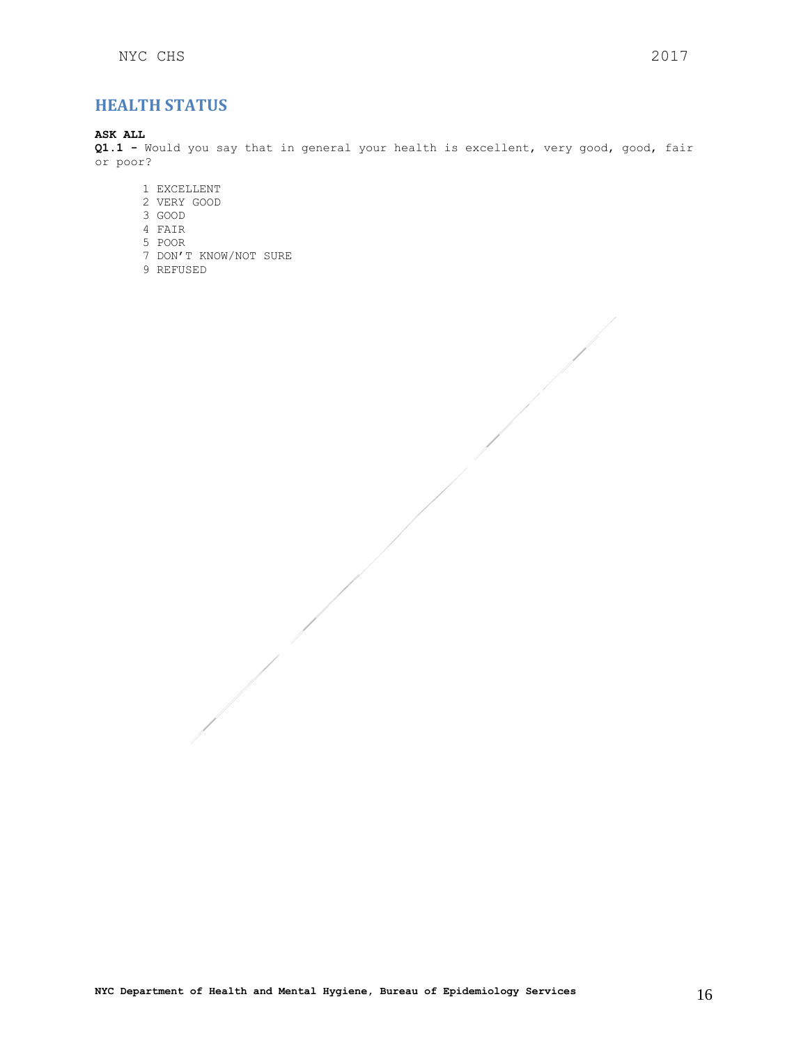## <span id="page-15-0"></span>**HEALTH STATUS**

## **ASK ALL**

**Q1.1 -** Would you say that in general your health is excellent, very good, good, fair or poor?

- 1 EXCELLENT
- 2 VERY GOOD
- 3 GOOD
- 4 FAIR
- 5 POOR
- 7 DON'T KNOW/NOT SURE
- 9 REFUSED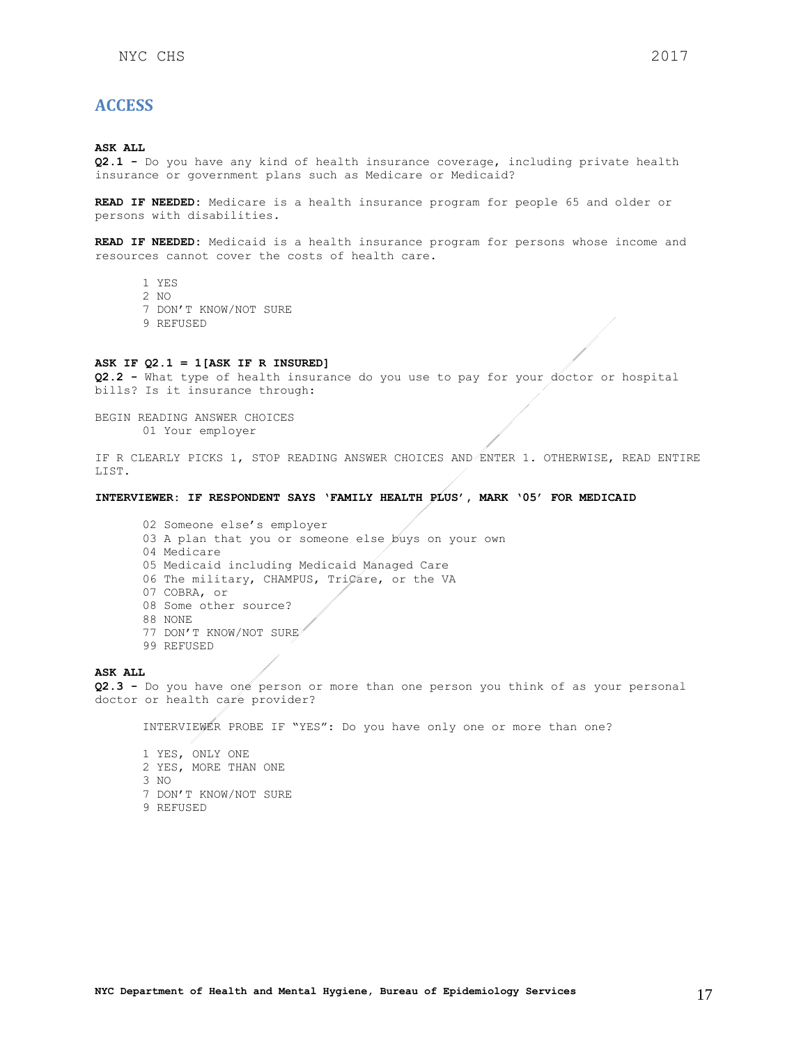## <span id="page-16-0"></span>**ACCESS**

#### **ASK ALL**

**Q2.1 -** Do you have any kind of health insurance coverage, including private health insurance or government plans such as Medicare or Medicaid?

**READ IF NEEDED:** Medicare is a health insurance program for people 65 and older or persons with disabilities.

**READ IF NEEDED:** Medicaid is a health insurance program for persons whose income and resources cannot cover the costs of health care.

- 1 YES
- 2 NO
- 7 DON'T KNOW/NOT SURE
- 9 REFUSED

### **ASK IF Q2.1 = 1[ASK IF R INSURED]**

**Q2.2 -** What type of health insurance do you use to pay for your doctor or hospital bills? Is it insurance through:

BEGIN READING ANSWER CHOICES 01 Your employer

IF R CLEARLY PICKS 1, STOP READING ANSWER CHOICES AND ENTER 1. OTHERWISE, READ ENTIRE LIST.

#### **INTERVIEWER: IF RESPONDENT SAYS 'FAMILY HEALTH PLUS', MARK '05' FOR MEDICAID**

02 Someone else's employer 03 A plan that you or someone else buys on your own 04 Medicare 05 Medicaid including Medicaid Managed Care 06 The military, CHAMPUS, TriCare, or the VA 07 COBRA, or 08 Some other source? 88 NONE 77 DON'T KNOW/NOT SURE 99 REFUSED

#### **ASK ALL**

**Q2.3 -** Do you have one person or more than one person you think of as your personal doctor or health care provider?

INTERVIEWER PROBE IF "YES": Do you have only one or more than one?

1 YES, ONLY ONE 2 YES, MORE THAN ONE 3 NO 7 DON'T KNOW/NOT SURE 9 REFUSED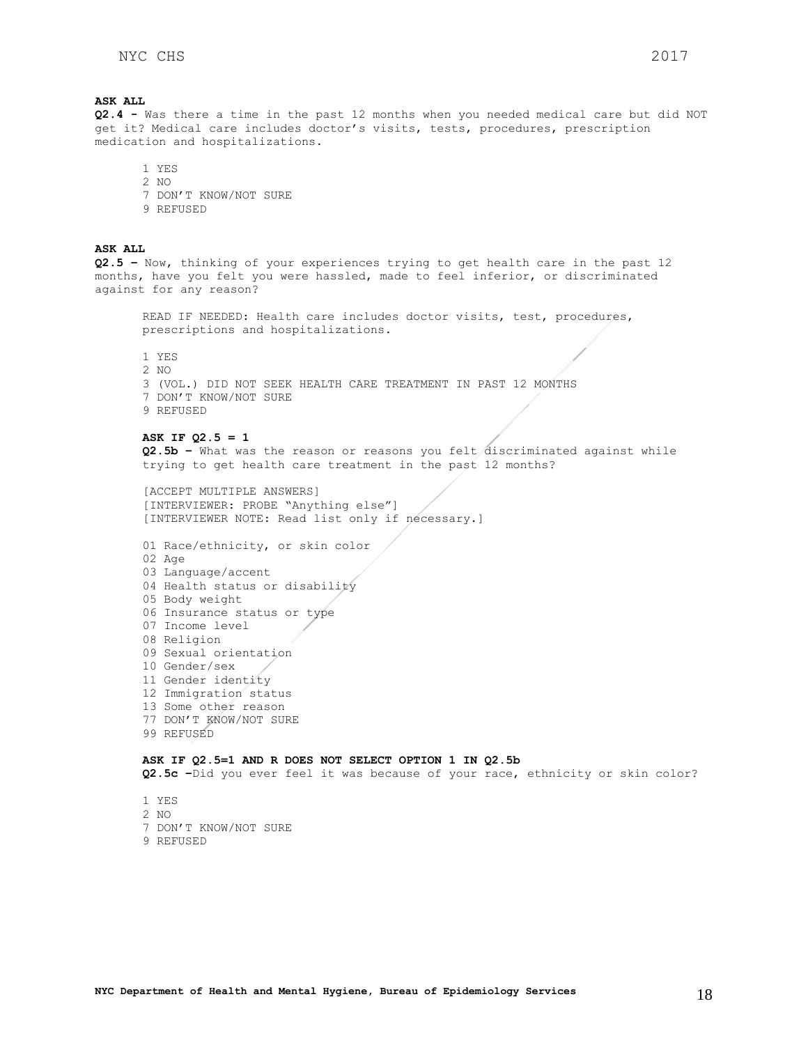## **ASK ALL Q2.4 -** Was there a time in the past 12 months when you needed medical care but did NOT get it? Medical care includes doctor's visits, tests, procedures, prescription medication and hospitalizations. 1 YES 2 NO 7 DON'T KNOW/NOT SURE 9 REFUSED **ASK ALL Q2.5 –** Now, thinking of your experiences trying to get health care in the past 12 months, have you felt you were hassled, made to feel inferior, or discriminated against for any reason? READ IF NEEDED: Health care includes doctor visits, test, procedures, prescriptions and hospitalizations. 1 YES 2 NO 3 (VOL.) DID NOT SEEK HEALTH CARE TREATMENT IN PAST 12 MONTHS 7 DON'T KNOW/NOT SURE 9 REFUSED **ASK IF Q2.5 = 1 Q2.5b –** What was the reason or reasons you felt discriminated against while trying to get health care treatment in the past 12 months? [ACCEPT MULTIPLE ANSWERS] [INTERVIEWER: PROBE "Anything else"] [INTERVIEWER NOTE: Read list only if necessary.] 01 Race/ethnicity, or skin color / 02 Age 03 Language/accent 04 Health status or disability 05 Body weight 06 Insurance status or type 07 Income level 08 Religion 09 Sexual orientation 10 Gender/sex 11 Gender identity 12 Immigration status 13 Some other reason 77 DON'T KNOW/NOT SURE 99 REFUSED **ASK IF Q2.5=1 AND R DOES NOT SELECT OPTION 1 IN Q2.5b Q2.5c –**Did you ever feel it was because of your race, ethnicity or skin color?

1 YES 2 NO 7 DON'T KNOW/NOT SURE 9 REFUSED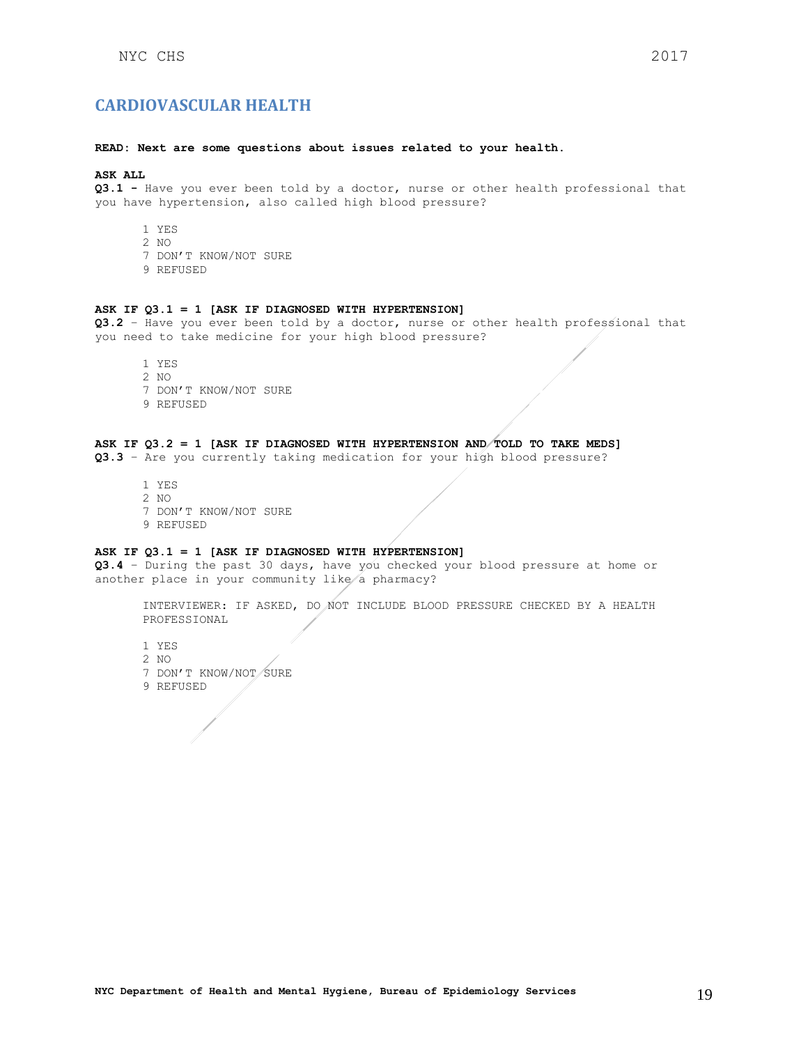#### <span id="page-18-0"></span>**READ: Next are some questions about issues related to your health.**

### **ASK ALL**

**Q3.1 -** Have you ever been told by a doctor, nurse or other health professional that you have hypertension, also called high blood pressure?

- 1 YES
- 2 NO
- 7 DON'T KNOW/NOT SURE
- 9 REFUSED

#### **ASK IF Q3.1 = 1 [ASK IF DIAGNOSED WITH HYPERTENSION]**

**Q3.2** – Have you ever been told by a doctor, nurse or other health professional that you need to take medicine for your high blood pressure?

- 1 YES 2 NO 7 DON'T KNOW/NOT SURE
- 9 REFUSED

## **ASK IF Q3.2 = 1 [ASK IF DIAGNOSED WITH HYPERTENSION AND TOLD TO TAKE MEDS]**

**Q3.3** – Are you currently taking medication for your high blood pressure?

1 YES 2 NO 7 DON'T KNOW/NOT SURE 9 REFUSED

### **ASK IF Q3.1 = 1 [ASK IF DIAGNOSED WITH HYPERTENSION]**

**Q3.4** – During the past 30 days, have you checked your blood pressure at home or another place in your community like a pharmacy?

INTERVIEWER: IF ASKED, DO NOT INCLUDE BLOOD PRESSURE CHECKED BY A HEALTH PROFESSIONAL

- 1 YES
- 2 NO
- 7 DON'T KNOW/NOT SURE
- 9 REFUSED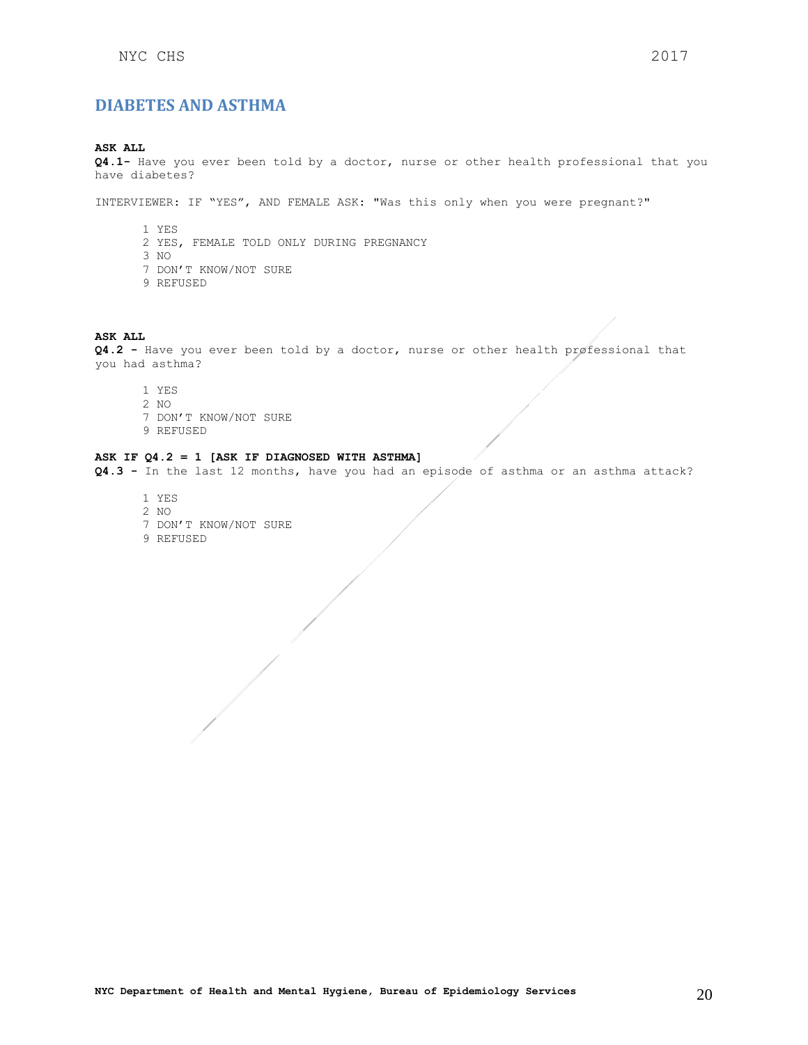## <span id="page-19-0"></span>**ASK ALL**

**Q4.1-** Have you ever been told by a doctor, nurse or other health professional that you have diabetes?

INTERVIEWER: IF "YES", AND FEMALE ASK: "Was this only when you were pregnant?"

- 1 YES 2 YES, FEMALE TOLD ONLY DURING PREGNANCY 3 NO 7 DON'T KNOW/NOT SURE
- 9 REFUSED

## **ASK ALL**

**Q4.2 -** Have you ever been told by a doctor, nurse or other health professional that you had asthma?

- 1 YES 2 NO 7 DON'T KNOW/NOT SURE
- 9 REFUSED

## **ASK IF Q4.2 = 1 [ASK IF DIAGNOSED WITH ASTHMA]**

**Q4.3 -** In the last 12 months, have you had an episode of asthma or an asthma attack?

1 YES 2 NO 7 DON'T KNOW/NOT SURE 9 REFUSED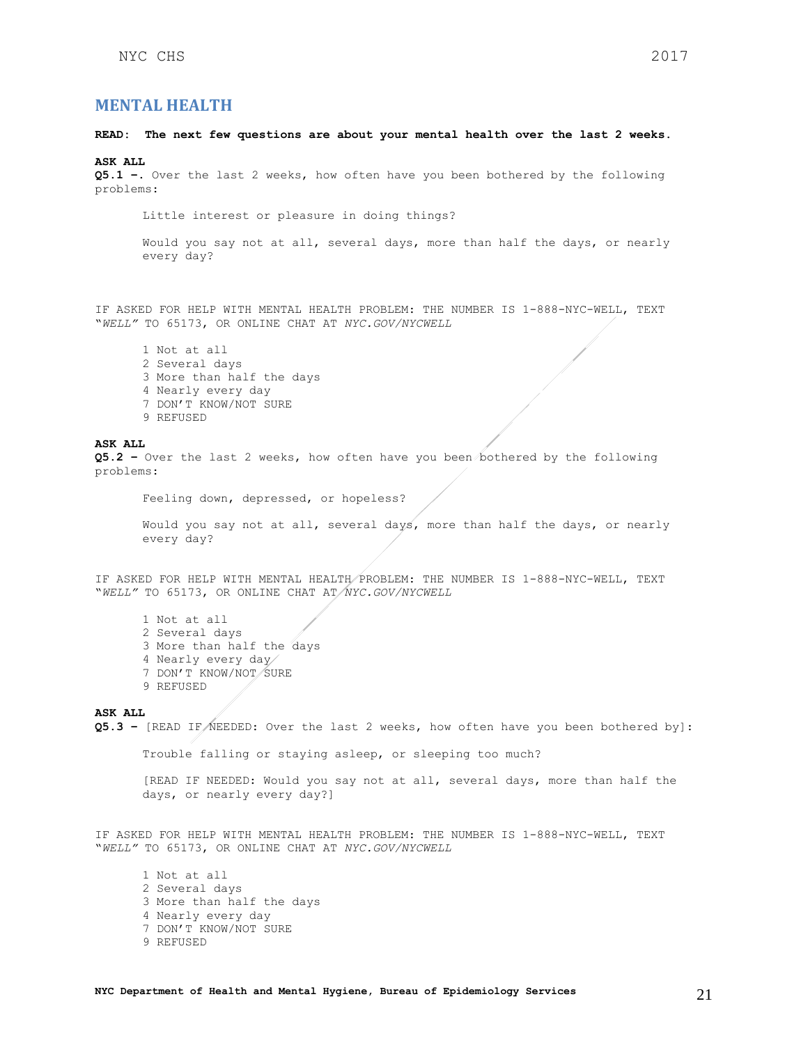## <span id="page-20-0"></span>**MENTAL HEALTH**

### **READ: The next few questions are about your mental health over the last 2 weeks.**

#### **ASK ALL**

**Q5.1 –**. Over the last 2 weeks, how often have you been bothered by the following problems:

Little interest or pleasure in doing things?

Would you say not at all, several days, more than half the days, or nearly every day?

IF ASKED FOR HELP WITH MENTAL HEALTH PROBLEM: THE NUMBER IS 1-888-NYC-WELL, TEXT "*WELL"* TO 65173, OR ONLINE CHAT AT *NYC.GOV/NYCWELL*

1 Not at all 2 Several days 3 More than half the days 4 Nearly every day 7 DON'T KNOW/NOT SURE 9 REFUSED

#### **ASK ALL**

**Q5.2 –** Over the last 2 weeks, how often have you been bothered by the following problems:

Feeling down, depressed, or hopeless?

Would you say not at all, several days, more than half the days, or nearly every day?

IF ASKED FOR HELP WITH MENTAL HEALTH PROBLEM: THE NUMBER IS 1-888-NYC-WELL, TEXT "*WELL"* TO 65173, OR ONLINE CHAT AT *NYC.GOV/NYCWELL*

1 Not at all 2 Several days 3 More than half the days 4 Nearly every day 7 DON'T KNOW/NOT/SURE 9 REFUSED

**ASK ALL** 

**Q5.3 –** [READ IF NEEDED: Over the last 2 weeks, how often have you been bothered by]:

Trouble falling or staying asleep, or sleeping too much?

[READ IF NEEDED: Would you say not at all, several days, more than half the days, or nearly every day?]

IF ASKED FOR HELP WITH MENTAL HEALTH PROBLEM: THE NUMBER IS 1-888-NYC-WELL, TEXT "*WELL"* TO 65173, OR ONLINE CHAT AT *NYC.GOV/NYCWELL*

1 Not at all 2 Several days 3 More than half the days 4 Nearly every day 7 DON'T KNOW/NOT SURE 9 REFUSED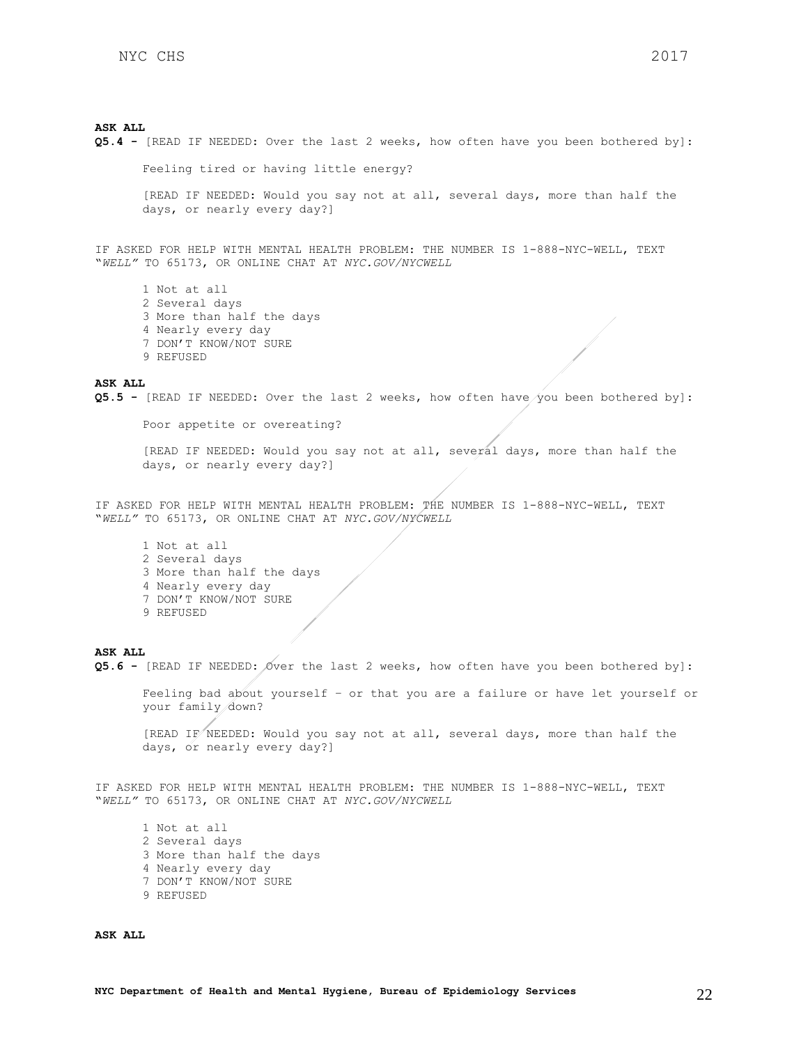**Q5.4 -** [READ IF NEEDED: Over the last 2 weeks, how often have you been bothered by]:

Feeling tired or having little energy? [READ IF NEEDED: Would you say not at all, several days, more than half the days, or nearly every day?]

IF ASKED FOR HELP WITH MENTAL HEALTH PROBLEM: THE NUMBER IS 1-888-NYC-WELL, TEXT "*WELL"* TO 65173, OR ONLINE CHAT AT *NYC.GOV/NYCWELL*

1 Not at all 2 Several days 3 More than half the days 4 Nearly every day 7 DON'T KNOW/NOT SURE 9 REFUSED

### **ASK ALL**

**Q5.5 -** [READ IF NEEDED: Over the last 2 weeks, how often have you been bothered by]:

Poor appetite or overeating?

[READ IF NEEDED: Would you say not at all, several days, more than half the days, or nearly every day?]

IF ASKED FOR HELP WITH MENTAL HEALTH PROBLEM: THE NUMBER IS 1-888-NYC-WELL, TEXT "*WELL"* TO 65173, OR ONLINE CHAT AT *NYC.GOV/NYCWELL*

1 Not at all 2 Several days 3 More than half the days 4 Nearly every day 7 DON'T KNOW/NOT SURE 9 REFUSED

#### **ASK ALL**

**Q5.6 -** [READ IF NEEDED: Over the last 2 weeks, how often have you been bothered by]:

Feeling bad about yourself – or that you are a failure or have let yourself or your family down?

[READ IF NEEDED: Would you say not at all, several days, more than half the days, or nearly every day?]

IF ASKED FOR HELP WITH MENTAL HEALTH PROBLEM: THE NUMBER IS 1-888-NYC-WELL, TEXT "*WELL"* TO 65173, OR ONLINE CHAT AT *NYC.GOV/NYCWELL*

1 Not at all 2 Several days 3 More than half the days 4 Nearly every day 7 DON'T KNOW/NOT SURE 9 REFUSED

**ASK ALL**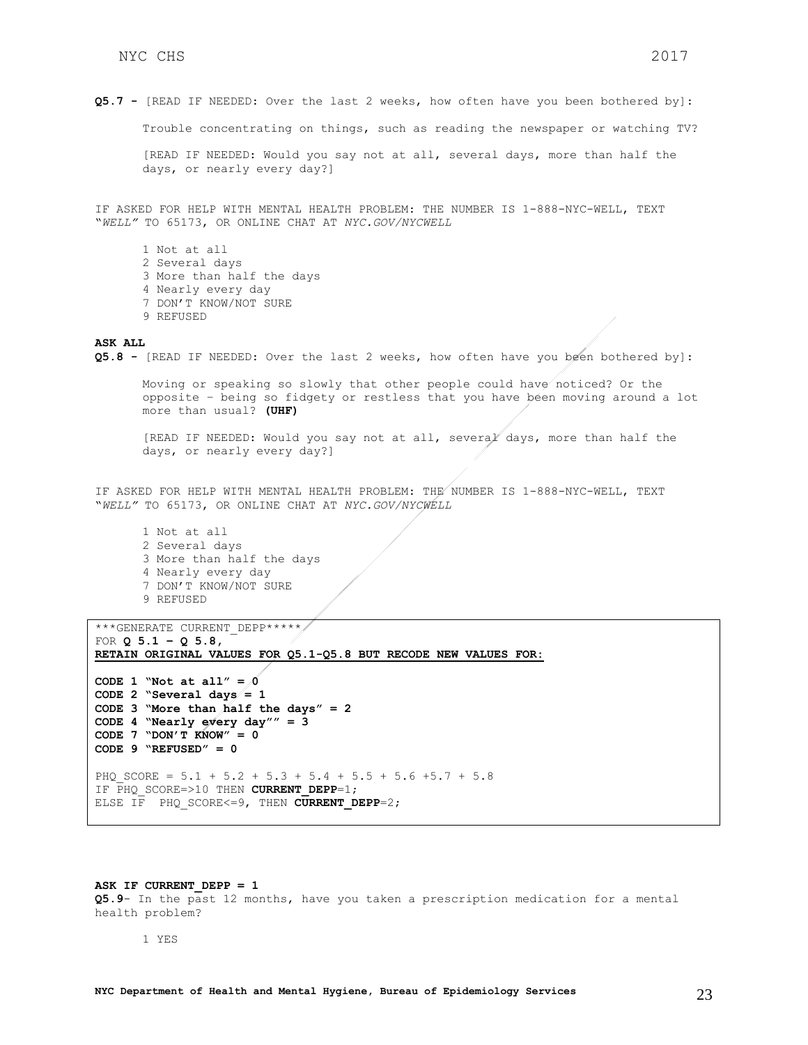Trouble concentrating on things, such as reading the newspaper or watching TV?

[READ IF NEEDED: Would you say not at all, several days, more than half the days, or nearly every day?]

IF ASKED FOR HELP WITH MENTAL HEALTH PROBLEM: THE NUMBER IS 1-888-NYC-WELL, TEXT "*WELL"* TO 65173, OR ONLINE CHAT AT *NYC.GOV/NYCWELL*

1 Not at all 2 Several days 3 More than half the days 4 Nearly every day 7 DON'T KNOW/NOT SURE 9 REFUSED

#### **ASK ALL**

**Q5.8 -** [READ IF NEEDED: Over the last 2 weeks, how often have you been bothered by]:

Moving or speaking so slowly that other people could have noticed? Or the opposite – being so fidgety or restless that you have been moving around a lot more than usual? **(UHF)**

[READ IF NEEDED: Would you say not at all, several days, more than half the days, or nearly every day?]

IF ASKED FOR HELP WITH MENTAL HEALTH PROBLEM: THE NUMBER IS 1-888-NYC-WELL, TEXT "*WELL"* TO 65173, OR ONLINE CHAT AT *NYC.GOV/NYCWELL*

1 Not at all 2 Several days 3 More than half the days 4 Nearly every day 7 DON'T KNOW/NOT SURE 9 REFUSED

```
***GENERATE CURRENT DEPP*****
FOR Q 5.1 – Q 5.8, 
RETAIN ORIGINAL VALUES FOR Q5.1-Q5.8 BUT RECODE NEW VALUES FOR:
```

```
CODE 1 "Not at all" = \thetaCODE 2 "Several days = 1
CODE 3 "More than half the days" = 2
CODE 4 "Nearly every day"" = 3
CODE 7 "DON'T KNOW" = 0
CODE 9 "REFUSED" = 0 
PHQ SCORE = 5.1 + 5.2 + 5.3 + 5.4 + 5.5 + 5.6 +5.7 + 5.8
IF PHQ_SCORE=>10 THEN CURRENT_DEPP=1; 
ELSE IF PHQ SCORE<=9, THEN CURRENT DEPP=2;
```
#### ASK IF CURRENT DEPP = 1

**Q5.9**- In the past 12 months, have you taken a prescription medication for a mental health problem?

1 YES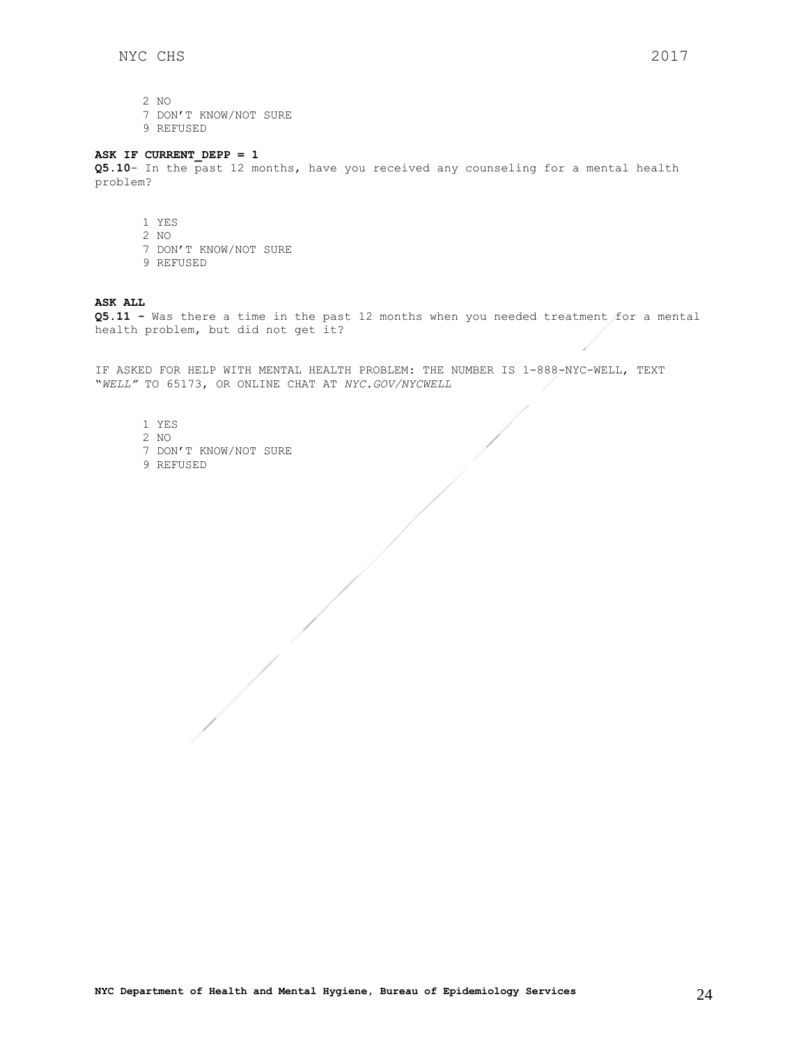1

2 NO

7 DON'T KNOW/NOT SURE

9 REFUSED

### **ASK IF CURRENT\_DEPP = 1**

**Q5.10**- In the past 12 months, have you received any counseling for a mental health problem?

- 1 YES
- 2 NO
- 7 DON'T KNOW/NOT SURE
- 9 REFUSED

### **ASK ALL**

**Q5.11 -** Was there a time in the past 12 months when you needed treatment for a mental health problem, but did not get it?

IF ASKED FOR HELP WITH MENTAL HEALTH PROBLEM: THE NUMBER IS 1-888-NYC-WELL, TEXT "*WELL"* TO 65173, OR ONLINE CHAT AT *NYC.GOV/NYCWELL*

- 1 YES
- 2 NO
- 7 DON'T KNOW/NOT SURE
- 9 REFUSED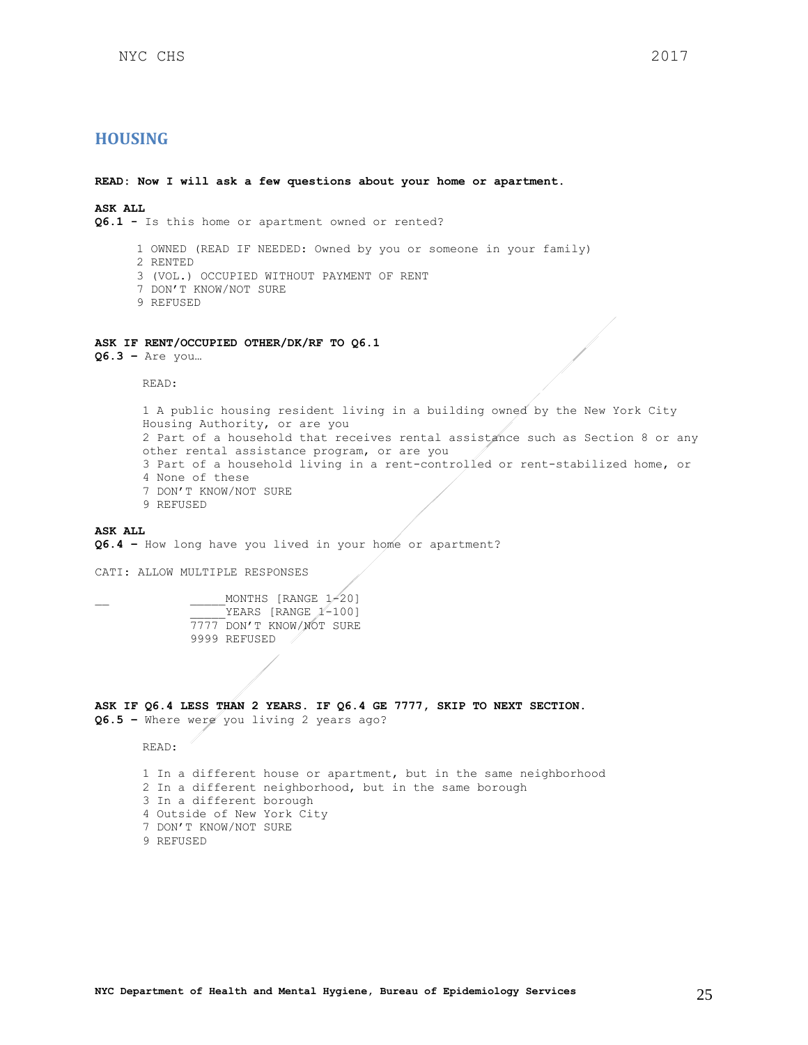## <span id="page-24-0"></span>**HOUSING**

**READ: Now I will ask a few questions about your home or apartment.**

**ASK ALL Q6.1 -** Is this home or apartment owned or rented?

- 1 OWNED (READ IF NEEDED: Owned by you or someone in your family)
- 2 RENTED
- 3 (VOL.) OCCUPIED WITHOUT PAYMENT OF RENT
- 7 DON'T KNOW/NOT SURE
- 9 REFUSED

## **ASK IF RENT/OCCUPIED OTHER/DK/RF TO Q6.1**

**Q6.3 –** Are you…

READ:

1 A public housing resident living in a building owned by the New York City Housing Authority, or are you 2 Part of a household that receives rental assistance such as Section 8 or any other rental assistance program, or are you 3 Part of a household living in a rent-controlled or rent-stabilized home, or 4 None of these 7 DON'T KNOW/NOT SURE 9 REFUSED

### **ASK ALL**

**Q6.4 –** How long have you lived in your home or apartment?

CATI: ALLOW MULTIPLE RESPONSES

 $MONTHS$  [RANGE  $1/20$ ] YEARS [RANGE 1-100] 7777 DON'T KNOW/NOT SURE 9999 REFUSED

**ASK IF Q6.4 LESS THAN 2 YEARS. IF Q6.4 GE 7777, SKIP TO NEXT SECTION. Q6.5 –** Where were you living 2 years ago?

READ:

1 In a different house or apartment, but in the same neighborhood 2 In a different neighborhood, but in the same borough 3 In a different borough 4 Outside of New York City 7 DON'T KNOW/NOT SURE 9 REFUSED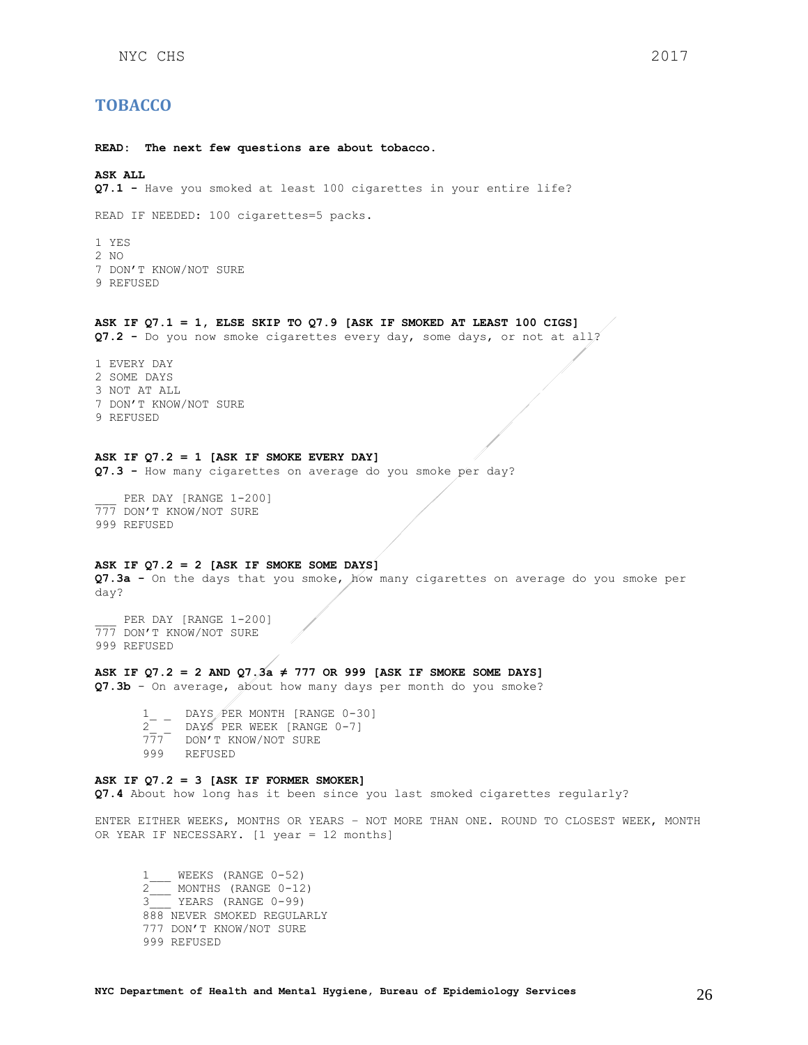## <span id="page-25-0"></span>**TOBACCO**

**READ: The next few questions are about tobacco.** 

## **ASK ALL**

**Q7.1 -** Have you smoked at least 100 cigarettes in your entire life?

READ IF NEEDED: 100 cigarettes=5 packs.

1 YES 2 NO 7 DON'T KNOW/NOT SURE 9 REFUSED

#### **ASK IF Q7.1 = 1, ELSE SKIP TO Q7.9 [ASK IF SMOKED AT LEAST 100 CIGS]**

**Q7.2 -** Do you now smoke cigarettes every day, some days, or not at all?

1 EVERY DAY 2 SOME DAYS 3 NOT AT ALL 7 DON'T KNOW/NOT SURE 9 REFUSED

## **ASK IF Q7.2 = 1 [ASK IF SMOKE EVERY DAY]**

**Q7.3 -** How many cigarettes on average do you smoke per day?

PER DAY [RANGE 1-200] 777 DON'T KNOW/NOT SURE 999 REFUSED

### **ASK IF Q7.2 = 2 [ASK IF SMOKE SOME DAYS]**

**Q7.3a -** On the days that you smoke, how many cigarettes on average do you smoke per day?

PER DAY [RANGE 1-200] 777 DON'T KNOW/NOT SURE 999 REFUSED

#### **ASK IF Q7.2 = 2 AND Q7.3a ≠ 777 OR 999 [ASK IF SMOKE SOME DAYS]**

**Q7.3b** - On average, about how many days per month do you smoke?

 $\frac{1}{2}$   $-$  DAYS PER MONTH [RANGE 0-30] 2\_ \_ DAYS PER WEEK [RANGE 0-7] 777 DON'T KNOW/NOT SURE 999 REFUSED

#### **ASK IF Q7.2 = 3 [ASK IF FORMER SMOKER]**

**Q7.4** About how long has it been since you last smoked cigarettes regularly?

ENTER EITHER WEEKS, MONTHS OR YEARS – NOT MORE THAN ONE. ROUND TO CLOSEST WEEK, MONTH OR YEAR IF NECESSARY. [1 year = 12 months]

1\_\_\_ WEEKS (RANGE 0-52)  $2\frac{1}{\sqrt{2}}$  MONTHS (RANGE 0-12) 3\_\_\_ YEARS (RANGE 0-99) 888 NEVER SMOKED REGULARLY 777 DON'T KNOW/NOT SURE 999 REFUSED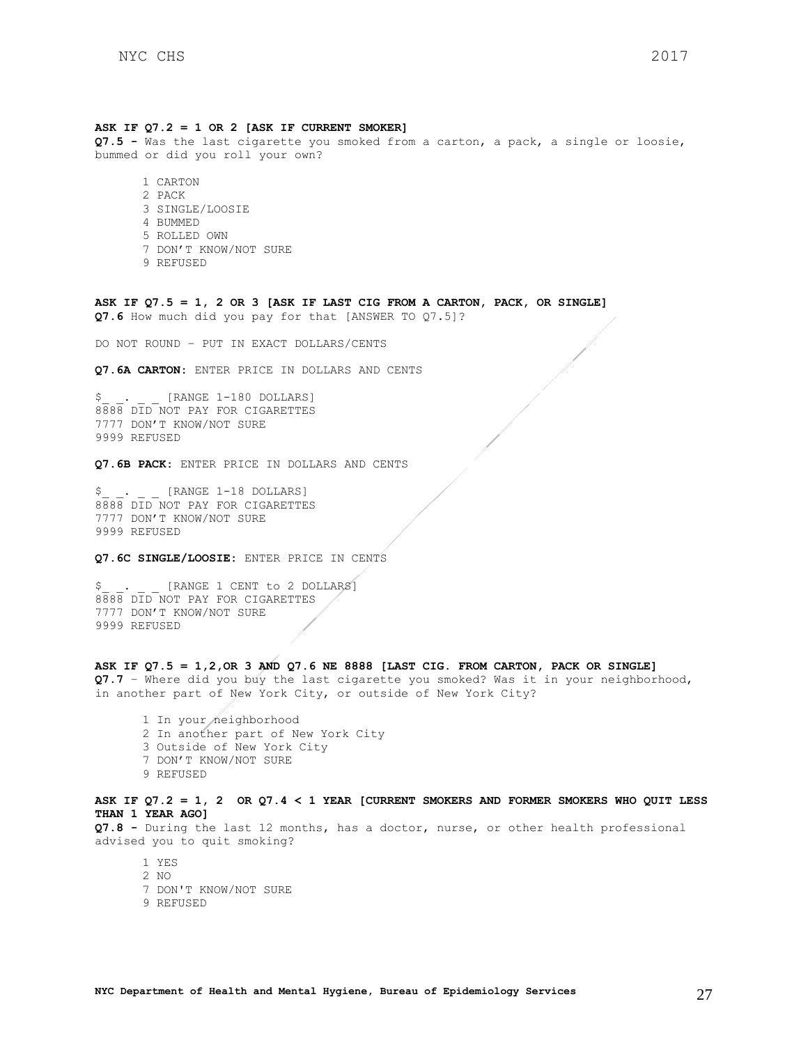#### **ASK IF Q7.2 = 1 OR 2 [ASK IF CURRENT SMOKER]**

**Q7.5 -** Was the last cigarette you smoked from a carton, a pack, a single or loosie, bummed or did you roll your own?

1 CARTON 2 PACK 3 SINGLE/LOOSIE 4 BUMMED 5 ROLLED OWN 7 DON'T KNOW/NOT SURE 9 REFUSED

**ASK IF Q7.5 = 1, 2 OR 3 [ASK IF LAST CIG FROM A CARTON, PACK, OR SINGLE] Q7.6** How much did you pay for that [ANSWER TO Q7.5]?

DO NOT ROUND – PUT IN EXACT DOLLARS/CENTS

**Q7.6A CARTON:** ENTER PRICE IN DOLLARS AND CENTS

 $S_{-}$   $\cdots$   $\cdots$  [RANGE 1-180 DOLLARS] 8888 DID NOT PAY FOR CIGARETTES 7777 DON'T KNOW/NOT SURE 9999 REFUSED

**Q7.6B PACK:** ENTER PRICE IN DOLLARS AND CENTS

[RANGE 1-18 DOLLARS] 8888 DID NOT PAY FOR CIGARETTES 7777 DON'T KNOW/NOT SURE 9999 REFUSED

## **Q7.6C SINGLE/LOOSIE:** ENTER PRICE IN CENTS

[RANGE 1 CENT to 2 DOLLARS] 8888 DID NOT PAY FOR CIGARETTES 7777 DON'T KNOW/NOT SURE 9999 REFUSED

#### **ASK IF Q7.5 = 1,2,OR 3 AND Q7.6 NE 8888 [LAST CIG. FROM CARTON, PACK OR SINGLE]**

**Q7.7** – Where did you buy the last cigarette you smoked? Was it in your neighborhood, in another part of New York City, or outside of New York City?

1 In your neighborhood 2 In another part of New York City 3 Outside of New York City 7 DON'T KNOW/NOT SURE 9 REFUSED

### **ASK IF Q7.2 = 1, 2 OR Q7.4 < 1 YEAR [CURRENT SMOKERS AND FORMER SMOKERS WHO QUIT LESS THAN 1 YEAR AGO]**

**Q7.8 -** During the last 12 months, has a doctor, nurse, or other health professional advised you to quit smoking?

1 YES 2 NO 7 DON'T KNOW/NOT SURE 9 REFUSED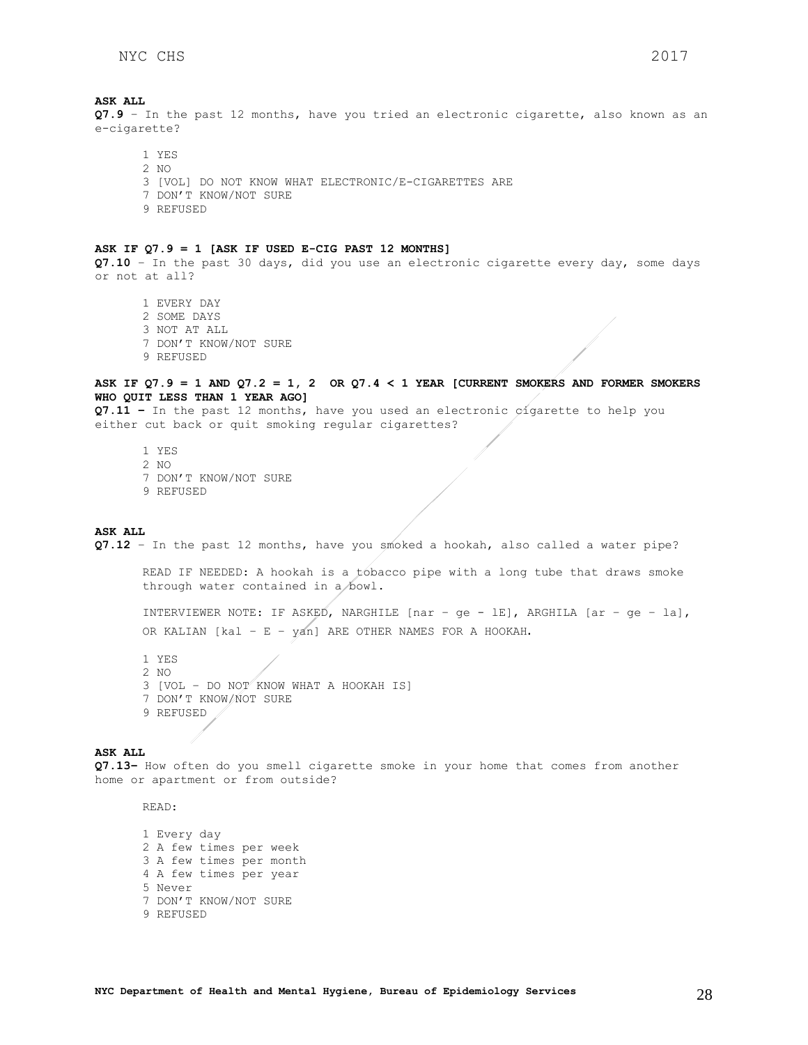**ASK ALL Q7.9** – In the past 12 months, have you tried an electronic cigarette, also known as an e-cigarette?

1 YES 2 NO 3 [VOL] DO NOT KNOW WHAT ELECTRONIC/E-CIGARETTES ARE 7 DON'T KNOW/NOT SURE 9 REFUSED

#### **ASK IF Q7.9 = 1 [ASK IF USED E-CIG PAST 12 MONTHS]**

**Q7.10** – In the past 30 days, did you use an electronic cigarette every day, some days or not at all?

1 EVERY DAY 2 SOME DAYS 3 NOT AT ALL 7 DON'T KNOW/NOT SURE 9 REFUSED

### **ASK IF Q7.9 = 1 AND Q7.2 = 1, 2 OR Q7.4 < 1 YEAR [CURRENT SMOKERS AND FORMER SMOKERS WHO QUIT LESS THAN 1 YEAR AGO]**

**Q7.11 –** In the past 12 months, have you used an electronic cigarette to help you either cut back or quit smoking regular cigarettes?

1 YES 2 NO 7 DON'T KNOW/NOT SURE 9 REFUSED

### **ASK ALL**

**Q7.12** – In the past 12 months, have you smoked a hookah, also called a water pipe?

READ IF NEEDED: A hookah is a tobacco pipe with a long tube that draws smoke through water contained in a bowl.

INTERVIEWER NOTE: IF ASKED, NARGHILE [nar – ge - lE], ARGHILA [ar – ge – la], OR KALIAN [kal – E – yan] ARE OTHER NAMES FOR A HOOKAH.

1 YES 2 NO 3 [VOL – DO NOT KNOW WHAT A HOOKAH IS] 7 DON'T KNOW/NOT SURE 9 REFUSED

#### **ASK ALL**

**Q7.13–** How often do you smell cigarette smoke in your home that comes from another home or apartment or from outside?

READ:

1 Every day 2 A few times per week 3 A few times per month 4 A few times per year 5 Never 7 DON'T KNOW/NOT SURE 9 REFUSED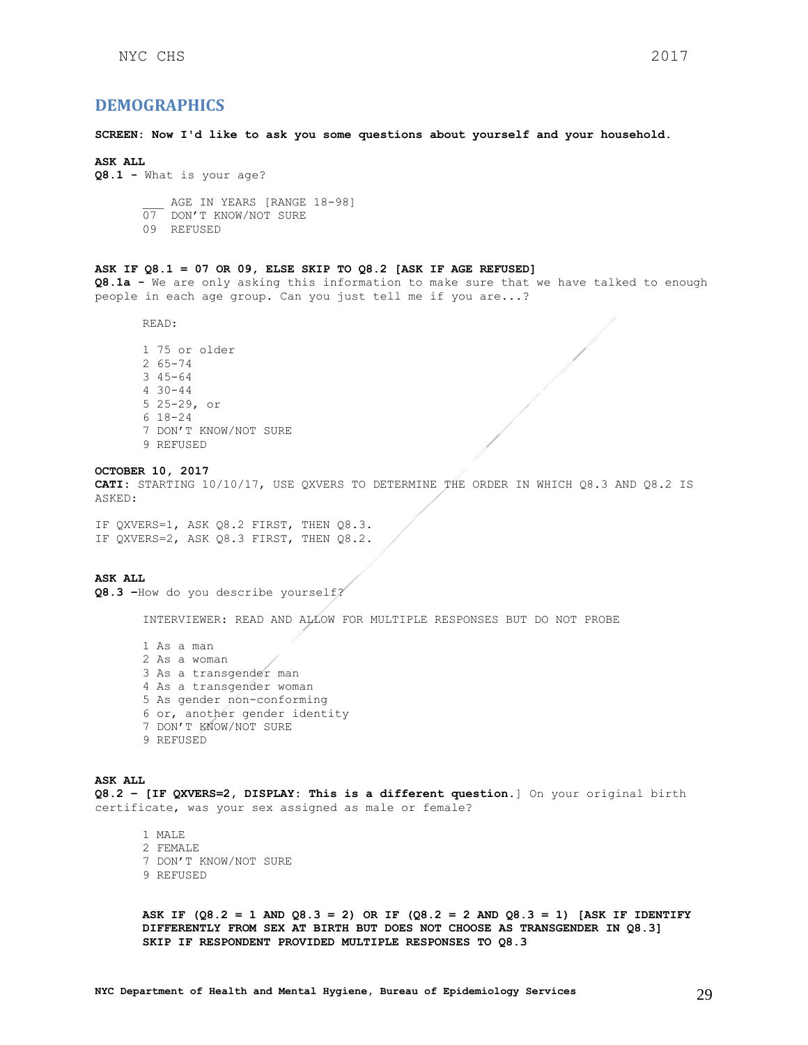## <span id="page-28-0"></span>**DEMOGRAPHICS**

**SCREEN: Now I'd like to ask you some questions about yourself and your household.**

#### **ASK ALL**

**Q8.1 -** What is your age?

AGE IN YEARS [RANGE 18-98] 07 DON'T KNOW/NOT SURE

09 REFUSED

### **ASK IF Q8.1 = 07 OR 09, ELSE SKIP TO Q8.2 [ASK IF AGE REFUSED]**

**Q8.1a -** We are only asking this information to make sure that we have talked to enough people in each age group. Can you just tell me if you are...?

READ:

1 75 or older 2 65-74 3 45-64 4 30-44 5 25-29, or 6 18-24 7 DON'T KNOW/NOT SURE 9 REFUSED

#### **OCTOBER 10, 2017**

**CATI:** STARTING 10/10/17, USE QXVERS TO DETERMINE THE ORDER IN WHICH Q8.3 AND Q8.2 IS ASKED:

IF QXVERS=1, ASK Q8.2 FIRST, THEN Q8.3. IF QXVERS=2, ASK Q8.3 FIRST, THEN Q8.2.

**ASK ALL Q8.3 –**How do you describe yourself?

INTERVIEWER: READ AND ALLOW FOR MULTIPLE RESPONSES BUT DO NOT PROBE

1 As a man 2 As a woman 3 As a transgender man 4 As a transgender woman 5 As gender non-conforming 6 or, another gender identity 7 DON'T KNOW/NOT SURE 9 REFUSED

#### **ASK ALL**

**Q8.2 – [IF QXVERS=2, DISPLAY: This is a different question.**] On your original birth certificate, was your sex assigned as male or female?

1 MALE 2 FEMALE 7 DON'T KNOW/NOT SURE 9 REFUSED

**ASK IF (Q8.2 = 1 AND Q8.3 = 2) OR IF (Q8.2 = 2 AND Q8.3 = 1) [ASK IF IDENTIFY DIFFERENTLY FROM SEX AT BIRTH BUT DOES NOT CHOOSE AS TRANSGENDER IN Q8.3] SKIP IF RESPONDENT PROVIDED MULTIPLE RESPONSES TO Q8.3**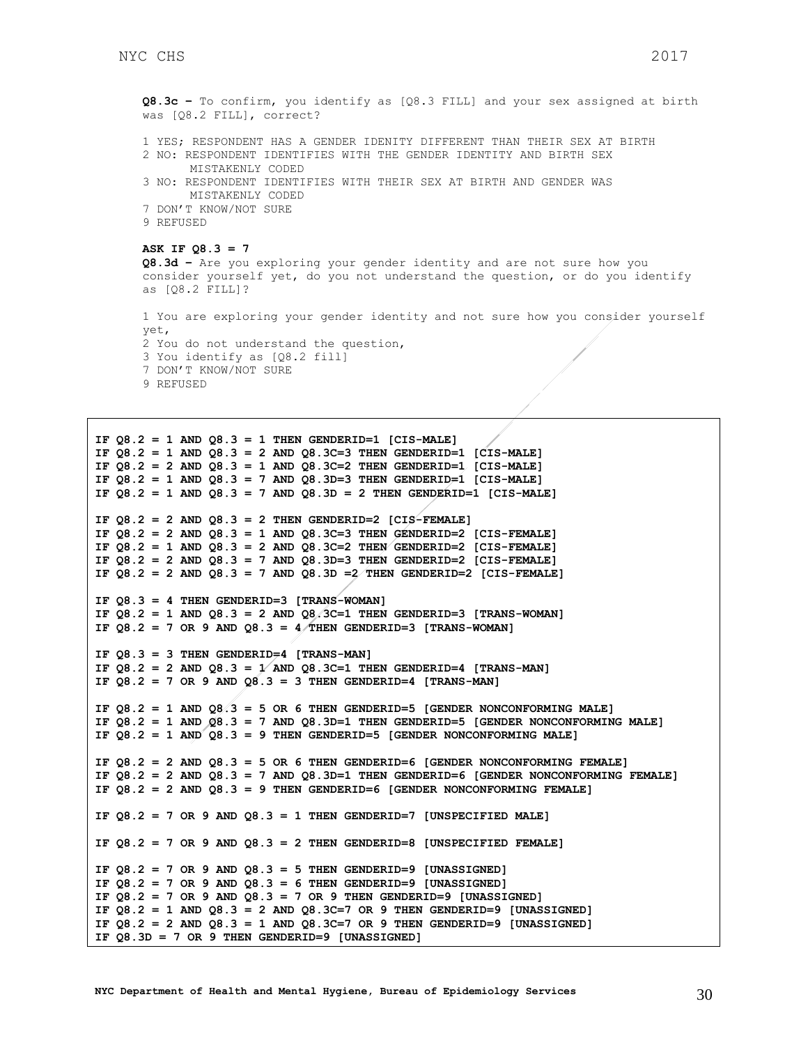```
Q8.3c – To confirm, you identify as [Q8.3 FILL] and your sex assigned at birth 
was [Q8.2 FILL], correct?
1 YES; RESPONDENT HAS A GENDER IDENITY DIFFERENT THAN THEIR SEX AT BIRTH
2 NO: RESPONDENT IDENTIFIES WITH THE GENDER IDENTITY AND BIRTH SEX 
      MISTAKENLY CODED
3 NO: RESPONDENT IDENTIFIES WITH THEIR SEX AT BIRTH AND GENDER WAS 
      MISTAKENLY CODED
7 DON'T KNOW/NOT SURE
9 REFUSED
```

```
ASK IF Q8.3 = 7
```

```
Q8.3d – Are you exploring your gender identity and are not sure how you 
consider yourself yet, do you not understand the question, or do you identify 
as [Q8.2 FILL]?
```

```
1 You are exploring your gender identity and not sure how you consider yourself 
yet,
2 You do not understand the question, 
3 You identify as [Q8.2 fill]
7 DON'T KNOW/NOT SURE
9 REFUSED
```

```
IF Q8.2 = 1 AND Q8.3 = 1 THEN GENDERID=1 [CIS-MALE]
IF Q8.2 = 1 AND Q8.3 = 2 AND Q8.3C=3 THEN GENDERID=1 [CIS-MALE]
IF Q8.2 = 2 AND Q8.3 = 1 AND Q8.3C=2 THEN GENDERID=1 [CIS-MALE]
IF Q8.2 = 1 AND Q8.3 = 7 AND Q8.3D=3 THEN GENDERID=1 [CIS-MALE]
IF Q8.2 = 1 AND Q8.3 = 7 AND Q8.3D = 2 THEN GENDERID=1 [CIS-MALE]
IF Q8.2 = 2 AND Q8.3 = 2 THEN GENDERID=2 [CIS-FEMALE]
IF 08.2 = 2 AND 08.3 = 1 AND 08.3C=3 THEN GENDERID=2 [CIS-FEMALE]
IF Q8.2 = 1 AND Q8.3 = 2 AND Q8.3C=2 THEN GENDERID=2 [CIS-FEMALE]
IF Q8.2 = 2 AND Q8.3 = 7 AND Q8.3D=3 THEN GENDERID=2 [CIS-FEMALE]
IF Q8.2 = 2 AND Q8.3 = 7 AND Q8.3D = 2 THEN GENDERID=2 [CIS-FEMALE]
IF Q8.3 = 4 THEN GENDERID=3 [TRANS-WOMAN]
IF 08.2 = 1 AND 08.3 = 2 AND 08.3C=1 THEN GENDERID=3 [TRANS-WOMAN]
IF Q8.2 = 7 OR 9 AND Q8.3 = 4 THEN GENDERID=3 [TRANS-WOMAN]
IF Q8.3 = 3 THEN GENDERID=4 [TRANS-MAN]
IF Q8.2 = 2 AND Q8.3 = 1/ AND Q8.3C=1 THEN GENDERID=4 [TRANS-MAN]
IF Q8.2 = 7 OR 9 AND Q8.3 = 3 THEN GENDERID=4 [TRANS-MAN]
IF Q8.2 = 1 AND Q8.3 = 5 OR 6 THEN GENDERID=5 [GENDER NONCONFORMING MALE]
IF Q8.2 = 1 AND Q8.3 = 7 AND Q8.3D=1 THEN GENDERID=5 [GENDER NONCONFORMING MALE]
IF Q8.2 = 1 AND Q8.3 = 9 THEN GENDERID=5 [GENDER NONCONFORMING MALE]
IF Q8.2 = 2 AND Q8.3 = 5 OR 6 THEN GENDERID=6 [GENDER NONCONFORMING FEMALE]
IF Q8.2 = 2 AND Q8.3 = 7 AND Q8.3D=1 THEN GENDERID=6 [GENDER NONCONFORMING FEMALE]
IF Q8.2 = 2 AND Q8.3 = 9 THEN GENDERID=6 [GENDER NONCONFORMING FEMALE]
IF Q8.2 = 7 OR 9 AND Q8.3 = 1 THEN GENDERID=7 [UNSPECIFIED MALE]
IF Q8.2 = 7 OR 9 AND Q8.3 = 2 THEN GENDERID=8 [UNSPECIFIED FEMALE]
IF Q8.2 = 7 OR 9 AND Q8.3 = 5 THEN GENDERID=9 [UNASSIGNED]
IF Q8.2 = 7 OR 9 AND Q8.3 = 6 THEN GENDERID=9 [UNASSIGNED]
IF Q8.2 = 7 OR 9 AND Q8.3 = 7 OR 9 THEN GENDERID=9 [UNASSIGNED]
IF Q8.2 = 1 AND Q8.3 = 2 AND Q8.3C=7 OR 9 THEN GENDERID=9 [UNASSIGNED]
IF Q8.2 = 2 AND Q8.3 = 1 AND Q8.3C=7 OR 9 THEN GENDERID=9 [UNASSIGNED]
IF Q8.3D = 7 OR 9 THEN GENDERID=9 [UNASSIGNED]
```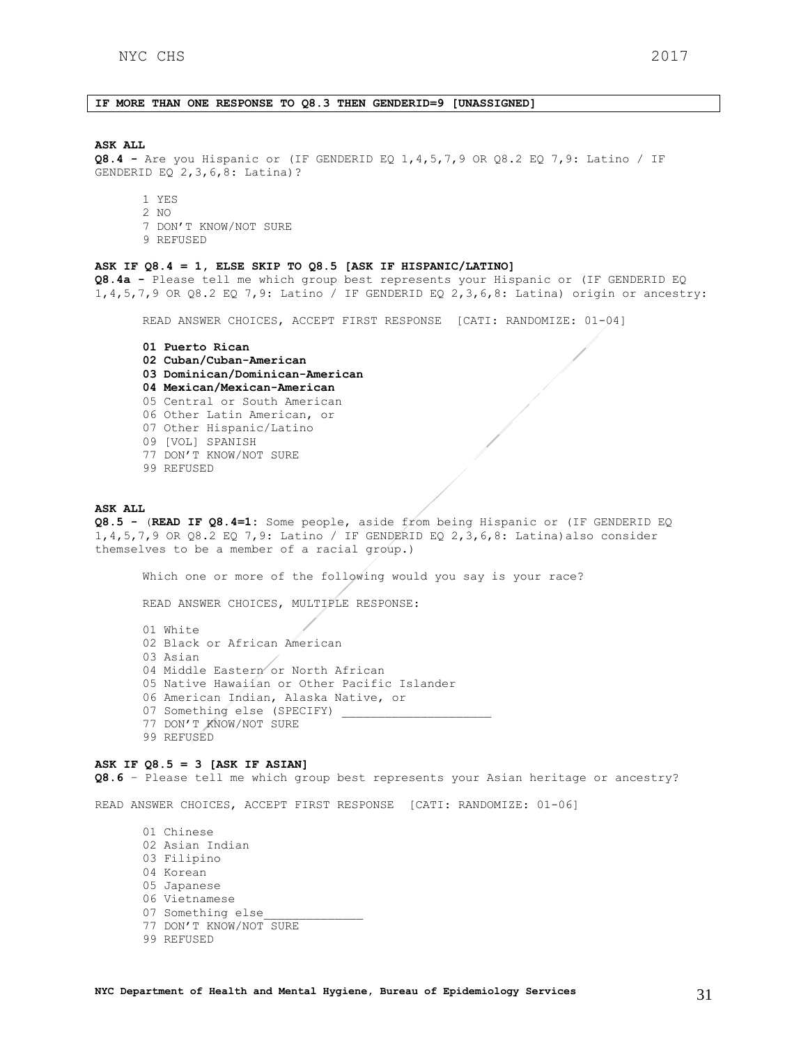## **IF MORE THAN ONE RESPONSE TO Q8.3 THEN GENDERID=9 [UNASSIGNED]**

### **ASK ALL**

**Q8.4 -** Are you Hispanic or (IF GENDERID EQ 1,4,5,7,9 OR Q8.2 EQ 7,9: Latino / IF GENDERID EQ 2,3,6,8: Latina)?

- 1 YES 2 NO
- 7 DON'T KNOW/NOT SURE
- 9 REFUSED

#### **ASK IF Q8.4 = 1, ELSE SKIP TO Q8.5 [ASK IF HISPANIC/LATINO]**

**Q8.4a -** Please tell me which group best represents your Hispanic or (IF GENDERID EQ 1,4,5,7,9 OR Q8.2 EQ 7,9: Latino / IF GENDERID EQ 2,3,6,8: Latina) origin or ancestry:

READ ANSWER CHOICES, ACCEPT FIRST RESPONSE [CATI: RANDOMIZE: 01-04]

## **01 Puerto Rican 02 Cuban/Cuban-American 03 Dominican/Dominican-American 04 Mexican/Mexican-American**  05 Central or South American 06 Other Latin American, or 07 Other Hispanic/Latino 09 [VOL] SPANISH 77 DON'T KNOW/NOT SURE 99 REFUSED

#### **ASK ALL**

**Q8.5 -** (**READ IF Q8.4=1:** Some people, aside from being Hispanic or (IF GENDERID EQ 1,4,5,7,9 OR Q8.2 EQ 7,9: Latino / IF GENDERID EQ 2,3,6,8: Latina)also consider themselves to be a member of a racial group.)

Which one or more of the following would you say is your race?

READ ANSWER CHOICES, MULTIPLE RESPONSE:

01 White 02 Black or African American 03 Asian 04 Middle Eastern or North African 05 Native Hawaiian or Other Pacific Islander 06 American Indian, Alaska Native, or 07 Something else (SPECIFY) 77 DON'T KNOW/NOT SURE 99 REFUSED

#### **ASK IF Q8.5 = 3 [ASK IF ASIAN]**

**Q8.6** – Please tell me which group best represents your Asian heritage or ancestry?

READ ANSWER CHOICES, ACCEPT FIRST RESPONSE [CATI: RANDOMIZE: 01-06]

01 Chinese 02 Asian Indian 03 Filipino 04 Korean 05 Japanese 06 Vietnamese 07 Something else 77 DON'T KNOW/NOT SURE 99 REFUSED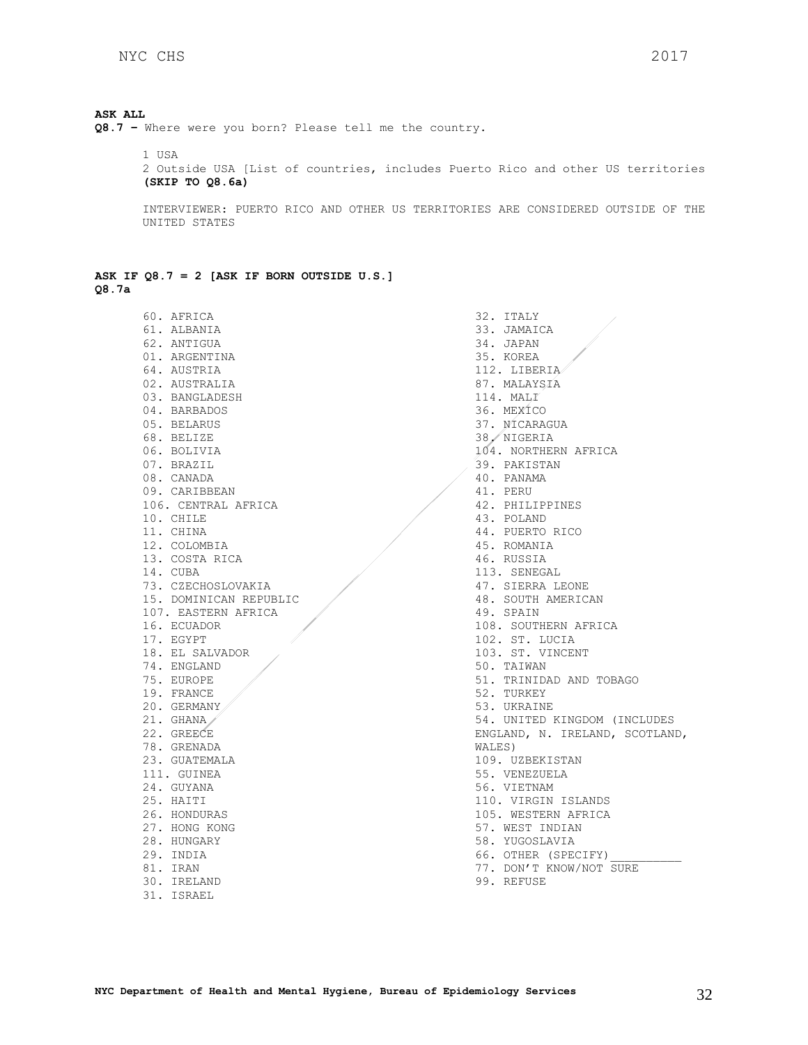## **ASK ALL**

**Q8.7 –** Where were you born? Please tell me the country.

1 USA 2 Outside USA [List of countries, includes Puerto Rico and other US territories **(SKIP TO Q8.6a)**

INTERVIEWER: PUERTO RICO AND OTHER US TERRITORIES ARE CONSIDERED OUTSIDE OF THE UNITED STATES

|       |  |  |  |  | ASK IF $Q8.7 = 2$ [ASK IF BORN OUTSIDE U.S.] |  |
|-------|--|--|--|--|----------------------------------------------|--|
| Q8.7a |  |  |  |  |                                              |  |

60. AFRICA 61. ALBANIA 62. ANTIGUA 01. ARGENTINA 64. AUSTRIA 02. AUSTRALIA 03. BANGLADESH 04. BARBADOS 05. BELARUS 68. BELIZE 06. BOLIVIA 07. BRAZIL 08. CANADA 09. CARIBBEAN 106. CENTRAL AFRICA 10. CHILE 11. CHINA 12. COLOMBIA 13. COSTA RICA 14. CUBA 73. CZECHOSLOVAKIA 15. DOMINICAN REPUBLIC 107. EASTERN AFRICA 16. ECUADOR 17. EGYPT 18. EL SALVADOR 74. ENGLAND 75. EUROPE 19. FRANCE 20. GERMANY 21. GHANA 22. GREECE 78. GRENADA 23. GUATEMALA 111. GUINEA 24. GUYANA 25. HAITI 26. HONDURAS 27. HONG KONG 28. HUNGARY 29. INDIA 81. IRAN 30. IRELAND 31. ISRAEL

32. ITALY 33. JAMAICA 34. JAPAN 35. KOREA 112. LIBERIA 87. MALAYSIA 114. MALI 36. MEXICO 37. NICARAGUA 38. NIGERIA 104. NORTHERN AFRICA 39. PAKISTAN 40. PANAMA 41. PERU 42. PHILIPPINES 43. POLAND 44. PUERTO RICO 45. ROMANIA 46. RUSSIA 113. SENEGAL 47. SIERRA LEONE 48. SOUTH AMERICAN 49. SPAIN 108. SOUTHERN AFRICA 102. ST. LUCIA 103. ST. VINCENT 50. TAIWAN 51. TRINIDAD AND TOBAGO 52. TURKEY 53. UKRAINE 54. UNITED KINGDOM (INCLUDES ENGLAND, N. IRELAND, SCOTLAND, WALES) 109. UZBEKISTAN 55. VENEZUELA 56. VIETNAM 110. VIRGIN ISLANDS 105. WESTERN AFRICA 57. WEST INDIAN 58. YUGOSLAVIA 66. OTHER (SPECIFY) 77. DON'T KNOW/NOT SURE

99. REFUSE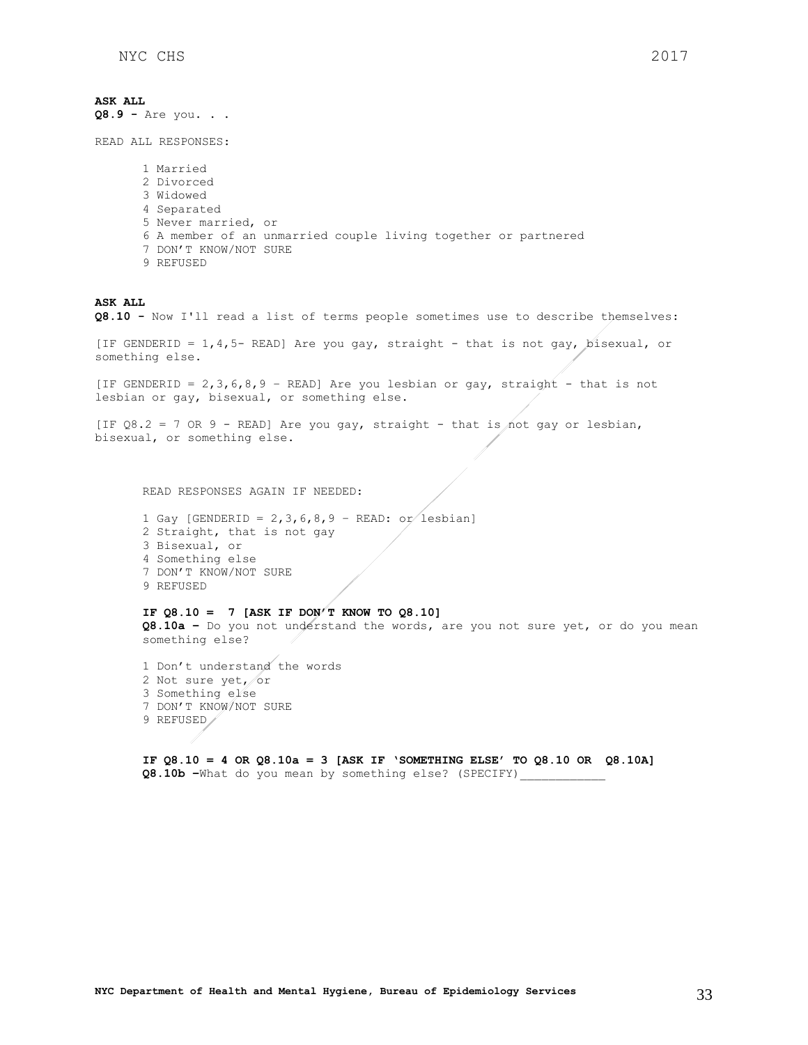**ASK ALL Q8.9 -** Are you. . . READ ALL RESPONSES: 1 Married 2 Divorced 3 Widowed 4 Separated 5 Never married, or 6 A member of an unmarried couple living together or partnered 7 DON'T KNOW/NOT SURE 9 REFUSED **ASK ALL Q8.10 -** Now I'll read a list of terms people sometimes use to describe themselves: [IF GENDERID = 1,4,5- READ] Are you gay, straight - that is not gay, bisexual, or something else. [IF GENDERID = 2,3,6,8,9 – READ] Are you lesbian or gay, straight - that is not lesbian or gay, bisexual, or something else. [IF  $Q8.2 = 7$  OR 9 - READ] Are you gay, straight - that is not gay or lesbian, bisexual, or something else. READ RESPONSES AGAIN IF NEEDED: 1 Gay [GENDERID =  $2,3,6,8,9$  - READ: or lesbian] 2 Straight, that is not gay 3 Bisexual, or 4 Something else 7 DON'T KNOW/NOT SURE 9 REFUSED **IF Q8.10 = 7 [ASK IF DON'T KNOW TO Q8.10] Q8.10a –** Do you not understand the words, are you not sure yet, or do you mean something else? 1 Don't understand the words 2 Not sure yet, or 3 Something else 7 DON'T KNOW/NOT SURE 9 REFUSED

**IF Q8.10 = 4 OR Q8.10a = 3 [ASK IF 'SOMETHING ELSE' TO Q8.10 OR Q8.10A] Q8.10b –**What do you mean by something else? (SPECIFY)\_\_\_\_\_\_\_\_\_\_\_\_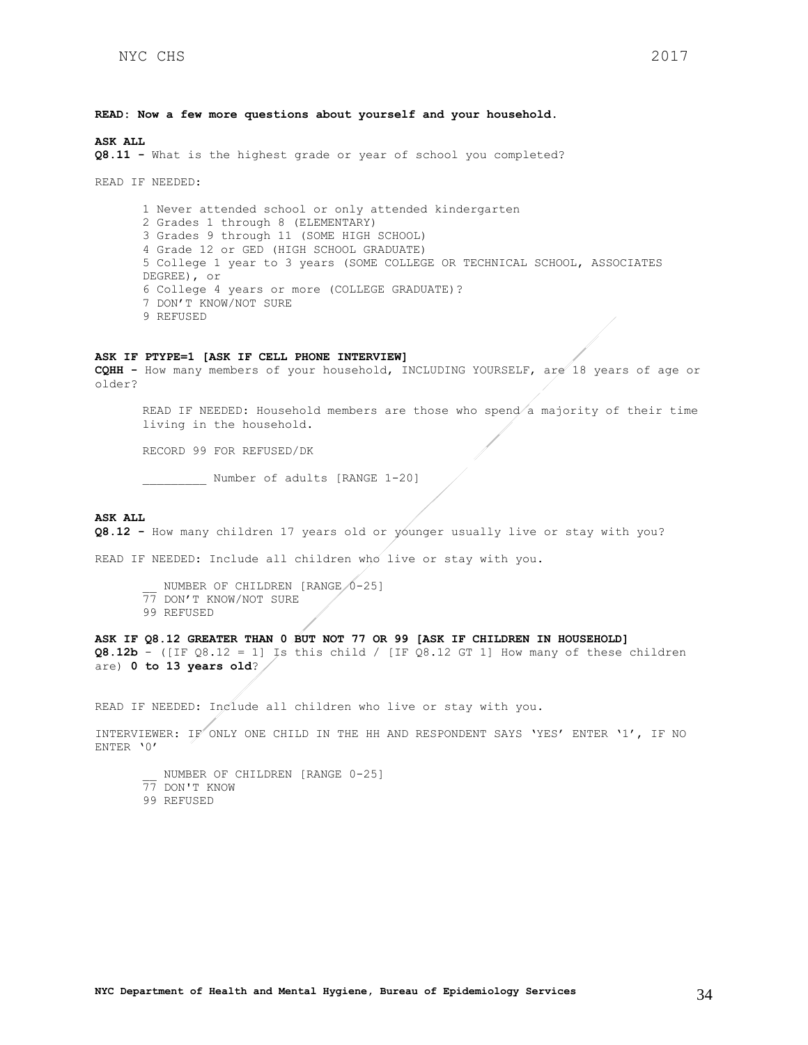**READ: Now a few more questions about yourself and your household.**

**ASK ALL**

**Q8.11 -** What is the highest grade or year of school you completed?

READ IF NEEDED:

1 Never attended school or only attended kindergarten 2 Grades 1 through 8 (ELEMENTARY) 3 Grades 9 through 11 (SOME HIGH SCHOOL) 4 Grade 12 or GED (HIGH SCHOOL GRADUATE) 5 College 1 year to 3 years (SOME COLLEGE OR TECHNICAL SCHOOL, ASSOCIATES DEGREE), or 6 College 4 years or more (COLLEGE GRADUATE)? 7 DON'T KNOW/NOT SURE 9 REFUSED

#### **ASK IF PTYPE=1 [ASK IF CELL PHONE INTERVIEW]**

**CQHH -** How many members of your household, INCLUDING YOURSELF, are 18 years of age or older?

READ IF NEEDED: Household members are those who spend a majority of their time living in the household.

RECORD 99 FOR REFUSED/DK

Number of adults [RANGE 1-20]

#### **ASK ALL**

**Q8.12 -** How many children 17 years old or younger usually live or stay with you?

READ IF NEEDED: Include all children who live or stay with you.

- NUMBER OF CHILDREN [RANGE  $/0-25$ ]
- 77 DON'T KNOW/NOT SURE
- 99 REFUSED

**ASK IF Q8.12 GREATER THAN 0 BUT NOT 77 OR 99 [ASK IF CHILDREN IN HOUSEHOLD] Q8.12b** - ([IF  $Q8.12 = 1$ ] Is this child / [IF  $Q8.12$  GT 1] How many of these children are) **0 to 13 years old**?

READ IF NEEDED: Include all children who live or stay with you.

INTERVIEWER: IF ONLY ONE CHILD IN THE HH AND RESPONDENT SAYS 'YES' ENTER '1', IF NO ENTER '0'

NUMBER OF CHILDREN [RANGE 0-25] 77 DON'T KNOW 99 REFUSED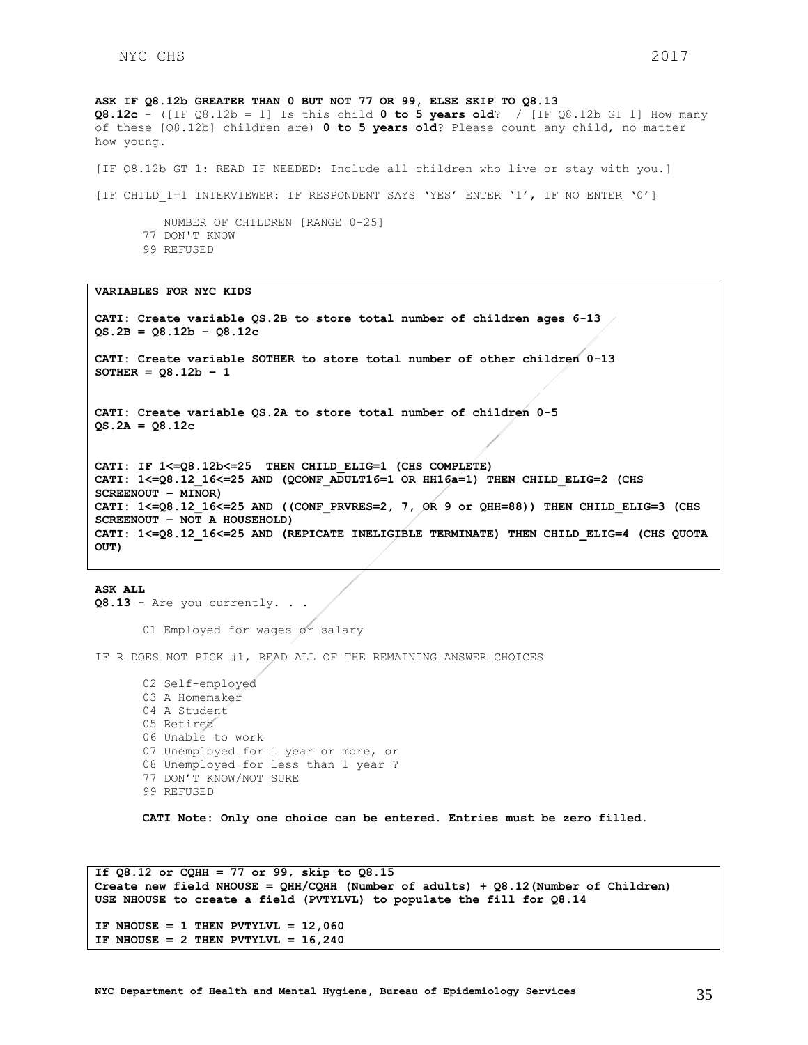**ASK IF Q8.12b GREATER THAN 0 BUT NOT 77 OR 99, ELSE SKIP TO Q8.13 Q8.12c** - ([IF Q8.12b = 1] Is this child  $0$  to 5 years old? / [IF Q8.12b GT 1] How many of these [Q8.12b] children are) **0 to 5 years old**? Please count any child, no matter how young.

[IF Q8.12b GT 1: READ IF NEEDED: Include all children who live or stay with you.]

[IF CHILD 1=1 INTERVIEWER: IF RESPONDENT SAYS 'YES' ENTER '1', IF NO ENTER '0']

NUMBER OF CHILDREN [RANGE 0-25] 77 DON'T KNOW 99 REFUSED

**VARIABLES FOR NYC KIDS**

**CATI: Create variable QS.2B to store total number of children ages 6-13 QS.2B = Q8.12b – Q8.12c**

**CATI: Create variable SOTHER to store total number of other children 0-13**  $SOTHER = Q8.12b - 1$ 

**CATI: Create variable QS.2A to store total number of children 0-5 QS.2A = Q8.12c**

**CATI: IF 1<=Q8.12b<=25 THEN CHILD\_ELIG=1 (CHS COMPLETE) CATI: 1<=Q8.12\_16<=25 AND (QCONF\_ADULT16=1 OR HH16a=1) THEN CHILD\_ELIG=2 (CHS SCREENOUT – MINOR) CATI: 1<=Q8.12\_16<=25 AND ((CONF\_PRVRES=2, 7, OR 9 or QHH=88)) THEN CHILD\_ELIG=3 (CHS SCREENOUT – NOT A HOUSEHOLD) CATI: 1<=Q8.12\_16<=25 AND (REPICATE INELIGIBLE TERMINATE) THEN CHILD\_ELIG=4 (CHS QUOTA OUT)**

**ASK ALL Q8.13 -** Are you currently. . .

01 Employed for wages or salary

IF R DOES NOT PICK #1, READ ALL OF THE REMAINING ANSWER CHOICES

02 Self-employed 03 A Homemaker 04 A Student 05 Retired 06 Unable to work 07 Unemployed for 1 year or more, or 08 Unemployed for less than 1 year ? 77 DON'T KNOW/NOT SURE 99 REFUSED

**CATI Note: Only one choice can be entered. Entries must be zero filled.**

**If Q8.12 or CQHH = 77 or 99, skip to Q8.15 Create new field NHOUSE = QHH/CQHH (Number of adults) + Q8.12(Number of Children) USE NHOUSE to create a field (PVTYLVL) to populate the fill for Q8.14 IF NHOUSE = 1 THEN PVTYLVL = 12,060** IF NHOUSE =  $2$  THEN PVTYLVL =  $16,240$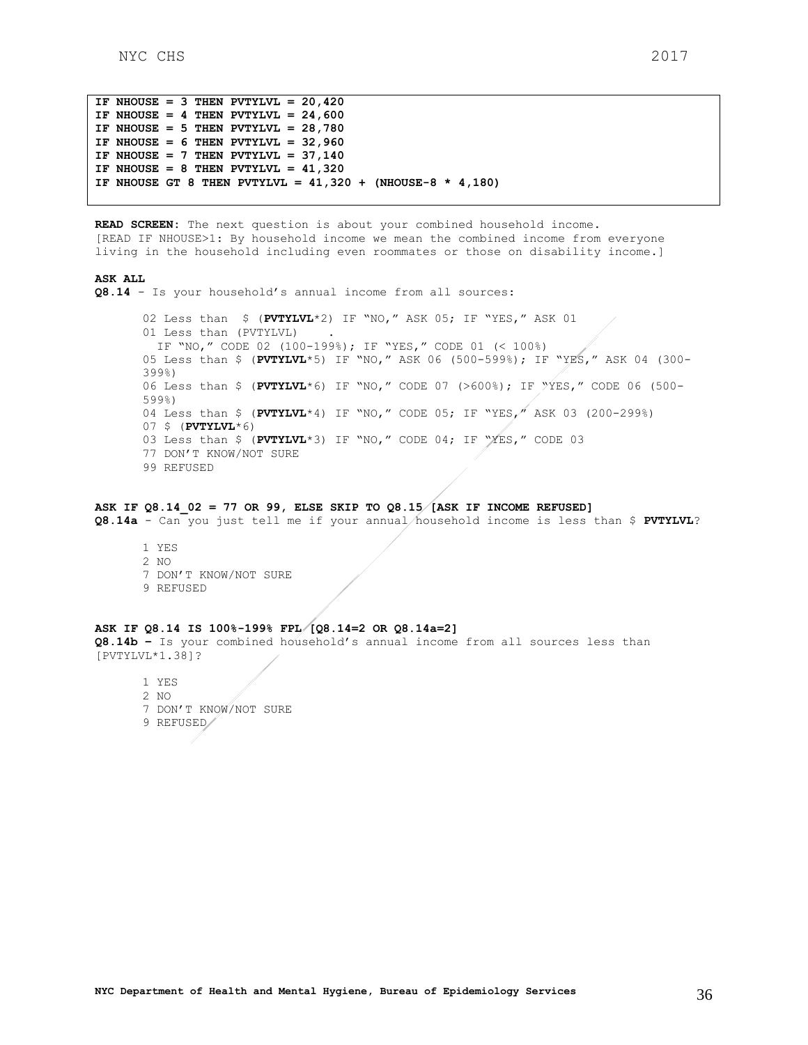```
IF NHOUSE = 3 THEN PVTYLVL = 20,420IF NHOUSE = 4 THEN PVTYLVL = 24,600IF NHOUSE = 5 THEN PVTYLVL = 28,780
IF NHOUSE = 6 THEN PVTYLVL = 32,960
IF NHOUSE = 7 THEN PVTYLVL = 37,140
IF NHOUSE = 8 THEN PVTYLVL = 41,320
IF NHOUSE GT 8 THEN PVTYLVL = 41,320 + (NHOUSE-8 * 4,180)
```
**READ SCREEN:** The next question is about your combined household income. [READ IF NHOUSE>1: By household income we mean the combined income from everyone living in the household including even roommates or those on disability income.]

#### **ASK ALL**

**Q8.14** - Is your household's annual income from all sources:

02 Less than \$ (**PVTYLVL**\*2) IF "NO," ASK 05; IF "YES," ASK 01 01 Less than (PVTYLVL) IF "NO," CODE 02 (100-199%); IF "YES," CODE 01 (< 100%) 05 Less than \$ (**PVTYLVL**\*5) IF "NO," ASK 06 (500-599%); IF "YES," ASK 04 (300- 399%) 06 Less than \$ (**PVTYLVL**\*6) IF "NO," CODE 07 (>600%); IF "YES," CODE 06 (500- 599%) 04 Less than \$ (**PVTYLVL**\*4) IF "NO," CODE 05; IF "YES," ASK 03 (200-299%) 07 \$ (**PVTYLVL**\*6) 03 Less than \$ (**PVTYLVL**\*3) IF "NO," CODE 04; IF "YES," CODE 03 77 DON'T KNOW/NOT SURE 99 REFUSED

### **ASK IF Q8.14\_02 = 77 OR 99, ELSE SKIP TO Q8.15 [ASK IF INCOME REFUSED]**

**Q8.14a** - Can you just tell me if your annual household income is less than \$ **PVTYLVL**?

1 YES 2 NO 7 DON'T KNOW/NOT SURE 9 REFUSED

### **ASK IF Q8.14 IS 100%-199% FPL [Q8.14=2 OR Q8.14a=2]**

**Q8.14b –** Is your combined household's annual income from all sources less than [PVTYLVL\*1.38]?

1 YES 2 NO

- 7 DON'T KNOW/NOT SURE
- 9 REFUSED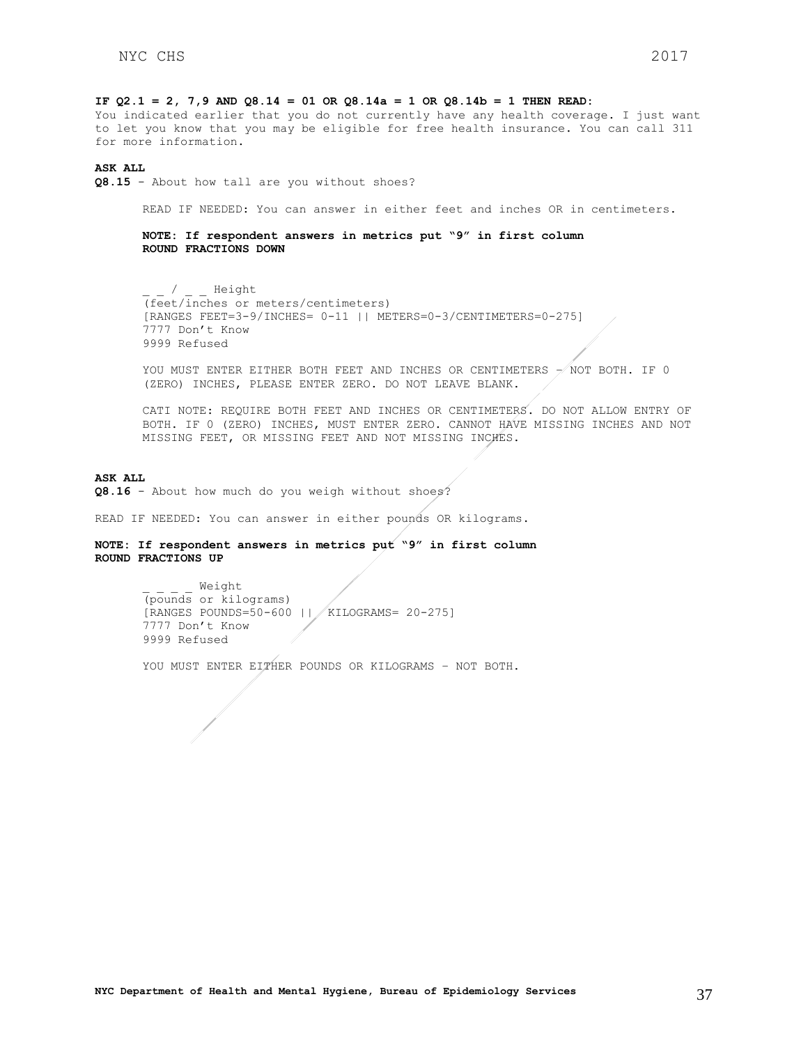### **IF Q2.1 = 2, 7,9 AND Q8.14 = 01 OR Q8.14a = 1 OR Q8.14b = 1 THEN READ:**

You indicated earlier that you do not currently have any health coverage. I just want to let you know that you may be eligible for free health insurance. You can call 311 for more information.

#### **ASK ALL**

**Q8.15** - About how tall are you without shoes?

READ IF NEEDED: You can answer in either feet and inches OR in centimeters.

**NOTE: If respondent answers in metrics put "9" in first column ROUND FRACTIONS DOWN**

/ Height (feet/inches or meters/centimeters) [RANGES FEET=3-9/INCHES= 0-11 || METERS=0-3/CENTIMETERS=0-275] 7777 Don't Know 9999 Refused

YOU MUST ENTER EITHER BOTH FEET AND INCHES OR CENTIMETERS - NOT BOTH. IF 0 (ZERO) INCHES, PLEASE ENTER ZERO. DO NOT LEAVE BLANK.

CATI NOTE: REQUIRE BOTH FEET AND INCHES OR CENTIMETERS. DO NOT ALLOW ENTRY OF BOTH. IF 0 (ZERO) INCHES, MUST ENTER ZERO. CANNOT HAVE MISSING INCHES AND NOT MISSING FEET, OR MISSING FEET AND NOT MISSING INCHES.

### **ASK ALL**

Q8.16 - About how much do you weigh without shoes?

READ IF NEEDED: You can answer in either pounds OR kilograms.

## **NOTE: If respondent answers in metrics put "9" in first column ROUND FRACTIONS UP**

\_ \_ \_ \_ Weight (pounds or kilograms) [RANGES POUNDS=50-600 || KILOGRAMS= 20-275] 7777 Don't Know 9999 Refused

YOU MUST ENTER EITHER POUNDS OR KILOGRAMS - NOT BOTH.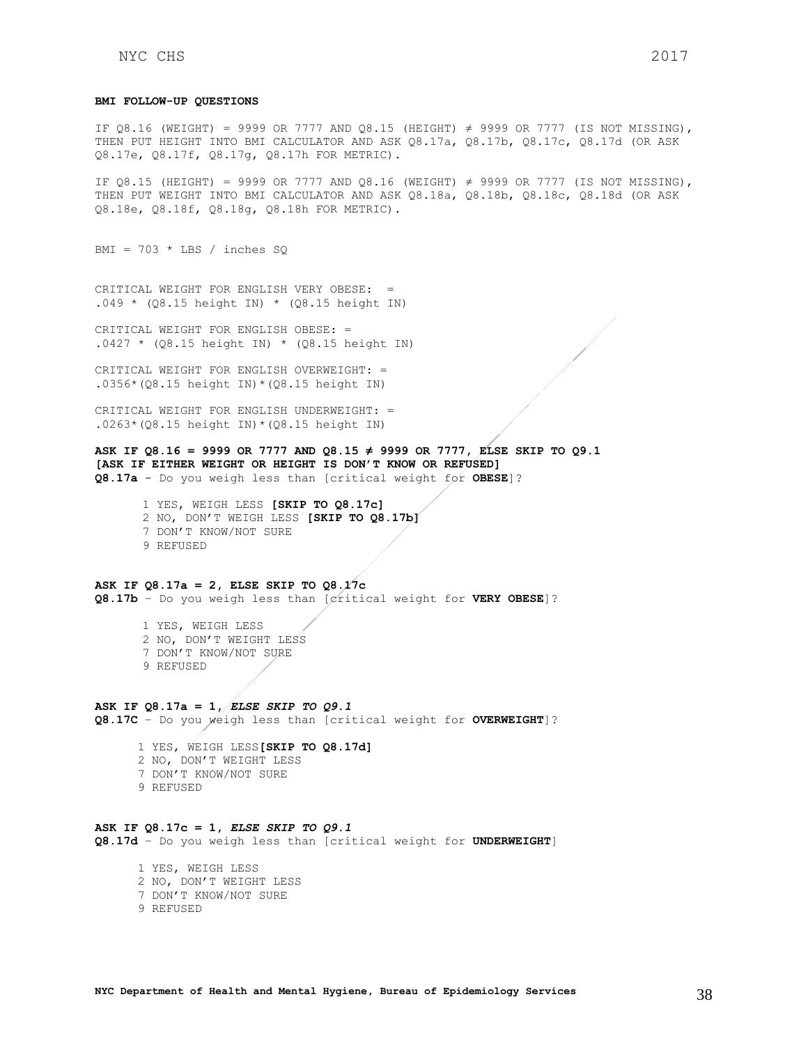#### **BMI FOLLOW-UP QUESTIONS**

IF Q8.16 (WEIGHT) = 9999 OR 7777 AND Q8.15 (HEIGHT)  $\neq$  9999 OR 7777 (IS NOT MISSING), THEN PUT HEIGHT INTO BMI CALCULATOR AND ASK Q8.17a, Q8.17b, Q8.17c, Q8.17d (OR ASK Q8.17e, Q8.17f, Q8.17g, Q8.17h FOR METRIC).

IF Q8.15 (HEIGHT) = 9999 OR 7777 AND Q8.16 (WEIGHT) ≠ 9999 OR 7777 (IS NOT MISSING), THEN PUT WEIGHT INTO BMI CALCULATOR AND ASK Q8.18a, Q8.18b, Q8.18c, Q8.18d (OR ASK Q8.18e, Q8.18f, Q8.18g, Q8.18h FOR METRIC).

BMI =  $703 * LBS / inches SQ$ 

CRITICAL WEIGHT FOR ENGLISH VERY OBESE: =  $.049 * (Q8.15 height IN) * (Q8.15 height IN)$ 

CRITICAL WEIGHT FOR ENGLISH OBESE: =  $.0427 * (Q8.15 height IN) * (Q8.15 height IN)$ 

CRITICAL WEIGHT FOR ENGLISH OVERWEIGHT: = .0356\*(Q8.15 height IN)\*(Q8.15 height IN)

CRITICAL WEIGHT FOR ENGLISH UNDERWEIGHT: = .0263\*(Q8.15 height IN)\*(Q8.15 height IN)

**ASK IF Q8.16 = 9999 OR 7777 AND Q8.15 ≠ 9999 OR 7777, ELSE SKIP TO Q9.1 [ASK IF EITHER WEIGHT OR HEIGHT IS DON'T KNOW OR REFUSED] Q8.17a** - Do you weigh less than [critical weight for **OBESE**]?

1 YES, WEIGH LESS **[SKIP TO Q8.17c]** 2 NO, DON'T WEIGH LESS **[SKIP TO Q8.17b]** 7 DON'T KNOW/NOT SURE

9 REFUSED

**ASK IF Q8.17a = 2, ELSE SKIP TO Q8.17c Q8.17b** – Do you weigh less than [critical weight for **VERY OBESE**]?

> 1 YES, WEIGH LESS 2 NO, DON'T WEIGHT LESS

7 DON'T KNOW/NOT SURE

9 REFUSED

**ASK IF Q8.17a = 1,** *ELSE SKIP TO Q9.1* **Q8.17C** – Do you weigh less than [critical weight for **OVERWEIGHT**]?

 1 YES, WEIGH LESS**[SKIP TO Q8.17d]** 2 NO, DON'T WEIGHT LESS 7 DON'T KNOW/NOT SURE 9 REFUSED

**ASK IF Q8.17c = 1,** *ELSE SKIP TO Q9.1*

**Q8.17d** – Do you weigh less than [critical weight for **UNDERWEIGHT**]

- 1 YES, WEIGH LESS 2 NO, DON'T WEIGHT LESS 7 DON'T KNOW/NOT SURE
- 9 REFUSED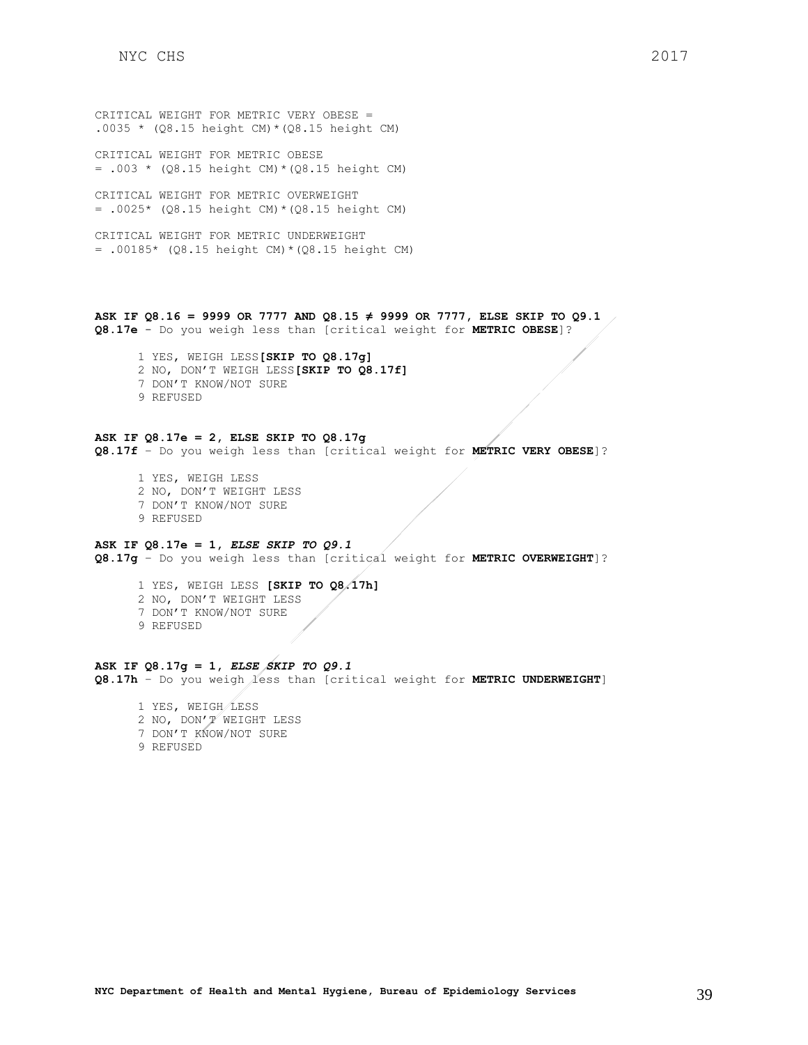CRITICAL WEIGHT FOR METRIC VERY OBESE = .0035 \* (Q8.15 height CM) \* (Q8.15 height CM)

CRITICAL WEIGHT FOR METRIC OBESE  $= .003 * (Q8.15 height CM) * (Q8.15 height CM)$ 

CRITICAL WEIGHT FOR METRIC OVERWEIGHT  $= .0025*$  (Q8.15 height CM) \* (Q8.15 height CM)

CRITICAL WEIGHT FOR METRIC UNDERWEIGHT = .00185\* (Q8.15 height CM)\*(Q8.15 height CM)

**ASK IF Q8.16 = 9999 OR 7777 AND Q8.15 ≠ 9999 OR 7777, ELSE SKIP TO Q9.1 Q8.17e** - Do you weigh less than [critical weight for **METRIC OBESE**]?

 1 YES, WEIGH LESS**[SKIP TO Q8.17g]** 2 NO, DON'T WEIGH LESS**[SKIP TO Q8.17f]** 7 DON'T KNOW/NOT SURE 9 REFUSED

**ASK IF Q8.17e = 2, ELSE SKIP TO Q8.17g Q8.17f** – Do you weigh less than [critical weight for **METRIC VERY OBESE**]?

 1 YES, WEIGH LESS 2 NO, DON'T WEIGHT LESS 7 DON'T KNOW/NOT SURE 9 REFUSED

## **ASK IF Q8.17e = 1,** *ELSE SKIP TO Q9.1*

**Q8.17g** – Do you weigh less than [critical weight for **METRIC OVERWEIGHT**]?

 1 YES, WEIGH LESS **[SKIP TO Q8.17h]** 2 NO, DON'T WEIGHT LESS 7 DON'T KNOW/NOT SURE 9 REFUSED

**ASK IF Q8.17g = 1,** *ELSE SKIP TO Q9.1* **Q8.17h** – Do you weigh less than [critical weight for **METRIC UNDERWEIGHT**]

 1 YES, WEIGH LESS 2 NO, DON'T WEIGHT LESS 7 DON'T KNOW/NOT SURE 9 REFUSED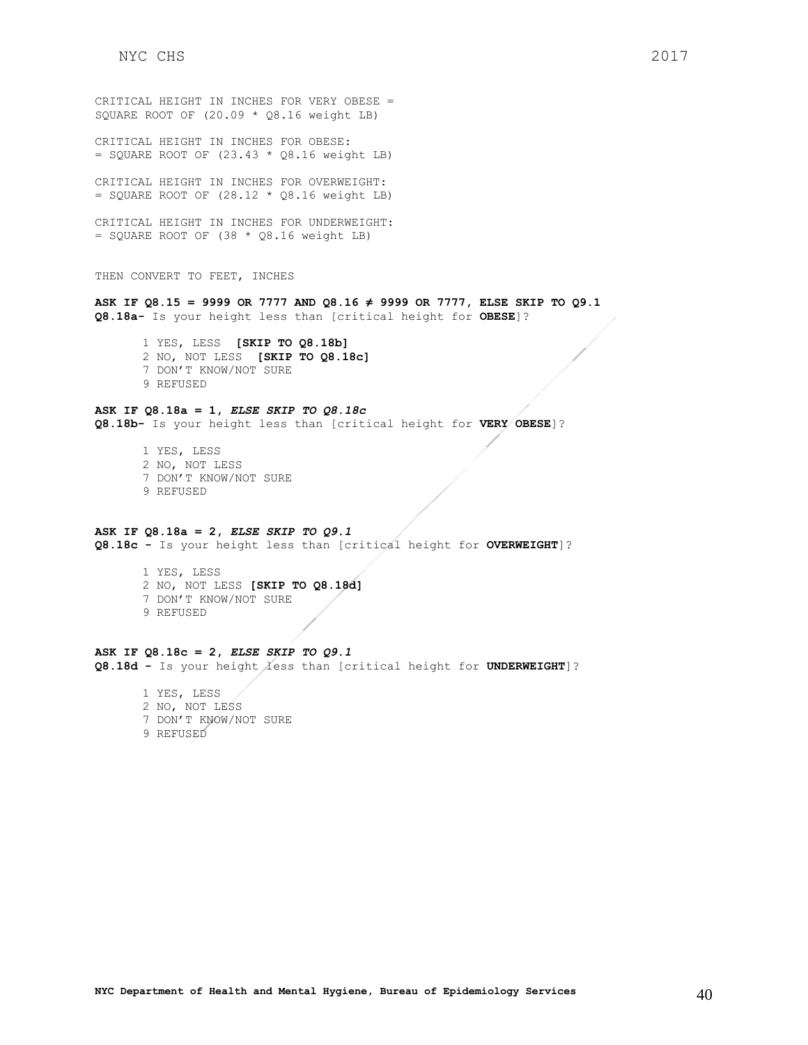CRITICAL HEIGHT IN INCHES FOR VERY OBESE = SQUARE ROOT OF (20.09 \* Q8.16 weight LB) CRITICAL HEIGHT IN INCHES FOR OBESE:  $=$  SQUARE ROOT OF (23.43  $*$  Q8.16 weight LB) CRITICAL HEIGHT IN INCHES FOR OVERWEIGHT:  $=$  SQUARE ROOT OF (28.12  $*$  Q8.16 weight LB) CRITICAL HEIGHT IN INCHES FOR UNDERWEIGHT:  $=$  SQUARE ROOT OF (38  $*$  Q8.16 weight LB) THEN CONVERT TO FEET, INCHES **ASK IF Q8.15 = 9999 OR 7777 AND Q8.16 ≠ 9999 OR 7777, ELSE SKIP TO Q9.1 Q8.18a-** Is your height less than [critical height for **OBESE**]? 1 YES, LESS **[SKIP TO Q8.18b]** 2 NO, NOT LESS **[SKIP TO Q8.18c]** 7 DON'T KNOW/NOT SURE 9 REFUSED **ASK IF Q8.18a = 1,** *ELSE SKIP TO Q8.18c* **Q8.18b-** Is your height less than [critical height for **VERY OBESE**]? 1 YES, LESS 2 NO, NOT LESS 7 DON'T KNOW/NOT SURE 9 REFUSED

**ASK IF Q8.18a = 2,** *ELSE SKIP TO Q9.1* **Q8.18c -** Is your height less than [critical height for **OVERWEIGHT**]?

> 1 YES, LESS 2 NO, NOT LESS **[SKIP TO Q8.18d]** 7 DON'T KNOW/NOT SURE 9 REFUSED

## **ASK IF Q8.18c = 2,** *ELSE SKIP TO Q9.1*

Q8.18d - Is your height less than [critical height for UNDERWEIGHT]?

- 1 YES, LESS 2 NO, NOT LESS 7 DON'T KNOW/NOT SURE
- 9 REFUSED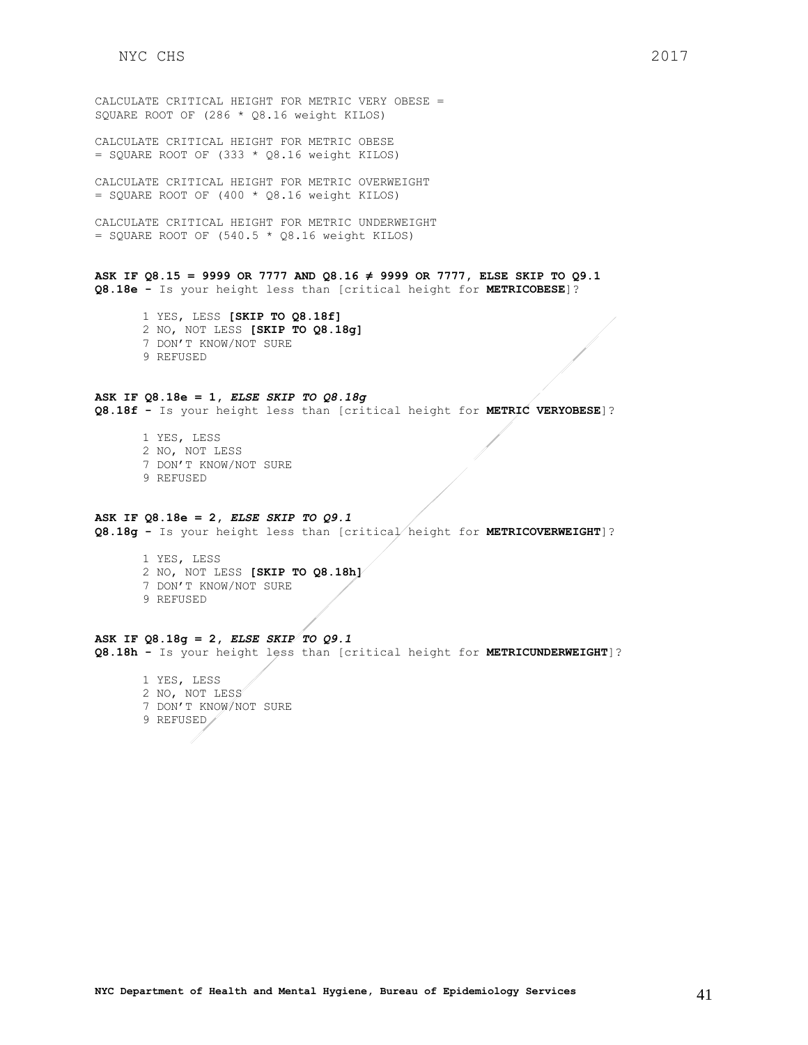CALCULATE CRITICAL HEIGHT FOR METRIC VERY OBESE = SQUARE ROOT OF (286 \* Q8.16 weight KILOS)

CALCULATE CRITICAL HEIGHT FOR METRIC OBESE  $=$  SQUARE ROOT OF (333  $*$  Q8.16 weight KILOS)

CALCULATE CRITICAL HEIGHT FOR METRIC OVERWEIGHT  $=$  SQUARE ROOT OF (400  $*$  Q8.16 weight KILOS)

CALCULATE CRITICAL HEIGHT FOR METRIC UNDERWEIGHT  $=$  SQUARE ROOT OF (540.5  $*$  Q8.16 weight KILOS)

**ASK IF Q8.15 = 9999 OR 7777 AND Q8.16 ≠ 9999 OR 7777, ELSE SKIP TO Q9.1 Q8.18e -** Is your height less than [critical height for **METRICOBESE**]?

1 YES, LESS **[SKIP TO Q8.18f]** 2 NO, NOT LESS **[SKIP TO Q8.18g]** 7 DON'T KNOW/NOT SURE 9 REFUSED

## **ASK IF Q8.18e = 1,** *ELSE SKIP TO Q8.18g*

**Q8.18f -** Is your height less than [critical height for **METRIC VERYOBESE**]?

1 YES, LESS 2 NO, NOT LESS 7 DON'T KNOW/NOT SURE 9 REFUSED

#### **ASK IF Q8.18e = 2,** *ELSE SKIP TO Q9.1*

**Q8.18g -** Is your height less than [critical height for **METRICOVERWEIGHT**]?

1 YES, LESS 2 NO, NOT LESS **[SKIP TO Q8.18h]** 7 DON'T KNOW/NOT SURE 9 REFUSED

**ASK IF Q8.18g = 2,** *ELSE SKIP TO Q9.1* **Q8.18h -** Is your height less than [critical height for **METRICUNDERWEIGHT**]?

1 YES, LESS 2 NO, NOT LESS 7 DON'T KNOW/NOT SURE 9 REFUSED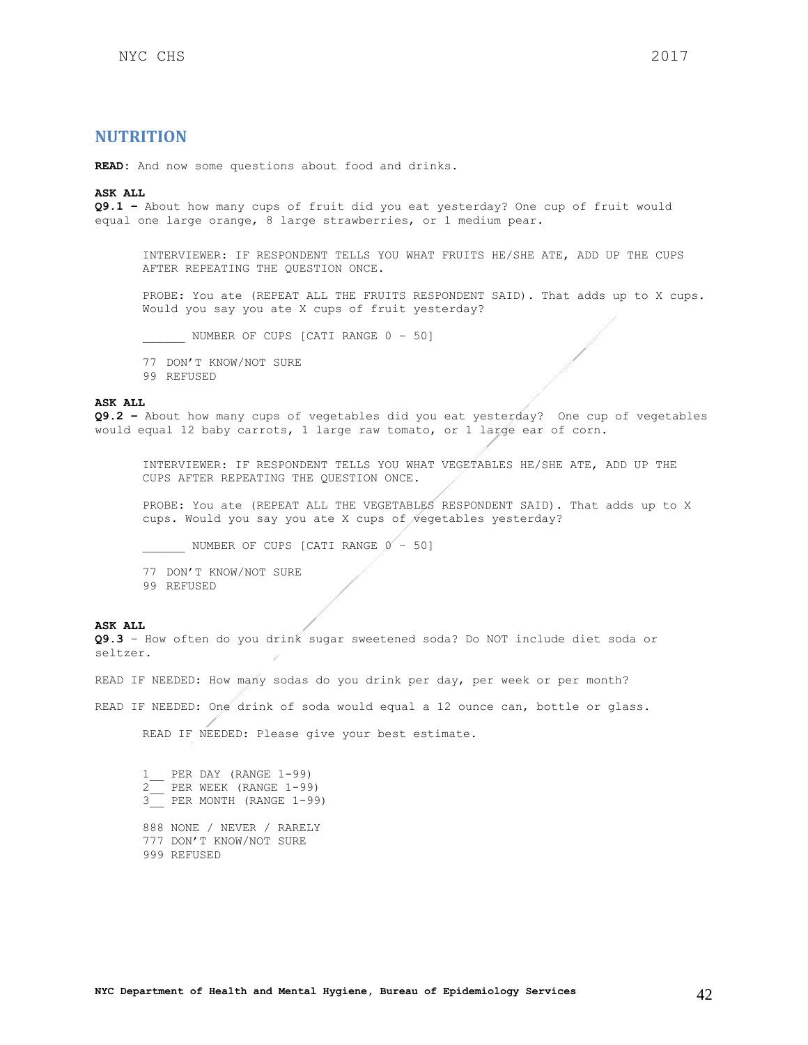## <span id="page-41-0"></span>**NUTRITION**

**READ:** And now some questions about food and drinks.

#### **ASK ALL**

**Q9.1 –** About how many cups of fruit did you eat yesterday? One cup of fruit would equal one large orange, 8 large strawberries, or 1 medium pear.

INTERVIEWER: IF RESPONDENT TELLS YOU WHAT FRUITS HE/SHE ATE, ADD UP THE CUPS AFTER REPEATING THE QUESTION ONCE.

PROBE: You ate (REPEAT ALL THE FRUITS RESPONDENT SAID). That adds up to X cups. Would you say you ate X cups of fruit yesterday?

\_\_\_\_\_\_ NUMBER OF CUPS [CATI RANGE 0 – 50]

77 DON'T KNOW/NOT SURE

99 REFUSED

#### **ASK ALL**

**Q9.2 –** About how many cups of vegetables did you eat yesterday? One cup of vegetables would equal 12 baby carrots, 1 large raw tomato, or 1 large ear of corn.

INTERVIEWER: IF RESPONDENT TELLS YOU WHAT VEGETABLES HE/SHE ATE, ADD UP THE CUPS AFTER REPEATING THE QUESTION ONCE.

PROBE: You ate (REPEAT ALL THE VEGETABLES RESPONDENT SAID). That adds up to X cups. Would you say you ate X cups of vegetables yesterday?

NUMBER OF CUPS [CATI RANGE  $0 - 50$ ]

77 DON'T KNOW/NOT SURE

99 REFUSED

#### **ASK ALL**

**Q9.3** – How often do you drink sugar sweetened soda? Do NOT include diet soda or seltzer.

READ IF NEEDED: How many sodas do you drink per day, per week or per month?

READ IF NEEDED: One drink of soda would equal a 12 ounce can, bottle or glass.

READ IF NEEDED: Please give your best estimate.

1\_\_ PER DAY (RANGE 1-99) 2\_\_ PER WEEK (RANGE 1-99)  $\frac{2}{3}$  PER MONTH (RANGE 1-99)

888 NONE / NEVER / RARELY 777 DON'T KNOW/NOT SURE 999 REFUSED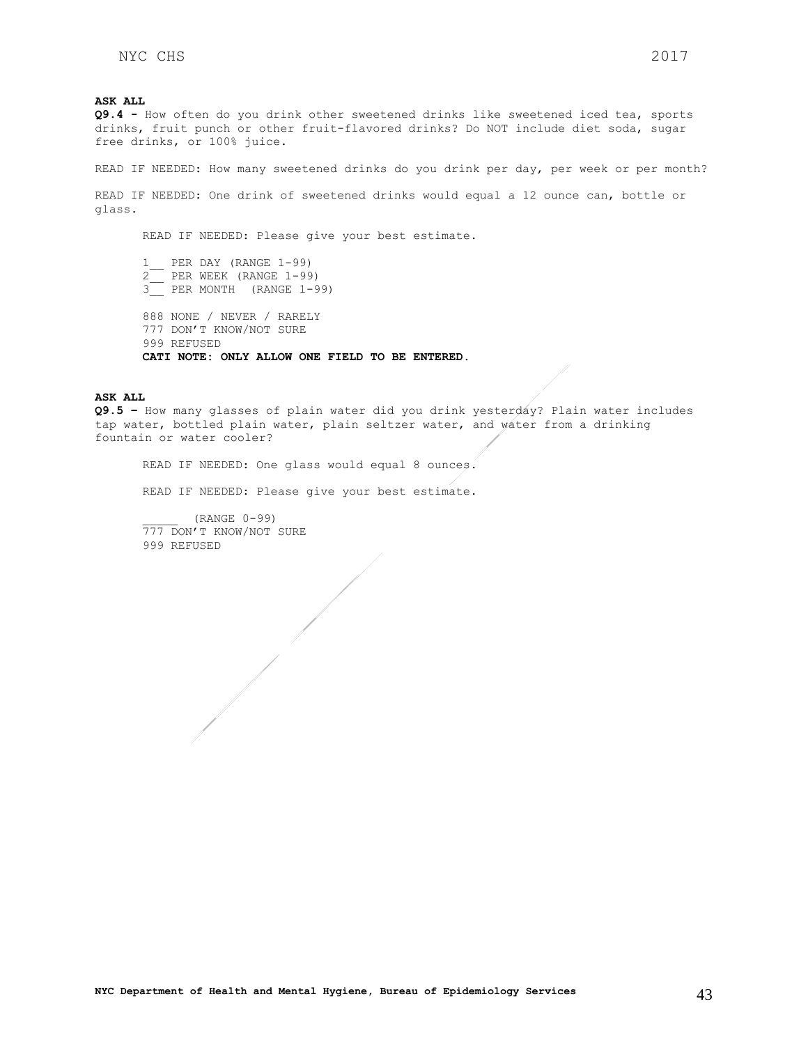**ASK ALL**

**Q9.4 -** How often do you drink other sweetened drinks like sweetened iced tea, sports drinks, fruit punch or other fruit-flavored drinks? Do NOT include diet soda, sugar free drinks, or 100% juice.

READ IF NEEDED: How many sweetened drinks do you drink per day, per week or per month?

READ IF NEEDED: One drink of sweetened drinks would equal a 12 ounce can, bottle or glass.

READ IF NEEDED: Please give your best estimate.

1 PER DAY (RANGE 1-99) 2\_\_ PER WEEK (RANGE 1-99) 3 PER MONTH (RANGE 1-99) 888 NONE / NEVER / RARELY 777 DON'T KNOW/NOT SURE 999 REFUSED **CATI NOTE: ONLY ALLOW ONE FIELD TO BE ENTERED.**

**ASK ALL**

**Q9.5 –** How many glasses of plain water did you drink yesterday? Plain water includes tap water, bottled plain water, plain seltzer water, and water from a drinking fountain or water cooler?

READ IF NEEDED: One glass would equal 8 ounces.

READ IF NEEDED: Please give your best estimate.

\_\_\_\_\_ (RANGE 0-99) 777 DON'T KNOW/NOT SURE 999 REFUSED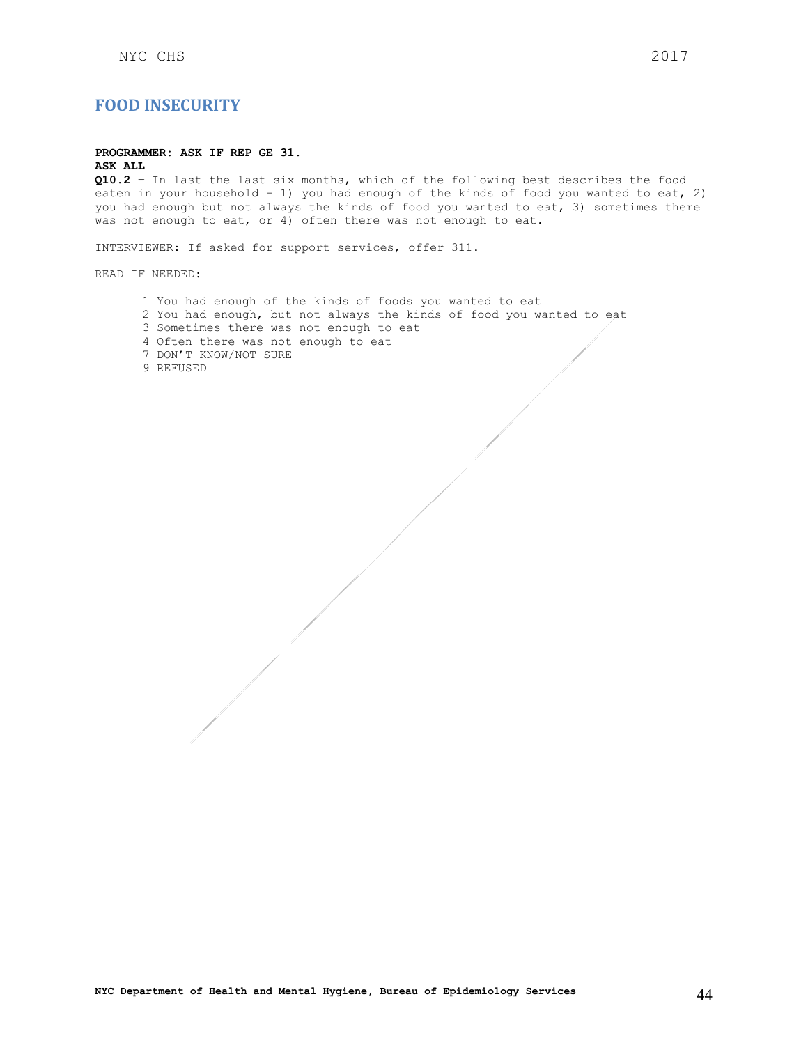## <span id="page-43-0"></span>**FOOD INSECURITY**

## **PROGRAMMER: ASK IF REP GE 31.**

**ASK ALL**

**Q10.2 –** In last the last six months, which of the following best describes the food eaten in your household – 1) you had enough of the kinds of food you wanted to eat, 2) you had enough but not always the kinds of food you wanted to eat, 3) sometimes there was not enough to eat, or 4) often there was not enough to eat.

INTERVIEWER: If asked for support services, offer 311.

READ IF NEEDED:

1 You had enough of the kinds of foods you wanted to eat 2 You had enough, but not always the kinds of food you wanted to eat 3 Sometimes there was not enough to eat 4 Often there was not enough to eat 7 DON'T KNOW/NOT SURE 9 REFUSED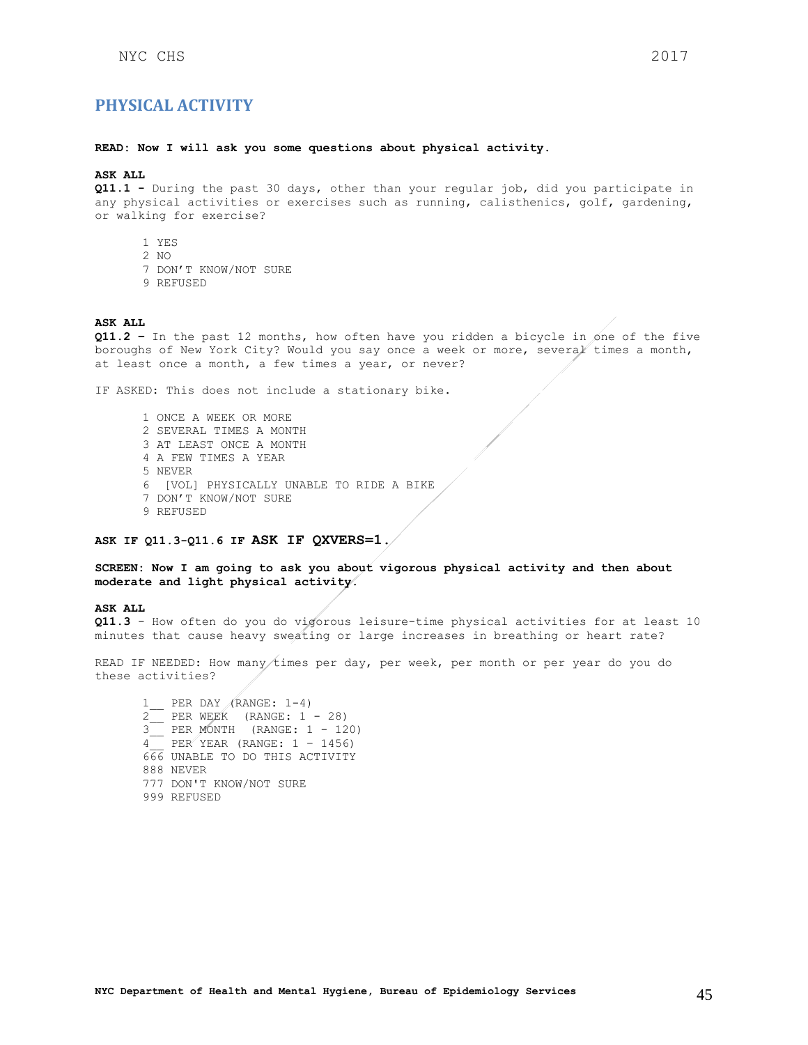## <span id="page-44-0"></span>**PHYSICAL ACTIVITY**

### **READ: Now I will ask you some questions about physical activity.**

### **ASK ALL**

**Q11.1 -** During the past 30 days, other than your regular job, did you participate in any physical activities or exercises such as running, calisthenics, golf, gardening, or walking for exercise?

- 1 YES
- 2 NO
- 7 DON'T KNOW/NOT SURE
- 9 REFUSED

#### **ASK ALL**

**Q11.2 –** In the past 12 months, how often have you ridden a bicycle in one of the five boroughs of New York City? Would you say once a week or more, several times a month, at least once a month, a few times a year, or never?

IF ASKED: This does not include a stationary bike.

1 ONCE A WEEK OR MORE 2 SEVERAL TIMES A MONTH 3 AT LEAST ONCE A MONTH 4 A FEW TIMES A YEAR 5 NEVER 6 [VOL] PHYSICALLY UNABLE TO RIDE A BIKE 7 DON'T KNOW/NOT SURE 9 REFUSED

#### **ASK IF Q11.3-Q11.6 IF ASK IF QXVERS=1.**

### **SCREEN: Now I am going to ask you about vigorous physical activity and then about moderate and light physical activity.**

### **ASK ALL**

**Q11.3** - How often do you do vigorous leisure-time physical activities for at least 10 minutes that cause heavy sweating or large increases in breathing or heart rate?

READ IF NEEDED: How many times per day, per week, per month or per year do you do these activities?

1\_\_ PER DAY (RANGE: 1-4) 2 PER WEEK (RANGE:  $1 - 28$ ) 3\_\_ PER MONTH (RANGE: 1 - 120)  $4$  PER YEAR (RANGE:  $1 - 1456$ ) 666 UNABLE TO DO THIS ACTIVITY 888 NEVER 777 DON'T KNOW/NOT SURE 999 REFUSED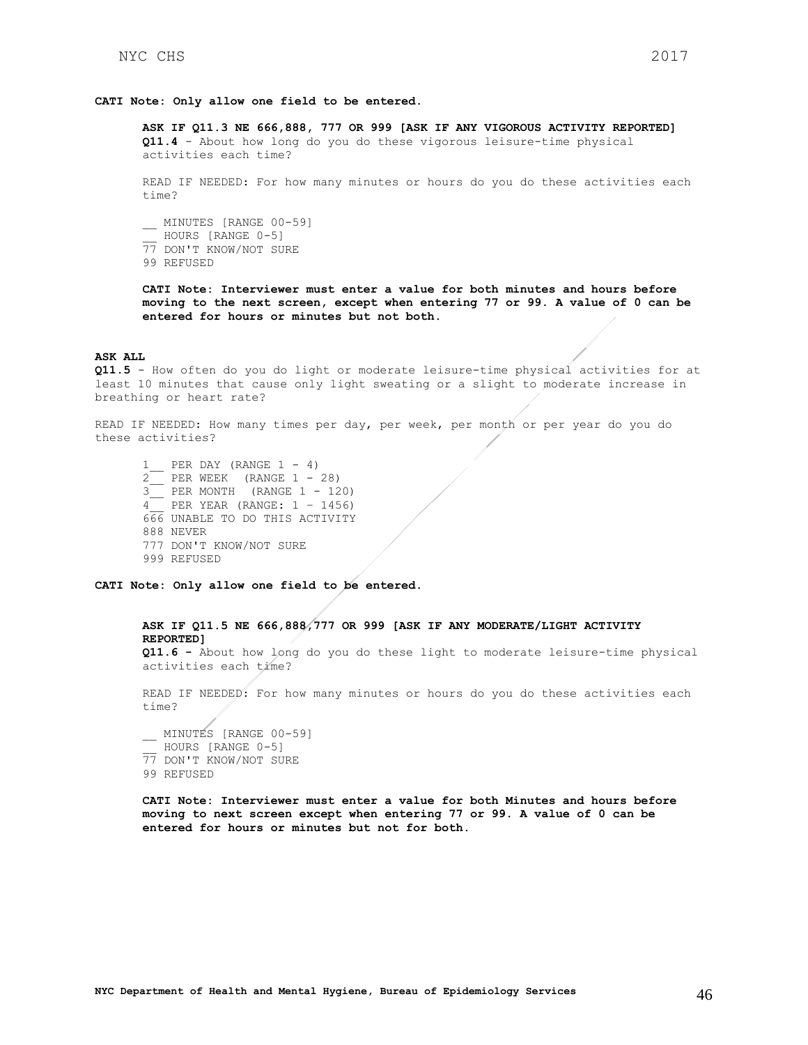### **CATI Note: Only allow one field to be entered.**

**ASK IF Q11.3 NE 666,888, 777 OR 999 [ASK IF ANY VIGOROUS ACTIVITY REPORTED] Q11.4** - About how long do you do these vigorous leisure-time physical activities each time?

READ IF NEEDED: For how many minutes or hours do you do these activities each time?

\_\_ MINUTES [RANGE 00-59] \_\_ HOURS [RANGE 0-5] 77 DON'T KNOW/NOT SURE 99 REFUSED

**CATI Note: Interviewer must enter a value for both minutes and hours before moving to the next screen, except when entering 77 or 99. A value of 0 can be entered for hours or minutes but not both.**

#### **ASK ALL**

**Q11.5** - How often do you do light or moderate leisure-time physical activities for at least 10 minutes that cause only light sweating or a slight to moderate increase in breathing or heart rate?

READ IF NEEDED: How many times per day, per week, per month or per year do you do these activities?

1 PER DAY (RANGE  $1 - 4$ )  $2$  PER WEEK (RANGE  $1 - 28$ ) 3\_\_ PER MONTH (RANGE 1 - 120) 4\_\_ PER YEAR (RANGE: 1 – 1456) 666 UNABLE TO DO THIS ACTIVITY 888 NEVER 777 DON'T KNOW/NOT SURE 999 REFUSED

**CATI Note: Only allow one field to be entered.**

**ASK IF Q11.5 NE 666,888,777 OR 999 [ASK IF ANY MODERATE/LIGHT ACTIVITY REPORTED] Q11.6 -** About how long do you do these light to moderate leisure-time physical activities each time?

READ IF NEEDED: For how many minutes or hours do you do these activities each time?

\_\_ MINUTES [RANGE 00-59] HOURS [RANGE 0-5] 77 DON'T KNOW/NOT SURE 99 REFUSED

**CATI Note: Interviewer must enter a value for both Minutes and hours before moving to next screen except when entering 77 or 99. A value of 0 can be entered for hours or minutes but not for both.**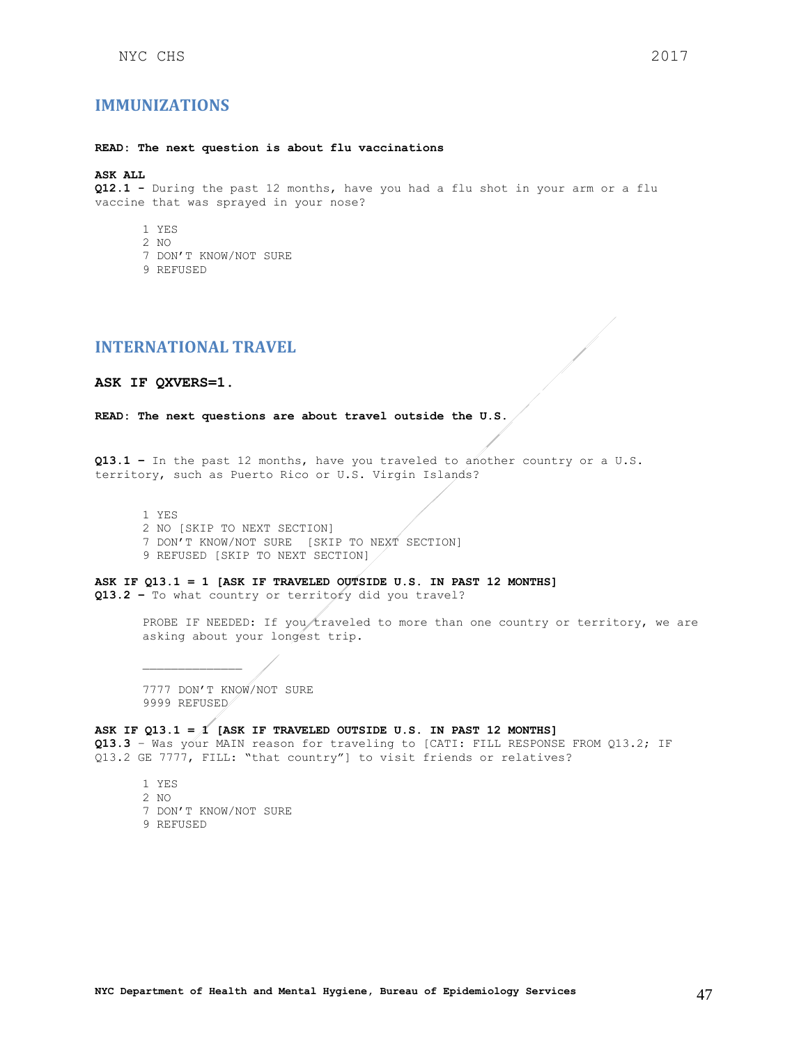## <span id="page-46-0"></span>**IMMUNIZATIONS**

#### **READ: The next question is about flu vaccinations**

### **ASK ALL**

**Q12.1 -** During the past 12 months, have you had a flu shot in your arm or a flu vaccine that was sprayed in your nose?

- 1 YES
- 2 NO
- 7 DON'T KNOW/NOT SURE
- 9 REFUSED

## <span id="page-46-1"></span>**INTERNATIONAL TRAVEL**

#### **ASK IF QXVERS=1.**

**READ: The next questions are about travel outside the U.S.**

**Q13.1 –** In the past 12 months, have you traveled to another country or a U.S. territory, such as Puerto Rico or U.S. Virgin Islands?

1 YES 2 NO [SKIP TO NEXT SECTION] 7 DON'T KNOW/NOT SURE [SKIP TO NEXT SECTION] 9 REFUSED [SKIP TO NEXT SECTION]

**ASK IF Q13.1 = 1 [ASK IF TRAVELED OUTSIDE U.S. IN PAST 12 MONTHS] Q13.2 –** To what country or territory did you travel?

> PROBE IF NEEDED: If you/traveled to more than one country or territory, we are asking about your longest trip.

7777 DON'T KNOW/NOT SURE 9999 REFUSED

**ASK IF Q13.1 = 1 [ASK IF TRAVELED OUTSIDE U.S. IN PAST 12 MONTHS]**

**Q13.3** – Was your MAIN reason for traveling to [CATI: FILL RESPONSE FROM Q13.2; IF Q13.2 GE 7777, FILL: "that country"] to visit friends or relatives?

1 YES 2 NO 7 DON'T KNOW/NOT SURE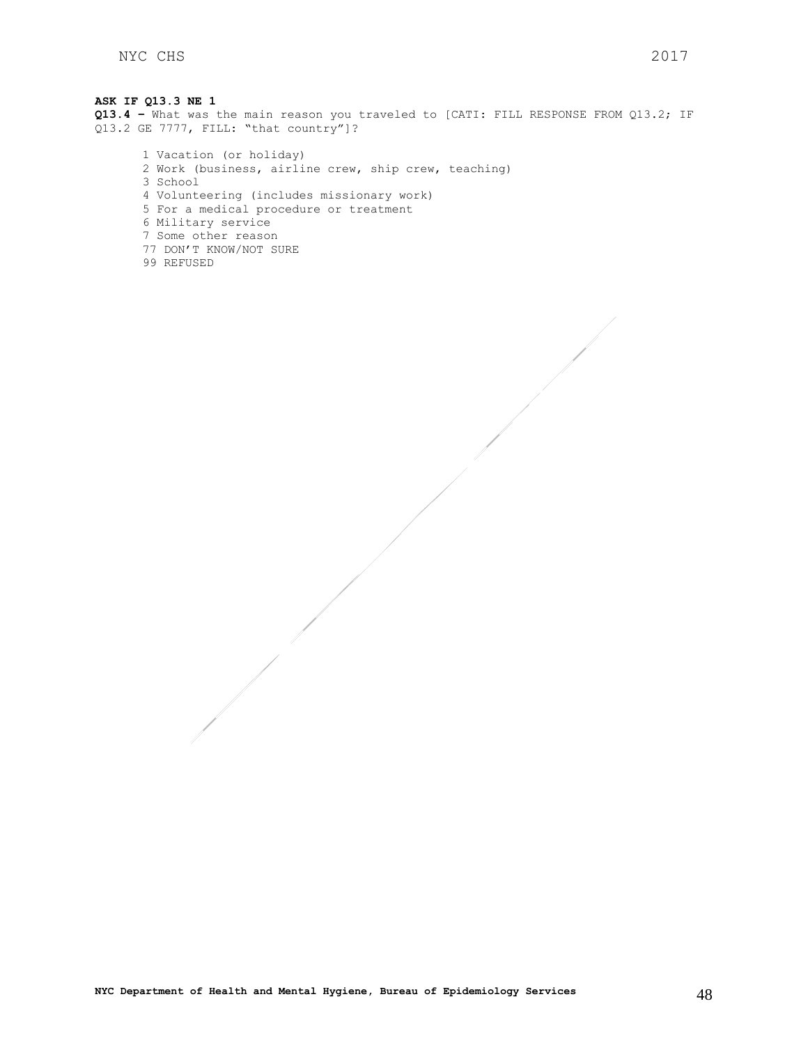## **ASK IF Q13.3 NE 1 Q13.4 –** What was the main reason you traveled to [CATI: FILL RESPONSE FROM Q13.2; IF Q13.2 GE 7777, FILL: "that country"]? 1 Vacation (or holiday)

2 Work (business, airline crew, ship crew, teaching) 3 School 4 Volunteering (includes missionary work) 5 For a medical procedure or treatment 6 Military service 7 Some other reason 77 DON'T KNOW/NOT SURE 99 REFUSED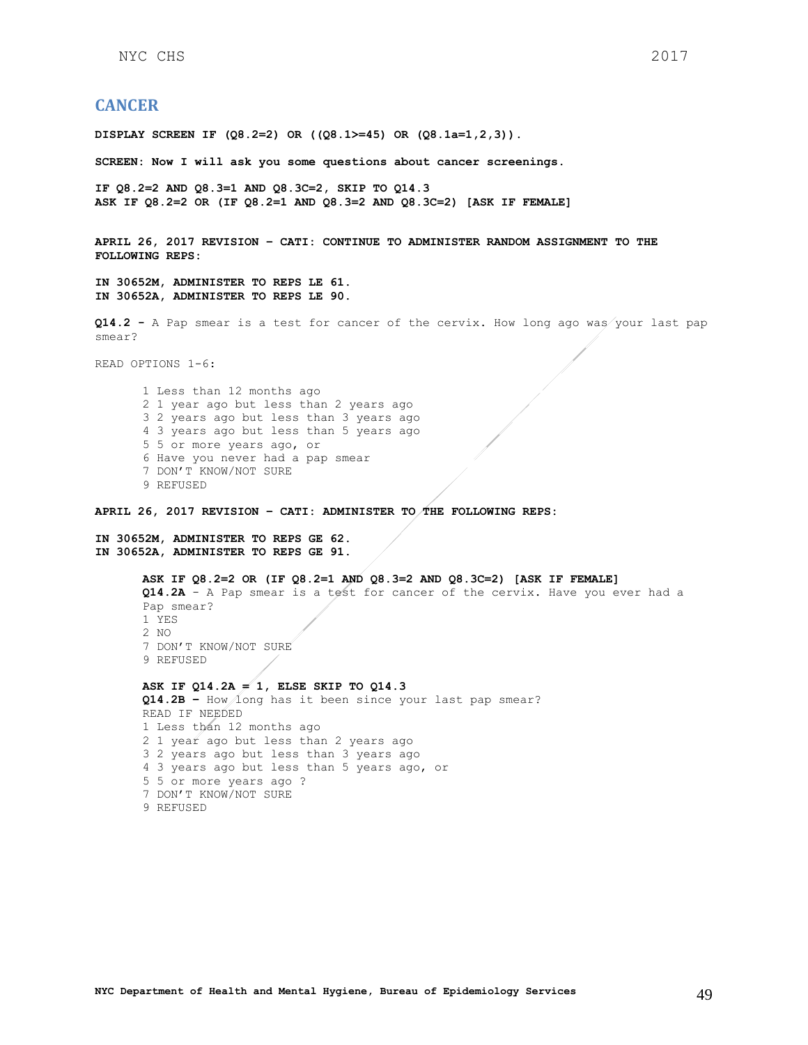## <span id="page-48-0"></span>**CANCER**

**DISPLAY SCREEN IF (Q8.2=2) OR ((Q8.1>=45) OR (Q8.1a=1,2,3)).**

**SCREEN: Now I will ask you some questions about cancer screenings.**

**IF Q8.2=2 AND Q8.3=1 AND Q8.3C=2, SKIP TO Q14.3 ASK IF Q8.2=2 OR (IF Q8.2=1 AND Q8.3=2 AND Q8.3C=2) [ASK IF FEMALE]**

**APRIL 26, 2017 REVISION – CATI: CONTINUE TO ADMINISTER RANDOM ASSIGNMENT TO THE FOLLOWING REPS:**

**IN 30652M, ADMINISTER TO REPS LE 61. IN 30652A, ADMINISTER TO REPS LE 90.**

**Q14.2 -** A Pap smear is a test for cancer of the cervix. How long ago was your last pap smear?

READ OPTIONS 1-6:

1 Less than 12 months ago 2 1 year ago but less than 2 years ago 3 2 years ago but less than 3 years ago 4 3 years ago but less than 5 years ago 5 5 or more years ago, or 6 Have you never had a pap smear 7 DON'T KNOW/NOT SURE 9 REFUSED

**APRIL 26, 2017 REVISION – CATI: ADMINISTER TO THE FOLLOWING REPS:**

**IN 30652M, ADMINISTER TO REPS GE 62. IN 30652A, ADMINISTER TO REPS GE 91.**

> **ASK IF Q8.2=2 OR (IF Q8.2=1 AND Q8.3=2 AND Q8.3C=2) [ASK IF FEMALE] Q14.2A** - A Pap smear is a test for cancer of the cervix. Have you ever had a Pap smear? 1 YES 2 NO 7 DON'T KNOW/NOT SURE 9 REFUSED

**ASK IF Q14.2A = 1, ELSE SKIP TO Q14.3 Q14.2B –** How long has it been since your last pap smear? READ IF NEEDED 1 Less than 12 months ago 2 1 year ago but less than 2 years ago 3 2 years ago but less than 3 years ago 4 3 years ago but less than 5 years ago, or 5 5 or more years ago ? 7 DON'T KNOW/NOT SURE 9 REFUSED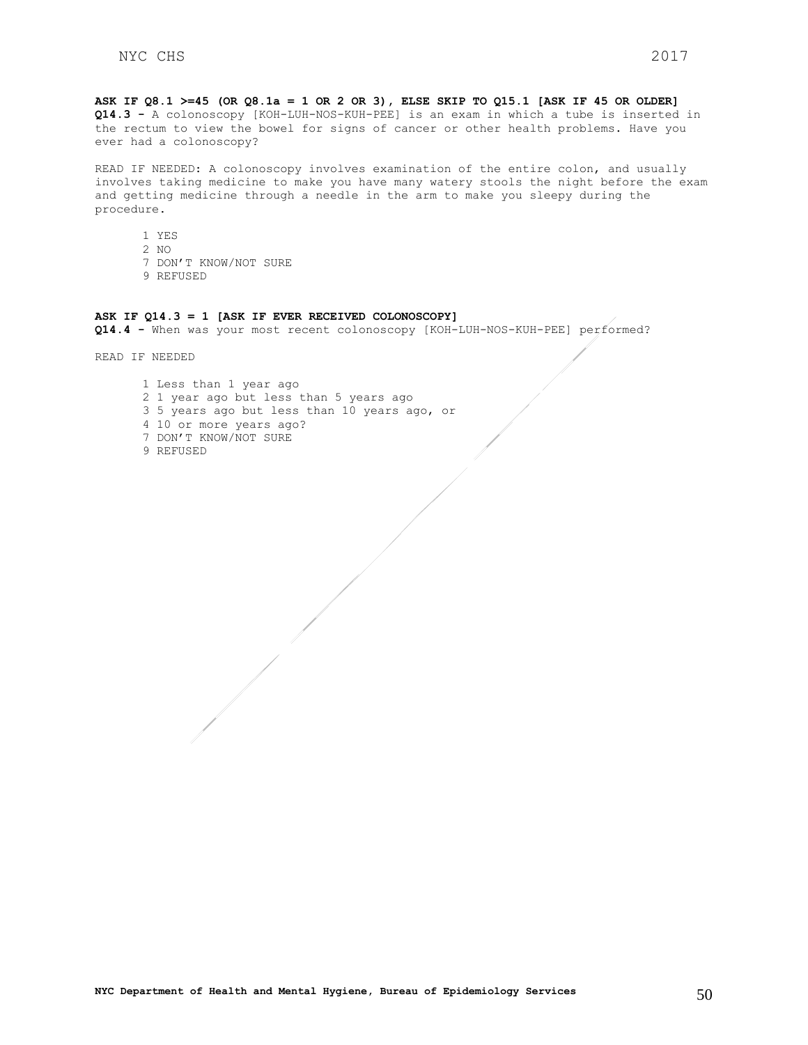**ASK IF Q8.1 >=45 (OR Q8.1a = 1 OR 2 OR 3), ELSE SKIP TO Q15.1 [ASK IF 45 OR OLDER] Q14.3 -** A colonoscopy [KOH-LUH-NOS-KUH-PEE] is an exam in which a tube is inserted in the rectum to view the bowel for signs of cancer or other health problems. Have you ever had a colonoscopy?

READ IF NEEDED: A colonoscopy involves examination of the entire colon, and usually involves taking medicine to make you have many watery stools the night before the exam and getting medicine through a needle in the arm to make you sleepy during the procedure.

- 1 YES
- 2 NO
- 7 DON'T KNOW/NOT SURE
- 9 REFUSED

#### **ASK IF Q14.3 = 1 [ASK IF EVER RECEIVED COLONOSCOPY]**

**Q14.4 -** When was your most recent colonoscopy [KOH-LUH-NOS-KUH-PEE] performed?

READ IF NEEDED

1 Less than 1 year ago 2 1 year ago but less than 5 years ago 3 5 years ago but less than 10 years ago, or 4 10 or more years ago? 7 DON'T KNOW/NOT SURE 9 REFUSED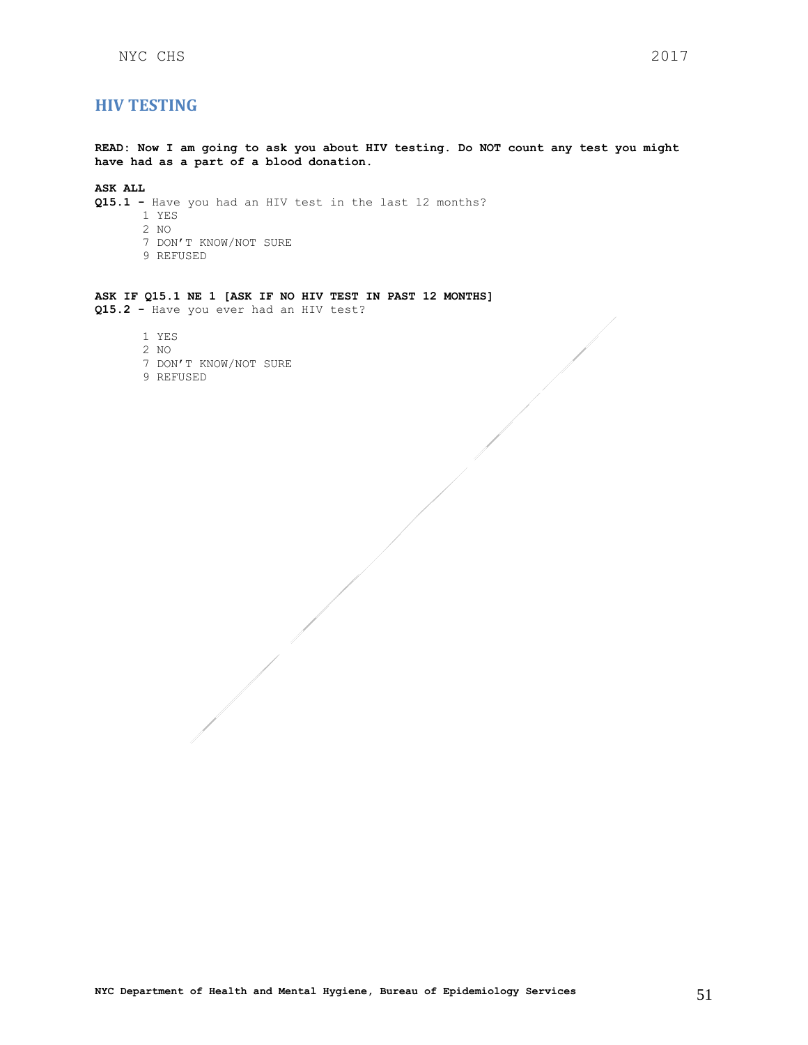## <span id="page-50-0"></span>**HIV TESTING**

**READ: Now I am going to ask you about HIV testing. Do NOT count any test you might have had as a part of a blood donation.**

## **ASK ALL**

- **Q15.1 -** Have you had an HIV test in the last 12 months?
	- 1 YES
	- 2 NO
	- 7 DON'T KNOW/NOT SURE
	- 9 REFUSED

### **ASK IF Q15.1 NE 1 [ASK IF NO HIV TEST IN PAST 12 MONTHS] Q15.2 -** Have you ever had an HIV test?

- 1 YES
- 2 NO
- 7 DON'T KNOW/NOT SURE
- 9 REFUSED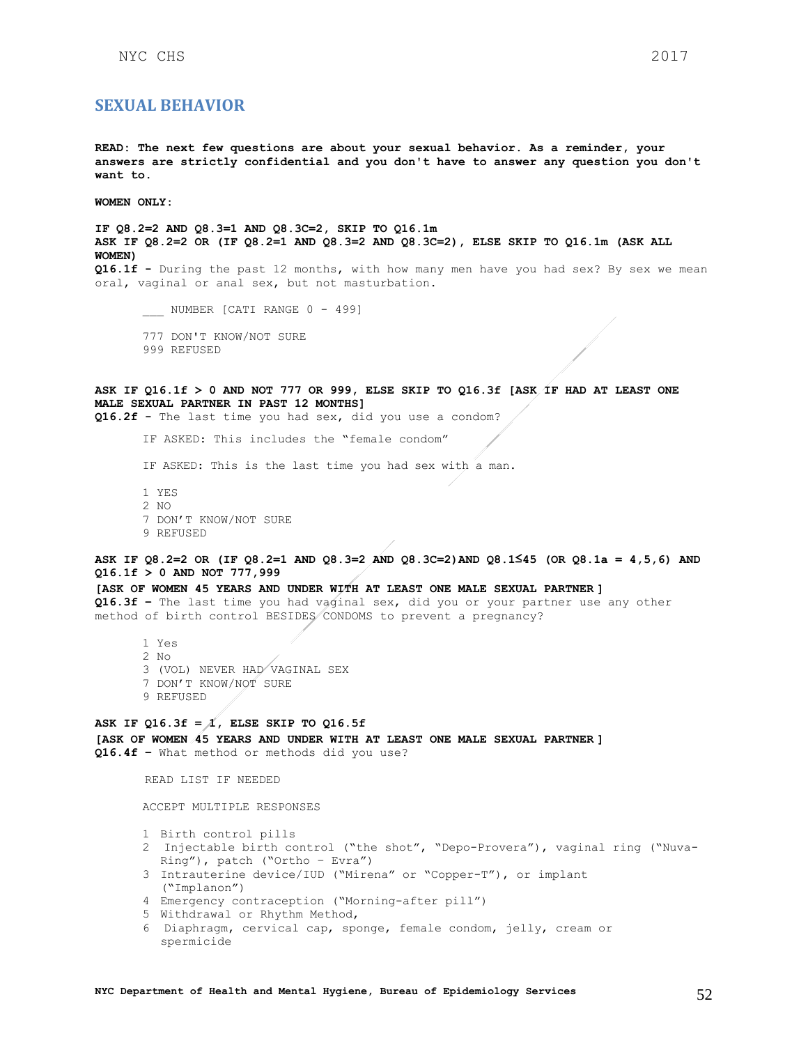## <span id="page-51-0"></span>**SEXUAL BEHAVIOR**

**READ: The next few questions are about your sexual behavior. As a reminder, your answers are strictly confidential and you don't have to answer any question you don't want to.**

**WOMEN ONLY:**

**IF Q8.2=2 AND Q8.3=1 AND Q8.3C=2, SKIP TO Q16.1m ASK IF Q8.2=2 OR (IF Q8.2=1 AND Q8.3=2 AND Q8.3C=2), ELSE SKIP TO Q16.1m (ASK ALL WOMEN) Q16.1f -** During the past 12 months, with how many men have you had sex? By sex we mean oral, vaginal or anal sex, but not masturbation. \_\_\_\_ NUMBER [CATI RANGE 0 - 499] 777 DON'T KNOW/NOT SURE 999 REFUSED **ASK IF Q16.1f > 0 AND NOT 777 OR 999, ELSE SKIP TO Q16.3f [ASK IF HAD AT LEAST ONE MALE SEXUAL PARTNER IN PAST 12 MONTHS] Q16.2f -** The last time you had sex, did you use a condom? IF ASKED: This includes the "female condom" IF ASKED: This is the last time you had sex with a man. 1 YES 2 NO 7 DON'T KNOW/NOT SURE 9 REFUSED **ASK IF Q8.2=2 OR (IF Q8.2=1 AND Q8.3=2 AND Q8.3C=2)AND Q8.1≤45 (OR Q8.1a = 4,5,6) AND Q16.1f > 0 AND NOT 777,999 [ASK OF WOMEN 45 YEARS AND UNDER WITH AT LEAST ONE MALE SEXUAL PARTNER ] Q16.3f –** The last time you had vaginal sex, did you or your partner use any other method of birth control BESIDES CONDOMS to prevent a pregnancy? 1 Yes 2 No 3 (VOL) NEVER HAD VAGINAL SEX 7 DON'T KNOW/NOT SURE 9 REFUSED ASK IF  $Q16.3f = \Lambda$ , ELSE SKIP TO  $Q16.5f$ **[ASK OF WOMEN 45 YEARS AND UNDER WITH AT LEAST ONE MALE SEXUAL PARTNER ] Q16.4f –** What method or methods did you use? READ LIST IF NEEDED ACCEPT MULTIPLE RESPONSES 1 Birth control pills 2 Injectable birth control ("the shot", "Depo-Provera"), vaginal ring ("Nuva-Ring"), patch ("Ortho – Evra")

- 3 Intrauterine device/IUD ("Mirena" or "Copper-T"), or implant ("Implanon")
- 4 Emergency contraception ("Morning-after pill")
- 5 Withdrawal or Rhythm Method,
- 6 Diaphragm, cervical cap, sponge, female condom, jelly, cream or spermicide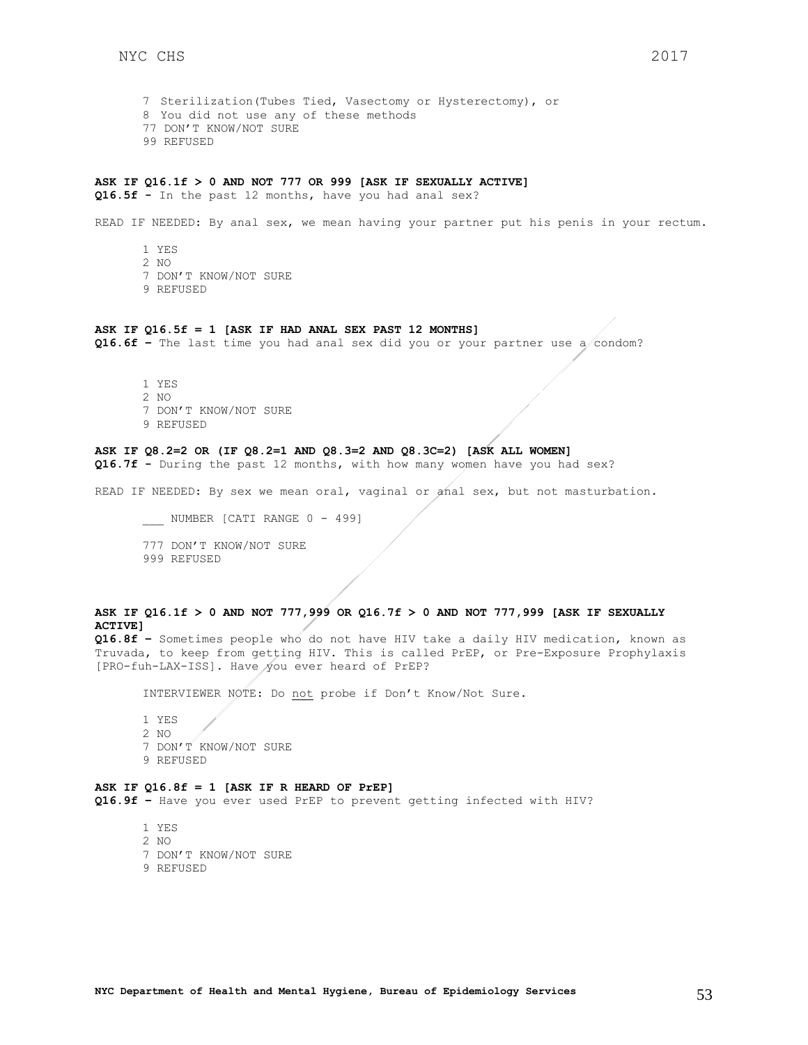7 Sterilization(Tubes Tied, Vasectomy or Hysterectomy), or 8 You did not use any of these methods 77 DON'T KNOW/NOT SURE 99 REFUSED

### **ASK IF Q16.1f > 0 AND NOT 777 OR 999 [ASK IF SEXUALLY ACTIVE]**

**Q16.5f -** In the past 12 months, have you had anal sex?

READ IF NEEDED: By anal sex, we mean having your partner put his penis in your rectum.

1 YES 2 NO 7 DON'T KNOW/NOT SURE 9 REFUSED

#### **ASK IF Q16.5f = 1 [ASK IF HAD ANAL SEX PAST 12 MONTHS]**

**Q16.6f –** The last time you had anal sex did you or your partner use a condom?

1 YES 2 NO 7 DON'T KNOW/NOT SURE 9 REFUSED

## **ASK IF Q8.2=2 OR (IF Q8.2=1 AND Q8.3=2 AND Q8.3C=2) [ASK ALL WOMEN]**

**Q16.7f -** During the past 12 months, with how many women have you had sex?

READ IF NEEDED: By sex we mean oral, vaginal or anal sex, but not masturbation.

\_\_\_\_ NUMBER [CATI RANGE 0 - 499]

777 DON'T KNOW/NOT SURE 999 REFUSED

## **ASK IF Q16.1f > 0 AND NOT 777,999 OR Q16.7f > 0 AND NOT 777,999 [ASK IF SEXUALLY ACTIVE]**

**Q16.8f –** Sometimes people who do not have HIV take a daily HIV medication, known as Truvada, to keep from getting HIV. This is called PrEP, or Pre-Exposure Prophylaxis [PRO-fuh-LAX-ISS]. Have you ever heard of PrEP?

INTERVIEWER NOTE: Do not probe if Don't Know/Not Sure.

1 YES 2 NO 7 DON'T KNOW/NOT SURE 9 REFUSED

#### **ASK IF Q16.8f = 1 [ASK IF R HEARD OF PrEP]**

**Q16.9f –** Have you ever used PrEP to prevent getting infected with HIV?

- 1 YES
- 2 NO
- 7 DON'T KNOW/NOT SURE
- 9 REFUSED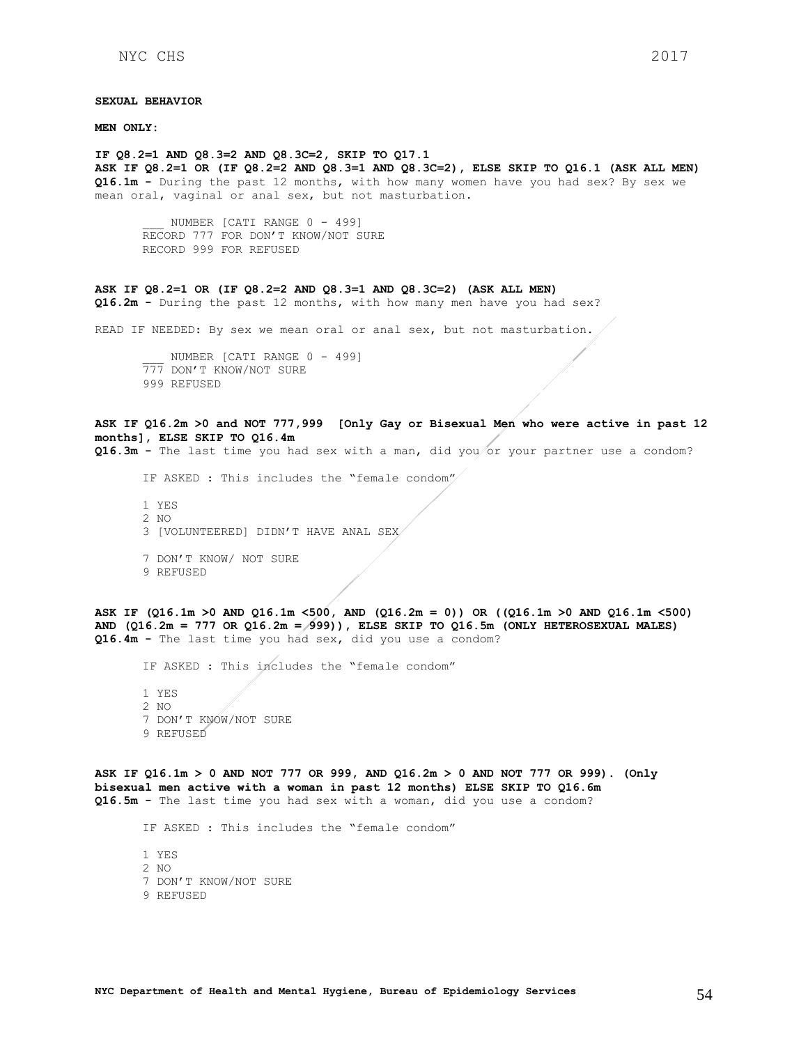#### **SEXUAL BEHAVIOR**

**MEN ONLY:**

**IF Q8.2=1 AND Q8.3=2 AND Q8.3C=2, SKIP TO Q17.1 ASK IF Q8.2=1 OR (IF Q8.2=2 AND Q8.3=1 AND Q8.3C=2), ELSE SKIP TO Q16.1 (ASK ALL MEN) Q16.1m -** During the past 12 months, with how many women have you had sex? By sex we mean oral, vaginal or anal sex, but not masturbation.

NUMBER [CATI RANGE 0 - 499] RECORD 777 FOR DON'T KNOW/NOT SURE RECORD 999 FOR REFUSED

#### **ASK IF Q8.2=1 OR (IF Q8.2=2 AND Q8.3=1 AND Q8.3C=2) (ASK ALL MEN)**

**Q16.2m -** During the past 12 months, with how many men have you had sex?

READ IF NEEDED: By sex we mean oral or anal sex, but not masturbation.

NUMBER [CATI RANGE 0 - 499] 777 DON'T KNOW/NOT SURE 999 REFUSED

## **ASK IF Q16.2m >0 and NOT 777,999 [Only Gay or Bisexual Men who were active in past 12 months], ELSE SKIP TO Q16.4m**

**Q16.3m -** The last time you had sex with a man, did you or your partner use a condom?

IF ASKED : This includes the "female condom"

- 1 YES 2 NO 3 [VOLUNTEERED] DIDN'T HAVE ANAL SEX 7 DON'T KNOW/ NOT SURE
- 9 REFUSED

**ASK IF (Q16.1m >0 AND Q16.1m <500, AND (Q16.2m = 0)) OR ((Q16.1m >0 AND Q16.1m <500) AND (Q16.2m = 777 OR Q16.2m = 999)), ELSE SKIP TO Q16.5m (ONLY HETEROSEXUAL MALES) Q16.4m -** The last time you had sex, did you use a condom?

IF ASKED : This includes the "female condom"

1 YES 2 NO 7 DON'T KNOW/NOT SURE 9 REFUSED

**ASK IF Q16.1m > 0 AND NOT 777 OR 999, AND Q16.2m > 0 AND NOT 777 OR 999). (Only bisexual men active with a woman in past 12 months) ELSE SKIP TO Q16.6m Q16.5m -** The last time you had sex with a woman, did you use a condom?

IF ASKED : This includes the "female condom"

1 YES 2 NO 7 DON'T KNOW/NOT SURE 9 REFUSED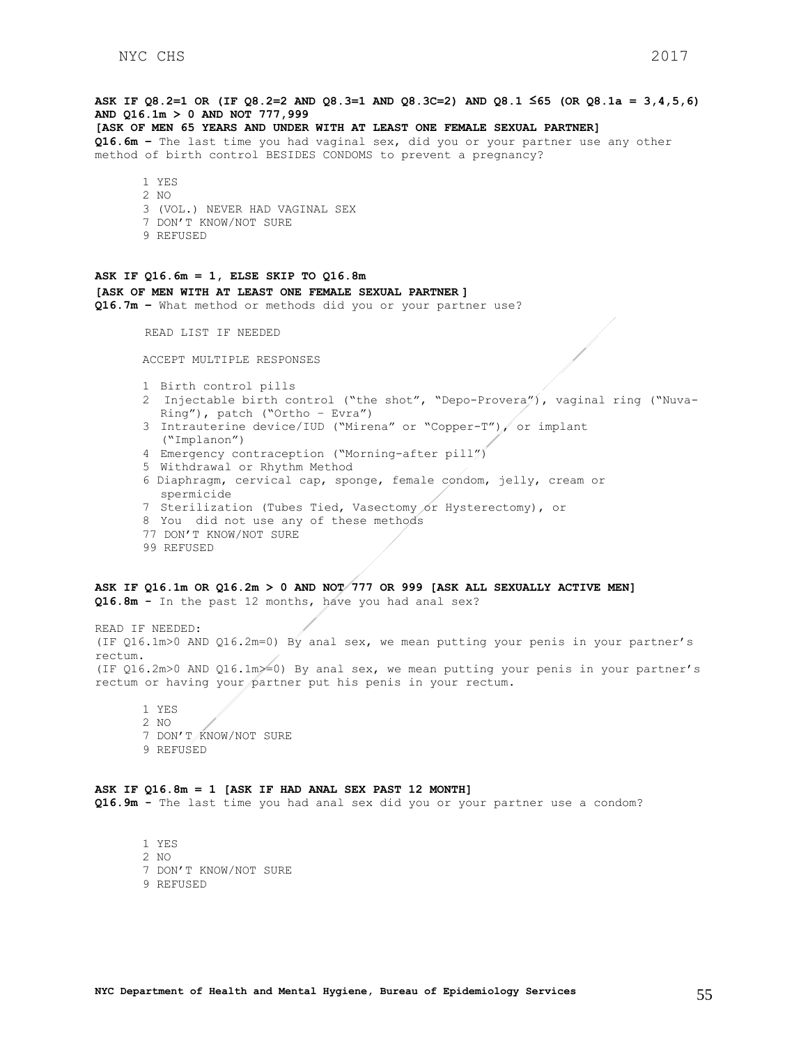## **ASK IF Q8.2=1 OR (IF Q8.2=2 AND Q8.3=1 AND Q8.3C=2) AND Q8.1 ≤65 (OR Q8.1a = 3,4,5,6) AND Q16.1m > 0 AND NOT 777,999 [ASK OF MEN 65 YEARS AND UNDER WITH AT LEAST ONE FEMALE SEXUAL PARTNER] Q16.6m –** The last time you had vaginal sex, did you or your partner use any other method of birth control BESIDES CONDOMS to prevent a pregnancy? 1 YES 2  $N<sub>O</sub>$ 3 (VOL.) NEVER HAD VAGINAL SEX 7 DON'T KNOW/NOT SURE 9 REFUSED **ASK IF Q16.6m = 1, ELSE SKIP TO Q16.8m [ASK OF MEN WITH AT LEAST ONE FEMALE SEXUAL PARTNER ] Q16.7m –** What method or methods did you or your partner use? READ LIST IF NEEDED ACCEPT MULTIPLE RESPONSES 1 Birth control pills 2 Injectable birth control ("the shot", "Depo-Provera"), vaginal ring ("Nuva-Ring"), patch ("Ortho – Evra") 3 Intrauterine device/IUD ("Mirena" or "Copper-T"), or implant ("Implanon") 4 Emergency contraception ("Morning-after pill") 5 Withdrawal or Rhythm Method 6 Diaphragm, cervical cap, sponge, female condom, jelly, cream or spermicide 7 Sterilization (Tubes Tied, Vasectomy or Hysterectomy), or 8 You did not use any of these methods 77 DON'T KNOW/NOT SURE 99 REFUSED **ASK IF Q16.1m OR Q16.2m > 0 AND NOT 777 OR 999 [ASK ALL SEXUALLY ACTIVE MEN] Q16.8m -** In the past 12 months, have you had anal sex? READ IF NEEDED:

(IF Q16.1m>0 AND Q16.2m=0) By anal sex, we mean putting your penis in your partner's rectum. (IF  $Q16.2m>0$  AND  $Q16.1m\geq 0$ ) By anal sex, we mean putting your penis in your partner's rectum or having your partner put his penis in your rectum.

1 YES 2 NO 7 DON'T KNOW/NOT SURE 9 REFUSED

## **ASK IF Q16.8m = 1 [ASK IF HAD ANAL SEX PAST 12 MONTH]**

**Q16.9m -** The last time you had anal sex did you or your partner use a condom?

1 YES 2 NO 7 DON'T KNOW/NOT SURE 9 REFUSED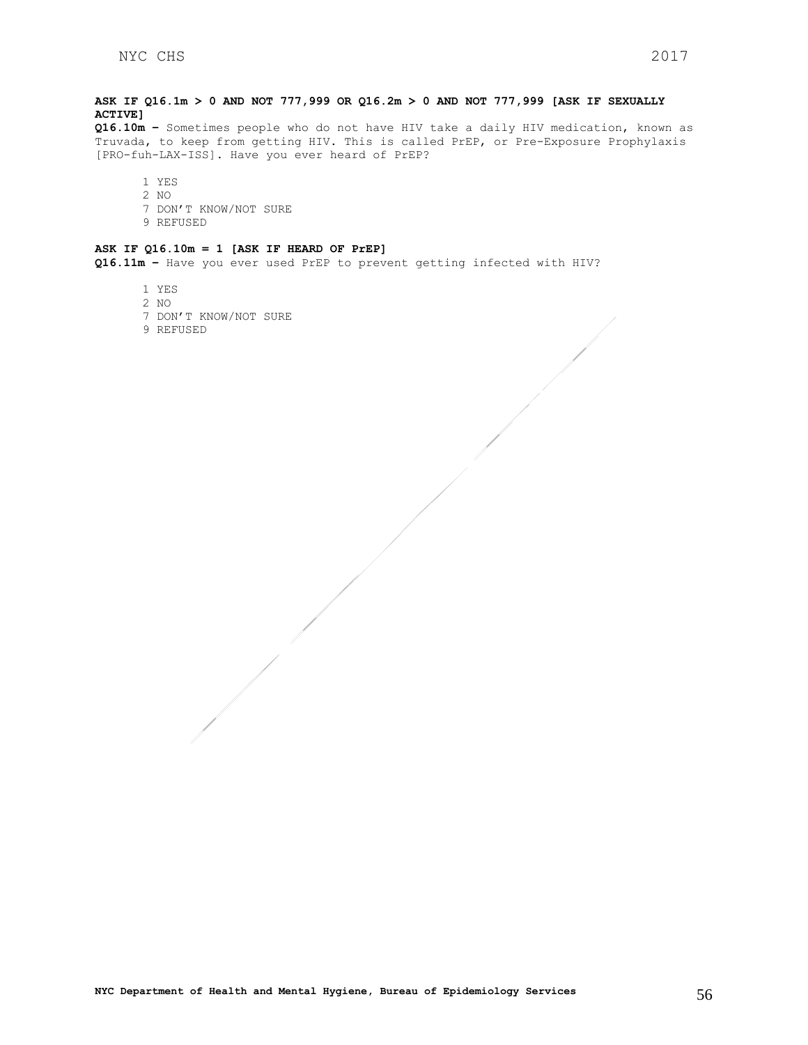## **ASK IF Q16.1m > 0 AND NOT 777,999 OR Q16.2m > 0 AND NOT 777,999 [ASK IF SEXUALLY ACTIVE]**

**Q16.10m –** Sometimes people who do not have HIV take a daily HIV medication, known as Truvada, to keep from getting HIV. This is called PrEP, or Pre-Exposure Prophylaxis [PRO-fuh-LAX-ISS]. Have you ever heard of PrEP?

1 YES 2 NO 7 DON'T KNOW/NOT SURE 9 REFUSED

### **ASK IF Q16.10m = 1 [ASK IF HEARD OF PrEP]**

**Q16.11m –** Have you ever used PrEP to prevent getting infected with HIV?

- 1 YES
- 2 NO
- 7 DON'T KNOW/NOT SURE
- 9 REFUSED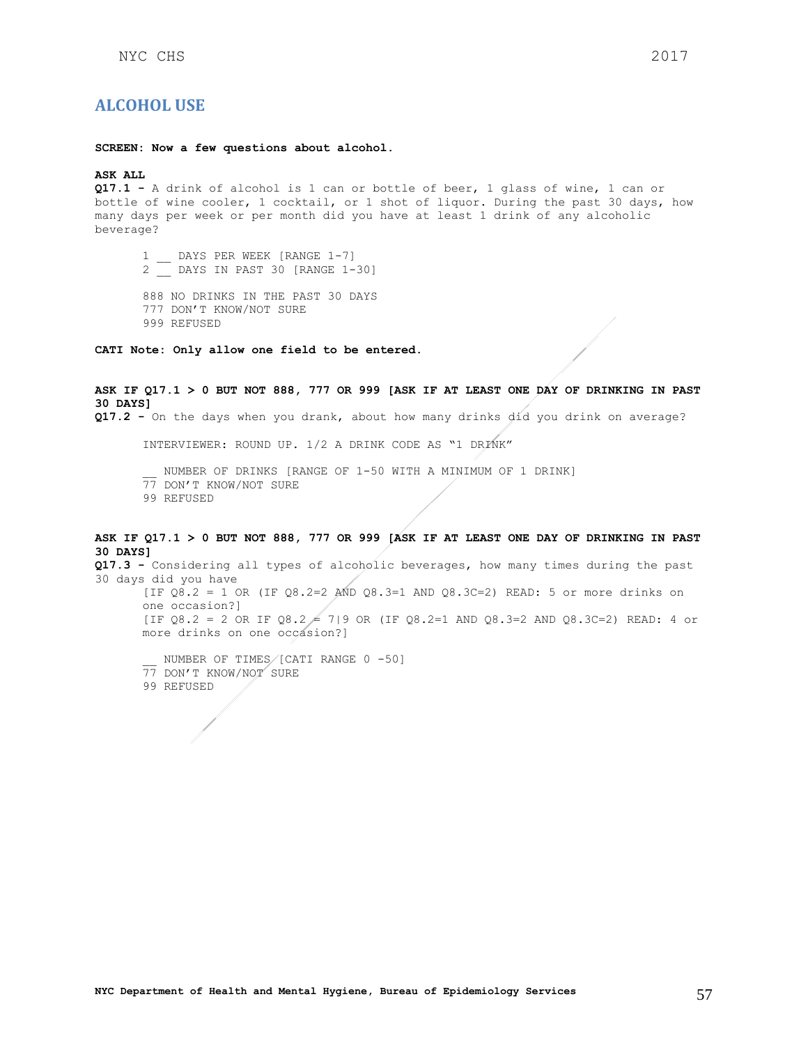## <span id="page-56-0"></span>**ALCOHOL USE**

**SCREEN: Now a few questions about alcohol.**

### **ASK ALL**

**Q17.1 -** A drink of alcohol is 1 can or bottle of beer, 1 glass of wine, 1 can or bottle of wine cooler, 1 cocktail, or 1 shot of liquor. During the past 30 days, how many days per week or per month did you have at least 1 drink of any alcoholic beverage?

1 DAYS PER WEEK [RANGE 1-7] 2 \_\_ DAYS IN PAST 30 [RANGE 1-30]

888 NO DRINKS IN THE PAST 30 DAYS 777 DON'T KNOW/NOT SURE 999 REFUSED

**CATI Note: Only allow one field to be entered.**

**ASK IF Q17.1 > 0 BUT NOT 888, 777 OR 999 [ASK IF AT LEAST ONE DAY OF DRINKING IN PAST 30 DAYS] Q17.2 -** On the days when you drank, about how many drinks did you drink on average?

INTERVIEWER: ROUND UP. 1/2 A DRINK CODE AS "1 DRINK"

NUMBER OF DRINKS [RANGE OF 1-50 WITH A MINIMUM OF 1 DRINK] 77 DON'T KNOW/NOT SURE

99 REFUSED

## **ASK IF Q17.1 > 0 BUT NOT 888, 777 OR 999 [ASK IF AT LEAST ONE DAY OF DRINKING IN PAST 30 DAYS]**

**Q17.3 -** Considering all types of alcoholic beverages, how many times during the past 30 days did you have [IF  $08.2 = 1$  OR (IF  $08.2 = 2$  AND  $08.3 = 1$  AND  $08.3 = 2$ ) READ: 5 or more drinks on one occasion?] [IF Q8.2 = 2 OR IF Q8.2 = 7|9 OR (IF Q8.2=1 AND Q8.3=2 AND Q8.3C=2) READ: 4 or more drinks on one occasion?]

NUMBER OF TIMES/[CATI RANGE 0 -50] 77 DON'T KNOW/NOT SURE 99 REFUSED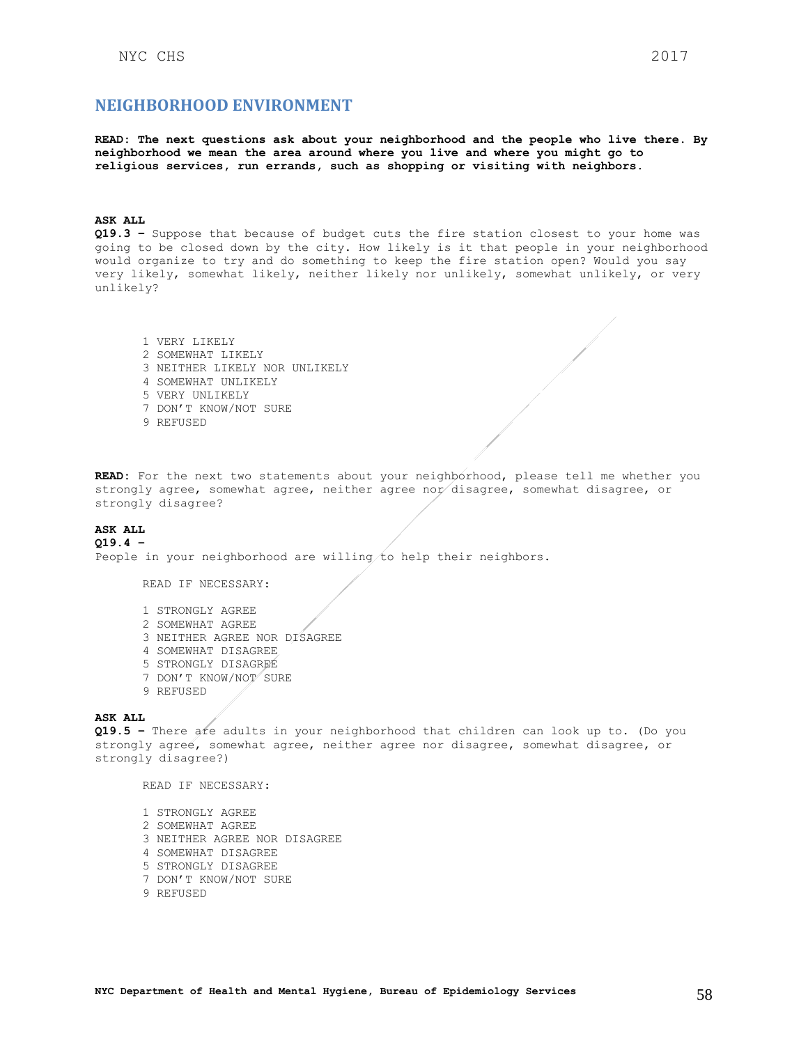## <span id="page-57-0"></span>**NEIGHBORHOOD ENVIRONMENT**

**READ: The next questions ask about your neighborhood and the people who live there. By neighborhood we mean the area around where you live and where you might go to religious services, run errands, such as shopping or visiting with neighbors.** 

### **ASK ALL**

**Q19.3 –** Suppose that because of budget cuts the fire station closest to your home was going to be closed down by the city. How likely is it that people in your neighborhood would organize to try and do something to keep the fire station open? Would you say very likely, somewhat likely, neither likely nor unlikely, somewhat unlikely, or very unlikely?

1 VERY LIKELY 2 SOMEWHAT LIKELY 3 NEITHER LIKELY NOR UNLIKELY 4 SOMEWHAT UNLIKELY 5 VERY UNLIKELY 7 DON'T KNOW/NOT SURE 9 REFUSED

**READ:** For the next two statements about your neighborhood, please tell me whether you strongly agree, somewhat agree, neither agree nor disagree, somewhat disagree, or strongly disagree?

#### **ASK ALL Q19.4 –**

People in your neighborhood are willing to help their neighbors.

READ IF NECESSARY:

1 STRONGLY AGREE 2 SOMEWHAT AGREE 3 NEITHER AGREE NOR DISAGREE 4 SOMEWHAT DISAGREE 5 STRONGLY DISAGREE 7 DON'T KNOW/NOT SURE 9 REFUSED

#### **ASK ALL**

**Q19.5 –** There are adults in your neighborhood that children can look up to. (Do you strongly agree, somewhat agree, neither agree nor disagree, somewhat disagree, or strongly disagree?)

READ IF NECESSARY:

- 1 STRONGLY AGREE 2 SOMEWHAT AGREE 3 NEITHER AGREE NOR DISAGREE 4 SOMEWHAT DISAGREE 5 STRONGLY DISAGREE 7 DON'T KNOW/NOT SURE
- 9 REFUSED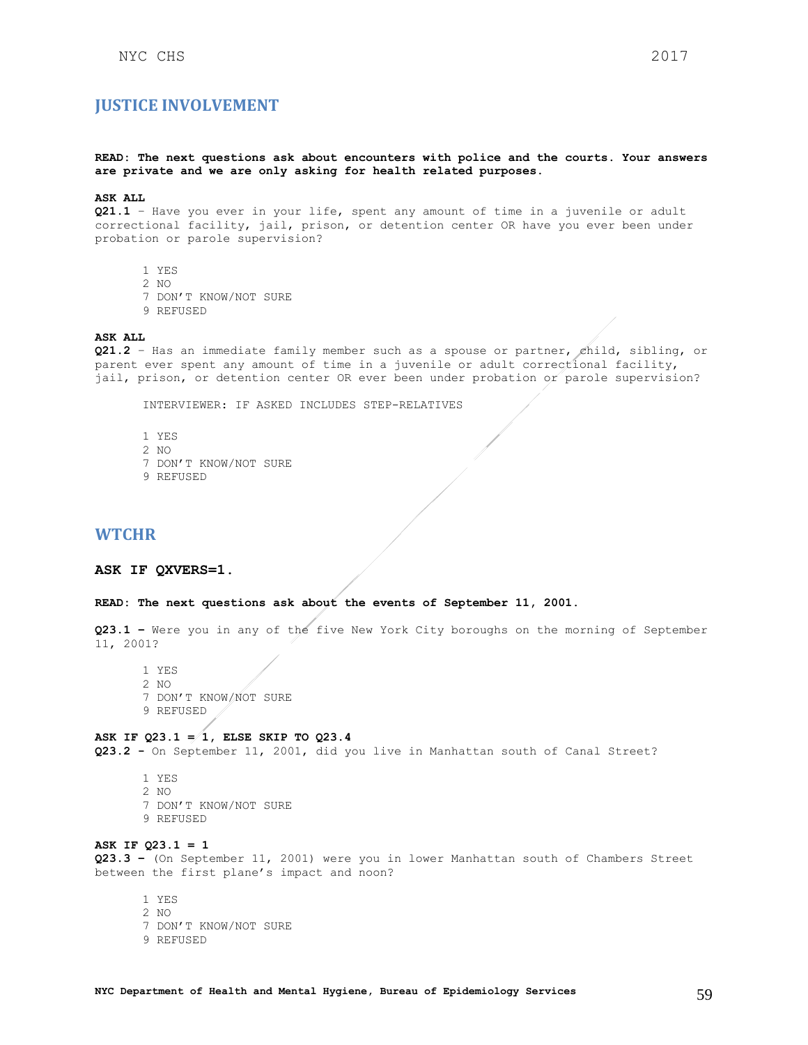## <span id="page-58-0"></span>**JUSTICE INVOLVEMENT**

## **READ: The next questions ask about encounters with police and the courts. Your answers are private and we are only asking for health related purposes.**

#### **ASK ALL**

**Q21.1** – Have you ever in your life, spent any amount of time in a juvenile or adult correctional facility, jail, prison, or detention center OR have you ever been under probation or parole supervision?

- 1 YES
- 2 NO
- 7 DON'T KNOW/NOT SURE
- 9 REFUSED

### **ASK ALL**

**Q21.2** – Has an immediate family member such as a spouse or partner, child, sibling, or parent ever spent any amount of time in a juvenile or adult correctional facility, jail, prison, or detention center OR ever been under probation or parole supervision?

INTERVIEWER: IF ASKED INCLUDES STEP-RELATIVES

- 1 YES 2 NO 7 DON'T KNOW/NOT SURE
- 9 REFUSED

## <span id="page-58-1"></span>**WTCHR**

### **ASK IF QXVERS=1.**

#### **READ: The next questions ask about the events of September 11, 2001.**

**Q23.1 –** Were you in any of the five New York City boroughs on the morning of September 11, 2001?

1 YES 2 NO 7 DON'T KNOW/NOT SURE 9 REFUSED

**ASK IF Q23.1 = 1, ELSE SKIP TO Q23.4**

**Q23.2 -** On September 11, 2001, did you live in Manhattan south of Canal Street?

1 YES 2 NO 7 DON'T KNOW/NOT SURE 9 REFUSED

**ASK IF Q23.1 = 1 Q23.3 –** (On September 11, 2001) were you in lower Manhattan south of Chambers Street between the first plane's impact and noon?

1 YES 2 NO 7 DON'T KNOW/NOT SURE 9 REFUSED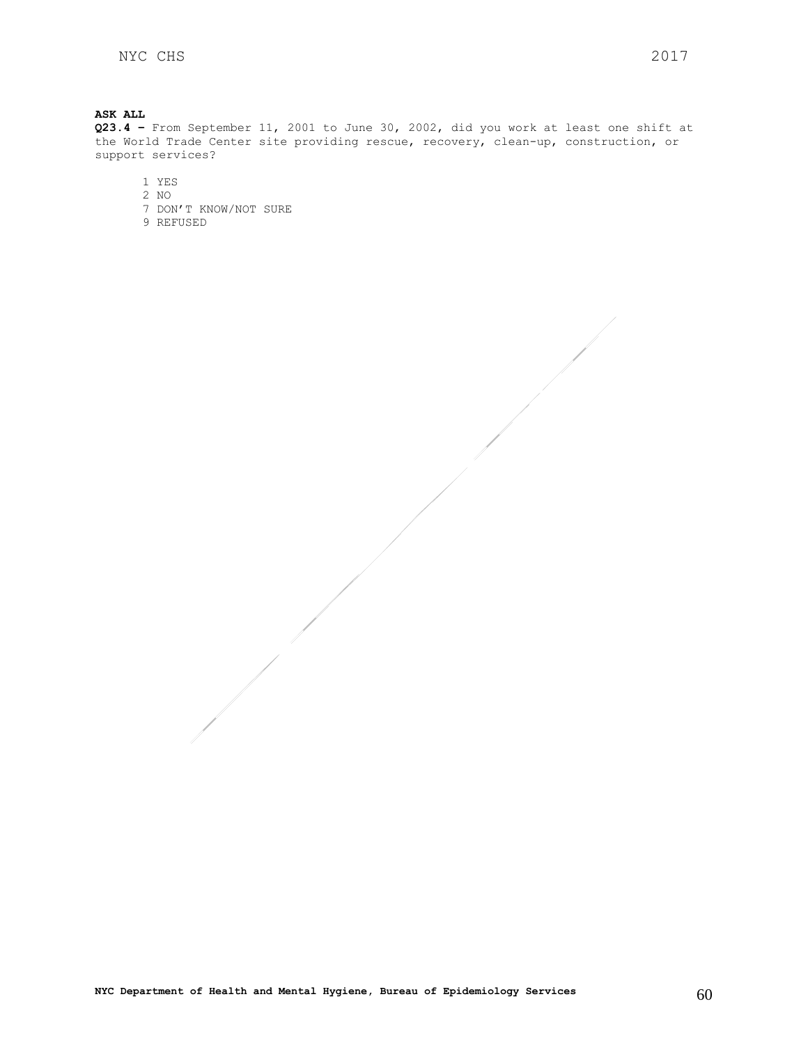**ASK ALL Q23.4 –** From September 11, 2001 to June 30, 2002, did you work at least one shift at the World Trade Center site providing rescue, recovery, clean-up, construction, or support services?

1 YES

2 NO 7 DON'T KNOW/NOT SURE

9 REFUSED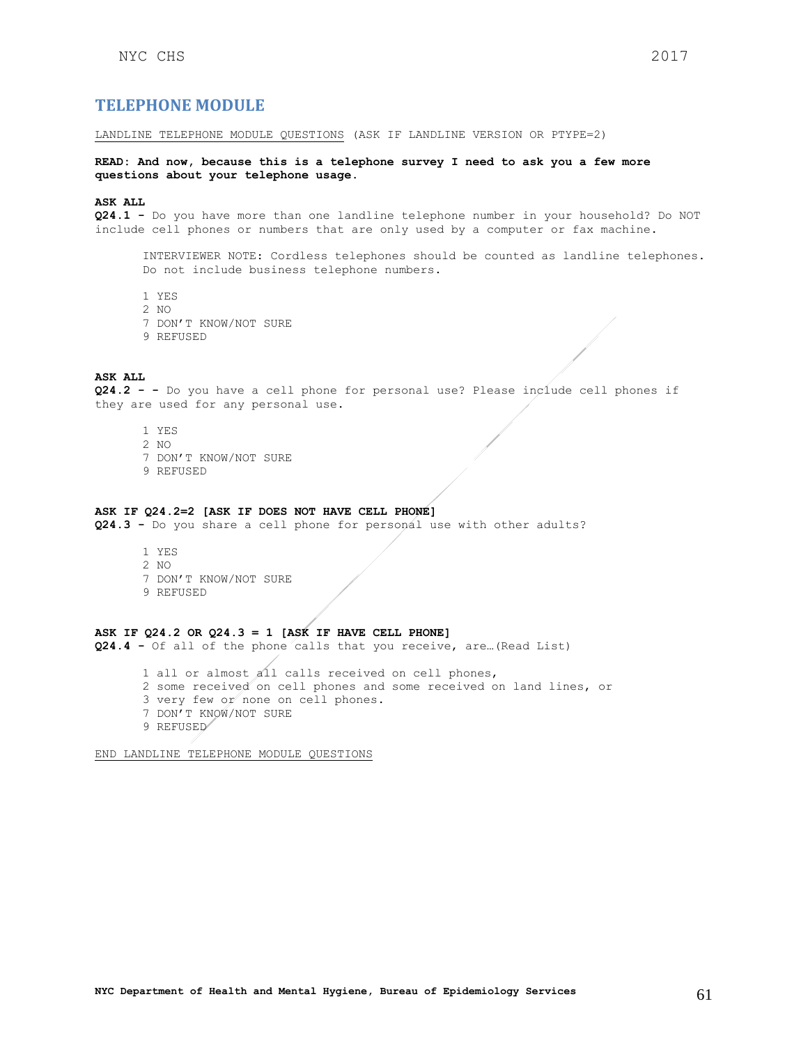## <span id="page-60-0"></span>**TELEPHONE MODULE**

LANDLINE TELEPHONE MODULE QUESTIONS (ASK IF LANDLINE VERSION OR PTYPE=2)

**READ: And now, because this is a telephone survey I need to ask you a few more questions about your telephone usage.** 

**ASK ALL**

**Q24.1 -** Do you have more than one landline telephone number in your household? Do NOT include cell phones or numbers that are only used by a computer or fax machine.

INTERVIEWER NOTE: Cordless telephones should be counted as landline telephones. Do not include business telephone numbers.

- 1 YES
- 2 NO
- 7 DON'T KNOW/NOT SURE
- 9 REFUSED

## **ASK ALL**

**Q24.2 - -** Do you have a cell phone for personal use? Please include cell phones if they are used for any personal use.

- 1 YES
- 2 NO
- 7 DON'T KNOW/NOT SURE
- 9 REFUSED

## **ASK IF Q24.2=2 [ASK IF DOES NOT HAVE CELL PHONE]**

**Q24.3 -** Do you share a cell phone for personal use with other adults?

1 YES 2 NO 7 DON'T KNOW/NOT SURE 9 REFUSED

## **ASK IF Q24.2 OR Q24.3 = 1 [ASK IF HAVE CELL PHONE]**

**Q24.4 -** Of all of the phone calls that you receive, are…(Read List)

1 all or almost all calls received on cell phones,

- 2 some received on cell phones and some received on land lines, or
- 3 very few or none on cell phones.
- 7 DON'T KNOW/NOT SURE
- 9 REFUSED

END LANDLINE TELEPHONE MODULE QUESTIONS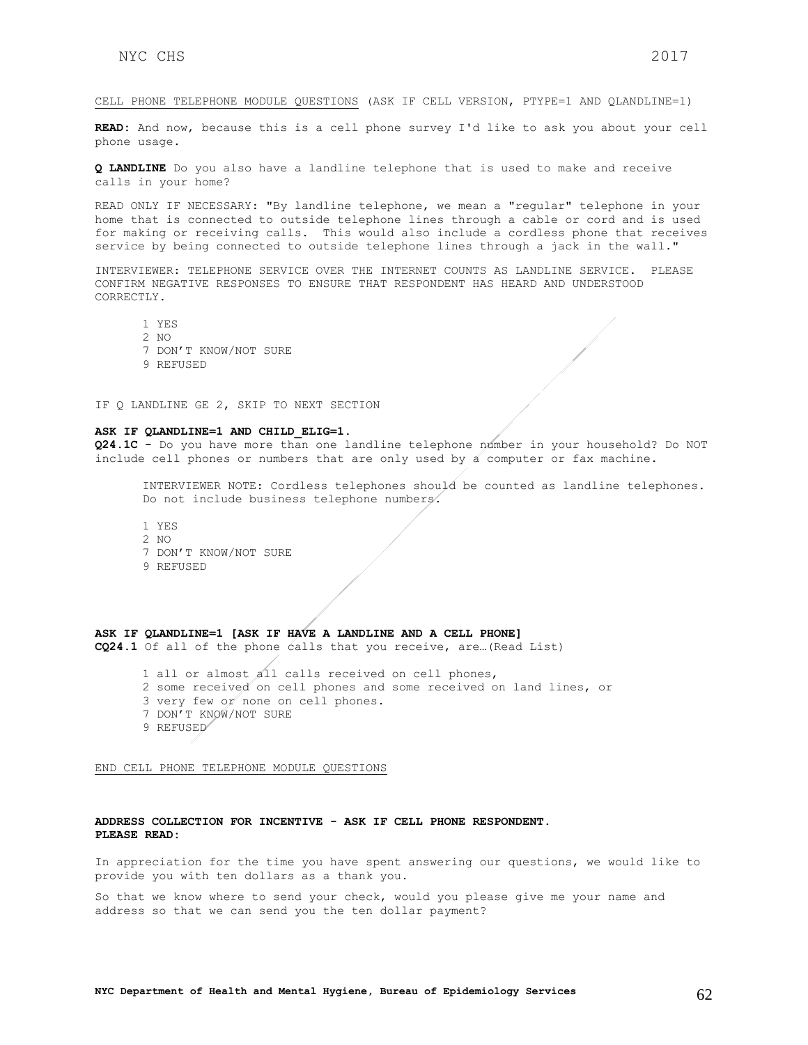**READ:** And now, because this is a cell phone survey I'd like to ask you about your cell phone usage.

**Q LANDLINE** Do you also have a landline telephone that is used to make and receive calls in your home?

READ ONLY IF NECESSARY: "By landline telephone, we mean a "regular" telephone in your home that is connected to outside telephone lines through a cable or cord and is used for making or receiving calls. This would also include a cordless phone that receives service by being connected to outside telephone lines through a jack in the wall."

INTERVIEWER: TELEPHONE SERVICE OVER THE INTERNET COUNTS AS LANDLINE SERVICE. PLEASE CONFIRM NEGATIVE RESPONSES TO ENSURE THAT RESPONDENT HAS HEARD AND UNDERSTOOD CORRECTLY.

1 YES 2 NO 7 DON'T KNOW/NOT SURE 9 REFUSED

IF Q LANDLINE GE 2, SKIP TO NEXT SECTION

#### **ASK IF QLANDLINE=1 AND CHILD\_ELIG=1.**

**Q24.1C -** Do you have more than one landline telephone number in your household? Do NOT include cell phones or numbers that are only used by a computer or fax machine.

INTERVIEWER NOTE: Cordless telephones should be counted as landline telephones. Do not include business telephone numbers.

1 YES 2 NO 7 DON'T KNOW/NOT SURE 9 REFUSED

### **ASK IF QLANDLINE=1 [ASK IF HAVE A LANDLINE AND A CELL PHONE]**

**CQ24.1** Of all of the phone calls that you receive, are…(Read List)

- 1 all or almost all calls received on cell phones,
- 2 some received on cell phones and some received on land lines, or
- 3 very few or none on cell phones.
- 7 DON'T KNOW/NOT SURE
- 9 REFUSED

END CELL PHONE TELEPHONE MODULE QUESTIONS

#### **ADDRESS COLLECTION FOR INCENTIVE - ASK IF CELL PHONE RESPONDENT. PLEASE READ:**

In appreciation for the time you have spent answering our questions, we would like to provide you with ten dollars as a thank you.

So that we know where to send your check, would you please give me your name and address so that we can send you the ten dollar payment?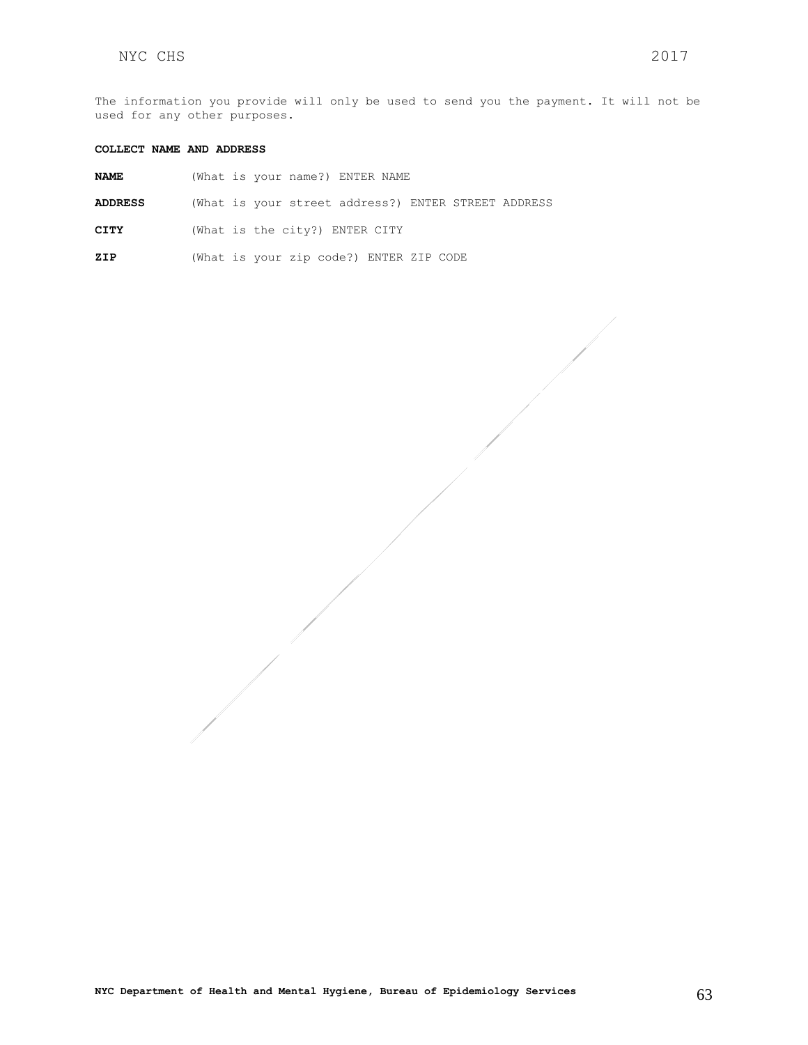The information you provide will only be used to send you the payment. It will not be used for any other purposes.

### **COLLECT NAME AND ADDRESS**

| <b>NAME</b>    |  | (What is your name?) ENTER NAME |  |  |                                                     |  |
|----------------|--|---------------------------------|--|--|-----------------------------------------------------|--|
| <b>ADDRESS</b> |  |                                 |  |  | (What is your street address?) ENTER STREET ADDRESS |  |
| CITY           |  | (What is the city?) ENTER CITY  |  |  |                                                     |  |

**ZIP** (What is your zip code?) ENTER ZIP CODE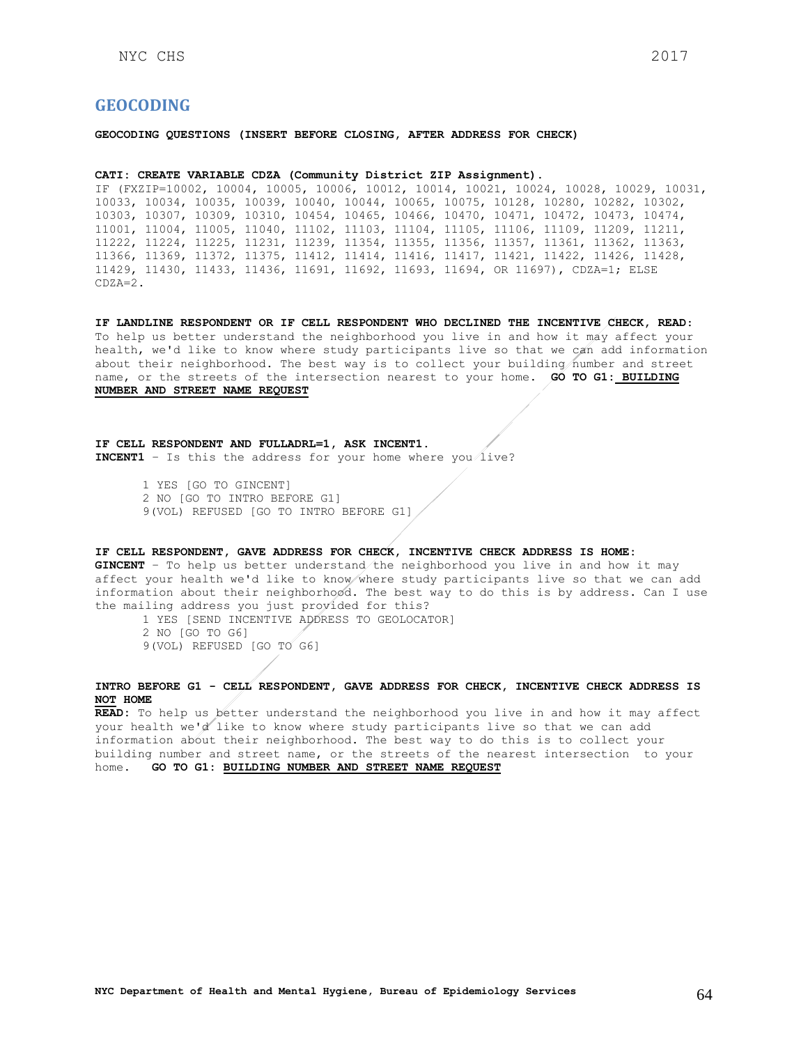## <span id="page-63-0"></span>**GEOCODING**

**GEOCODING QUESTIONS (INSERT BEFORE CLOSING, AFTER ADDRESS FOR CHECK)**

### **CATI: CREATE VARIABLE CDZA (Community District ZIP Assignment).**

IF (FXZIP=10002, 10004, 10005, 10006, 10012, 10014, 10021, 10024, 10028, 10029, 10031, 10033, 10034, 10035, 10039, 10040, 10044, 10065, 10075, 10128, 10280, 10282, 10302, 10303, 10307, 10309, 10310, 10454, 10465, 10466, 10470, 10471, 10472, 10473, 10474, 11001, 11004, 11005, 11040, 11102, 11103, 11104, 11105, 11106, 11109, 11209, 11211, 11222, 11224, 11225, 11231, 11239, 11354, 11355, 11356, 11357, 11361, 11362, 11363, 11366, 11369, 11372, 11375, 11412, 11414, 11416, 11417, 11421, 11422, 11426, 11428, 11429, 11430, 11433, 11436, 11691, 11692, 11693, 11694, OR 11697), CDZA=1; ELSE CDZA=2.

**IF LANDLINE RESPONDENT OR IF CELL RESPONDENT WHO DECLINED THE INCENTIVE CHECK, READ**: To help us better understand the neighborhood you live in and how it may affect your health, we'd like to know where study participants live so that we can add information about their neighborhood. The best way is to collect your building number and street name, or the streets of the intersection nearest to your home. **GO TO G1: BUILDING NUMBER AND STREET NAME REQUEST**

**IF CELL RESPONDENT AND FULLADRL=1, ASK INCENT1. INCENT1** – Is this the address for your home where you live?

> 1 YES [GO TO GINCENT] 2 NO [GO TO INTRO BEFORE G1] 9(VOL) REFUSED [GO TO INTRO BEFORE G1]

### **IF CELL RESPONDENT, GAVE ADDRESS FOR CHECK, INCENTIVE CHECK ADDRESS IS HOME:**

**GINCENT** – To help us better understand the neighborhood you live in and how it may affect your health we'd like to know where study participants live so that we can add information about their neighborhood. The best way to do this is by address. Can I use the mailing address you just provided for this?

1 YES [SEND INCENTIVE ADDRESS TO GEOLOCATOR] 2 NO [GO TO G6]

9(VOL) REFUSED [GO TO G6]

### **INTRO BEFORE G1 - CELL RESPONDENT, GAVE ADDRESS FOR CHECK, INCENTIVE CHECK ADDRESS IS NOT HOME**

**READ:** To help us better understand the neighborhood you live in and how it may affect your health we'd like to know where study participants live so that we can add information about their neighborhood. The best way to do this is to collect your building number and street name, or the streets of the nearest intersection to your home. **GO TO G1: BUILDING NUMBER AND STREET NAME REQUEST**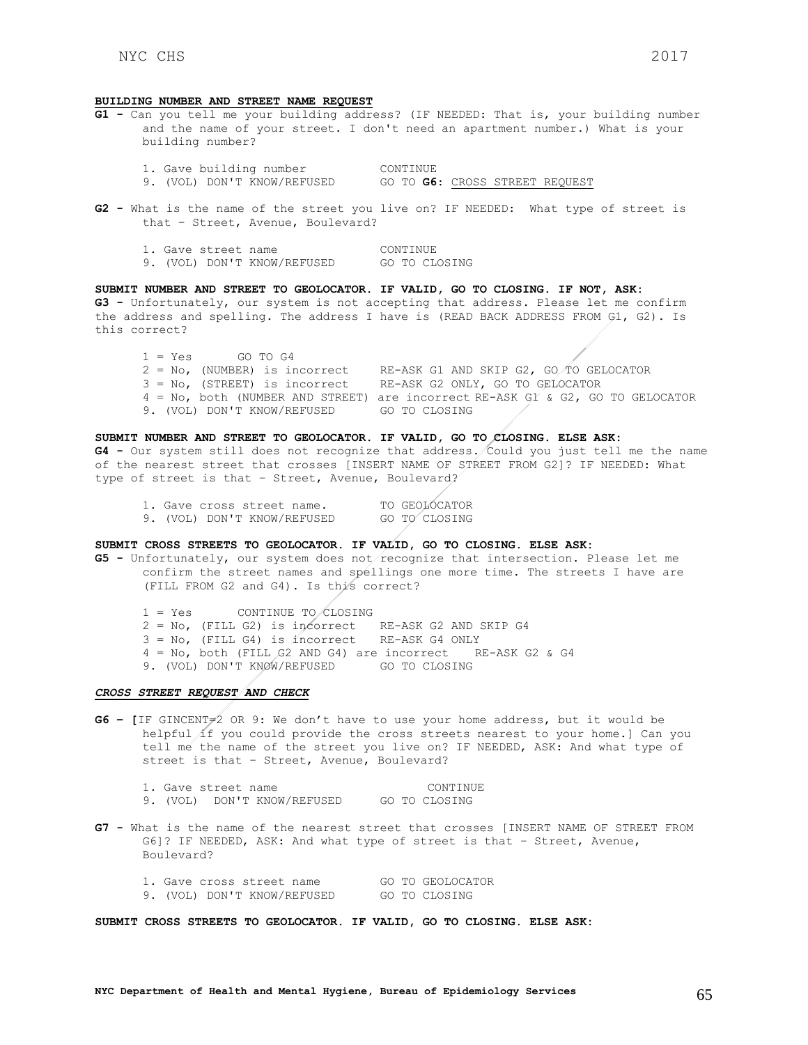#### **BUILDING NUMBER AND STREET NAME REQUEST**

- **G1 -** Can you tell me your building address? (IF NEEDED: That is, your building number and the name of your street. I don't need an apartment number.) What is your building number?
	- 1. Gave building number CONTINUE<br>9. (VOL) DON'T KNOW/REFUSED GO TO G6: 9. (VOL) DON'T KNOW/REFUSED GO TO **G6**: CROSS STREET REQUEST
- **G2 -** What is the name of the street you live on? IF NEEDED: What type of street is that – Street, Avenue, Boulevard?

|  | 1. Gave street name |                             | CONTINUE |               |
|--|---------------------|-----------------------------|----------|---------------|
|  |                     | 9. (VOL) DON'T KNOW/REFUSED |          | GO TO CLOSING |

**SUBMIT NUMBER AND STREET TO GEOLOCATOR. IF VALID, GO TO CLOSING. IF NOT, ASK: G3 -** Unfortunately, our system is not accepting that address. Please let me confirm the address and spelling. The address I have is (READ BACK ADDRESS FROM G1, G2). Is this correct?

 $1 = Yes$  GO TO G4 2 = No, (NUMBER) is incorrect RE-ASK G1 AND SKIP G2, GO TO GELOCATOR 3 = No, (STREET) is incorrect RE-ASK G2 ONLY, GO TO GELOCATOR 4 = No, both (NUMBER AND STREET) are incorrect RE-ASK G1 & G2, GO TO GELOCATOR 9. (VOL) DON'T KNOW/REFUSED GO TO CLOSING

**SUBMIT NUMBER AND STREET TO GEOLOCATOR. IF VALID, GO TO CLOSING. ELSE ASK: G4 -** Our system still does not recognize that address. Could you just tell me the name of the nearest street that crosses [INSERT NAME OF STREET FROM G2]? IF NEEDED: What type of street is that – Street, Avenue, Boulevard?

|  | 1. Gave cross street name. |                             | TO GEOLOCATOR |
|--|----------------------------|-----------------------------|---------------|
|  |                            | 9. (VOL) DON'T KNOW/REFUSED | GO TO CLOSING |

**SUBMIT CROSS STREETS TO GEOLOCATOR. IF VALID, GO TO CLOSING. ELSE ASK:**

**G5 -** Unfortunately, our system does not recognize that intersection. Please let me confirm the street names and spellings one more time. The streets I have are (FILL FROM G2 and G4). Is this correct?

1 = Yes CONTINUE TO CLOSING 2 = No, (FILL G2) is incorrect RE-ASK G2 AND SKIP G4 3 = No, (FILL G4) is incorrect RE-ASK G4 ONLY 4 = No, both (FILL G2 AND G4) are incorrect RE-ASK G2 & G4 9. (VOL) DON'T KNOW/REFUSED GO TO CLOSING

#### *CROSS STREET REQUEST AND CHECK*

**G6 – [**IF GINCENT=2 OR 9: We don't have to use your home address, but it would be helpful if you could provide the cross streets nearest to your home.] Can you tell me the name of the street you live on? IF NEEDED, ASK: And what type of street is that – Street, Avenue, Boulevard?

|          | 1. Gave street name |                    |  | CONTINUE      |
|----------|---------------------|--------------------|--|---------------|
| 9. (VOL) |                     | DON'T KNOW/REFUSED |  | GO TO CLOSING |

**G7 -** What is the name of the nearest street that crosses [INSERT NAME OF STREET FROM G6]? IF NEEDED, ASK: And what type of street is that – Street, Avenue, Boulevard?

|  | 1. Gave cross street name |                             |  | GO TO GEOLOCATOR |
|--|---------------------------|-----------------------------|--|------------------|
|  |                           | 9. (VOL) DON'T KNOW/REFUSED |  | GO TO CLOSING    |

**SUBMIT CROSS STREETS TO GEOLOCATOR. IF VALID, GO TO CLOSING. ELSE ASK:**